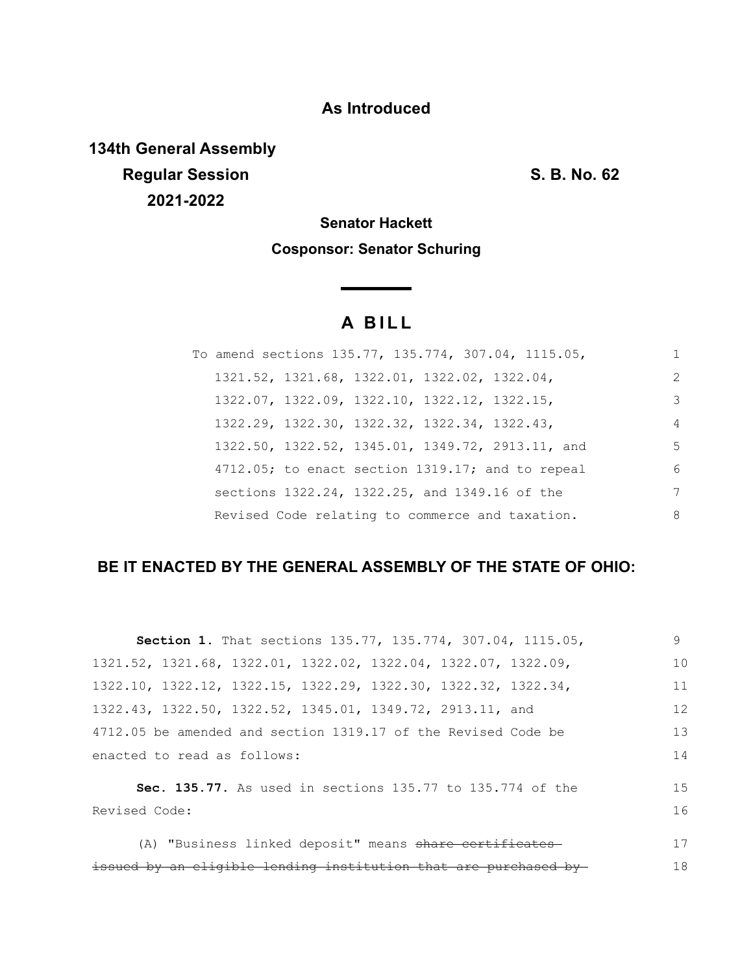## **As Introduced**

**134th General Assembly Regular Session S. B. No. 62 2021-2022**

**Senator Hackett Cosponsor: Senator Schuring**

# **A B I L L**

|  |                                              |  | To amend sections 135.77, 135.774, 307.04, 1115.05, | 1              |
|--|----------------------------------------------|--|-----------------------------------------------------|----------------|
|  | 1321.52, 1321.68, 1322.01, 1322.02, 1322.04, |  |                                                     | 2              |
|  | 1322.07, 1322.09, 1322.10, 1322.12, 1322.15, |  |                                                     | 3              |
|  | 1322.29, 1322.30, 1322.32, 1322.34, 1322.43, |  |                                                     | $\overline{4}$ |
|  |                                              |  | 1322.50, 1322.52, 1345.01, 1349.72, 2913.11, and    | 5              |
|  |                                              |  | $4712.05$ ; to enact section 1319.17; and to repeal | 6              |
|  |                                              |  | sections 1322.24, 1322.25, and 1349.16 of the       | 7              |
|  |                                              |  | Revised Code relating to commerce and taxation.     | 8              |

## **BE IT ENACTED BY THE GENERAL ASSEMBLY OF THE STATE OF OHIO:**

| Section 1. That sections 135.77, 135.774, 307.04, 1115.05,                          | 9  |
|-------------------------------------------------------------------------------------|----|
| 1321.52, 1321.68, 1322.01, 1322.02, 1322.04, 1322.07, 1322.09,                      | 10 |
| $1322.10$ , $1322.12$ , $1322.15$ , $1322.29$ , $1322.30$ , $1322.32$ , $1322.34$ , | 11 |
| 1322.43, 1322.50, 1322.52, 1345.01, 1349.72, 2913.11, and                           | 12 |
| 4712.05 be amended and section 1319.17 of the Revised Code be                       | 13 |
| enacted to read as follows:                                                         | 14 |
| Sec. 135.77. As used in sections 135.77 to 135.774 of the                           | 15 |
| Revised Code:                                                                       | 16 |
| (A) "Business linked deposit" means share certificates                              | 17 |
|                                                                                     |    |
| issued by an eligible lending institution that are purchased by-                    | 18 |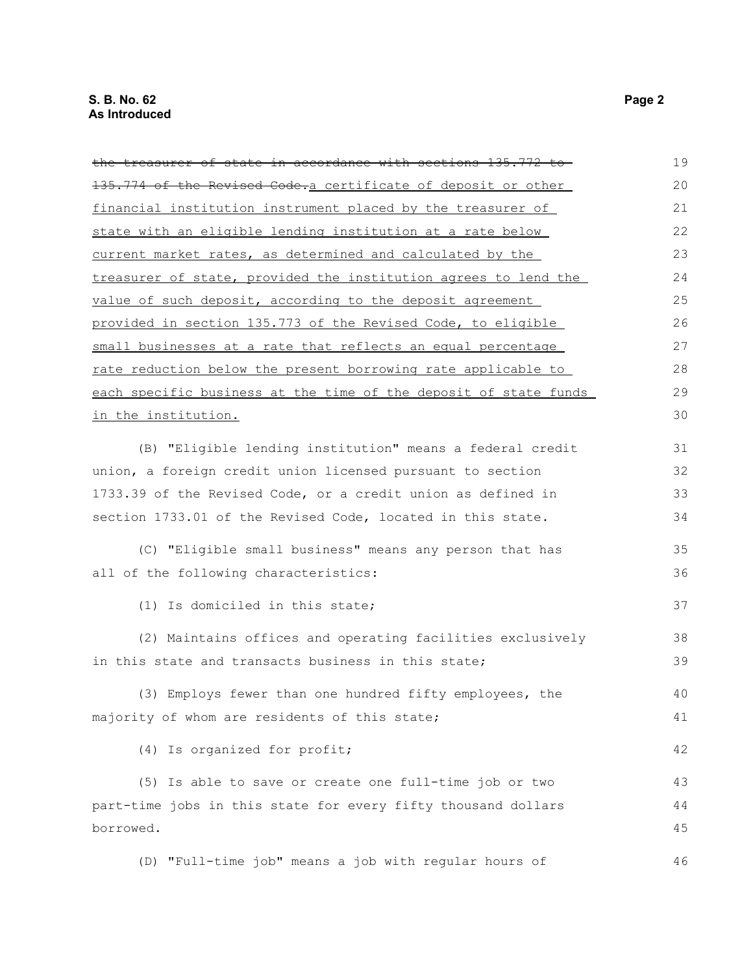| the treasurer of state in accordance with sections 135.772 to    | 19 |
|------------------------------------------------------------------|----|
|                                                                  |    |
| 135.774 of the Revised Code.a certificate of deposit or other    | 20 |
| financial institution instrument placed by the treasurer of      | 21 |
| state with an eligible lending institution at a rate below       | 22 |
| current market rates, as determined and calculated by the        | 23 |
| treasurer of state, provided the institution agrees to lend the  | 24 |
| value of such deposit, according to the deposit agreement        | 25 |
| provided in section 135.773 of the Revised Code, to eligible     | 26 |
| small businesses at a rate that reflects an equal percentage     | 27 |
| rate reduction below the present borrowing rate applicable to    | 28 |
| each specific business at the time of the deposit of state funds | 29 |
| in the institution.                                              | 30 |
|                                                                  |    |
| (B) "Eligible lending institution" means a federal credit        | 31 |
| union, a foreign credit union licensed pursuant to section       | 32 |
| 1733.39 of the Revised Code, or a credit union as defined in     | 33 |
| section 1733.01 of the Revised Code, located in this state.      | 34 |
|                                                                  |    |
| (C) "Eligible small business" means any person that has          | 35 |
| all of the following characteristics:                            | 36 |
| (1) Is domiciled in this state;                                  | 37 |
| (2) Maintains offices and operating facilities exclusively       | 38 |
| in this state and transacts business in this state;              | 39 |
| (3) Employs fewer than one hundred fifty employees, the          | 40 |
| majority of whom are residents of this state;                    | 41 |
|                                                                  |    |
| (4) Is organized for profit;                                     | 42 |
| (5) Is able to save or create one full-time job or two           | 43 |
| part-time jobs in this state for every fifty thousand dollars    | 44 |
| borrowed.                                                        | 45 |
|                                                                  |    |
| (D) "Full-time job" means a job with regular hours of            | 46 |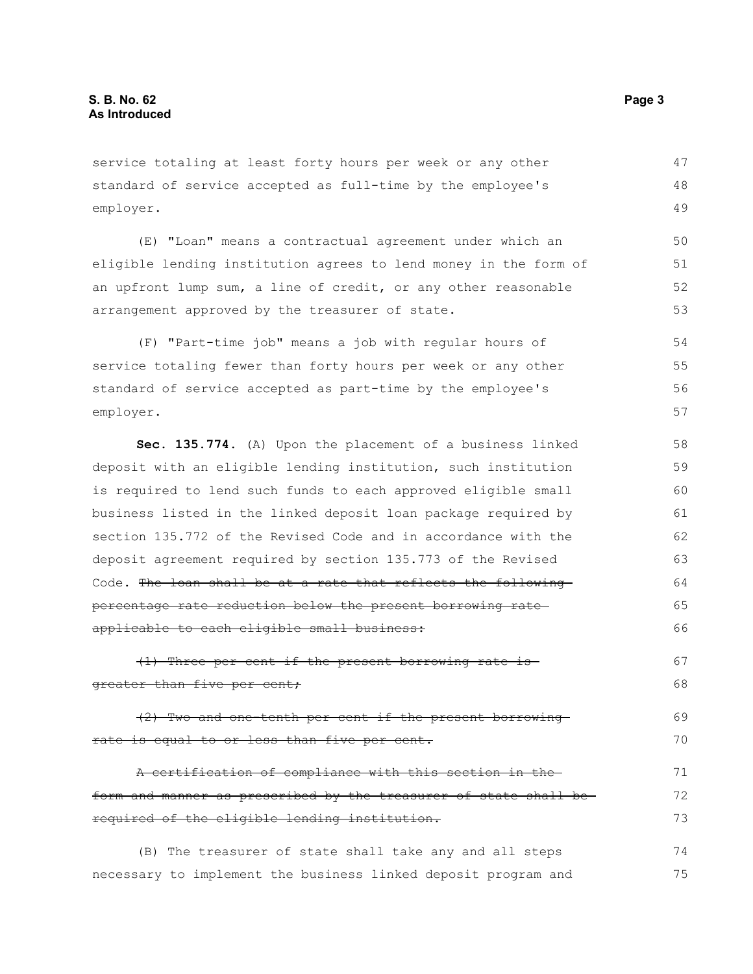service totaling at least forty hours per week or any other standard of service accepted as full-time by the employee's employer. 47 48 49

(E) "Loan" means a contractual agreement under which an eligible lending institution agrees to lend money in the form of an upfront lump sum, a line of credit, or any other reasonable arrangement approved by the treasurer of state. 50 51 52 53

(F) "Part-time job" means a job with regular hours of service totaling fewer than forty hours per week or any other standard of service accepted as part-time by the employee's employer. 54 55 56 57

**Sec. 135.774.** (A) Upon the placement of a business linked deposit with an eligible lending institution, such institution is required to lend such funds to each approved eligible small business listed in the linked deposit loan package required by section 135.772 of the Revised Code and in accordance with the deposit agreement required by section 135.773 of the Revised Code. The loan shall be at a rate that reflects the following percentage rate reduction below the present borrowing rate applicable to each eligible small business: 58 59 60 61 62 63 64 65 66

(1) Three per cent if the present borrowing rate is greater than five per cent; 67 68

(2) Two and one-tenth per cent if the present borrowing rate is equal to or less than five per cent. 69 70

A certification of compliance with this section in the form and manner as prescribed by the treasurer of state shall be required of the eligible lending institution. 71 72 73

(B) The treasurer of state shall take any and all steps necessary to implement the business linked deposit program and 74 75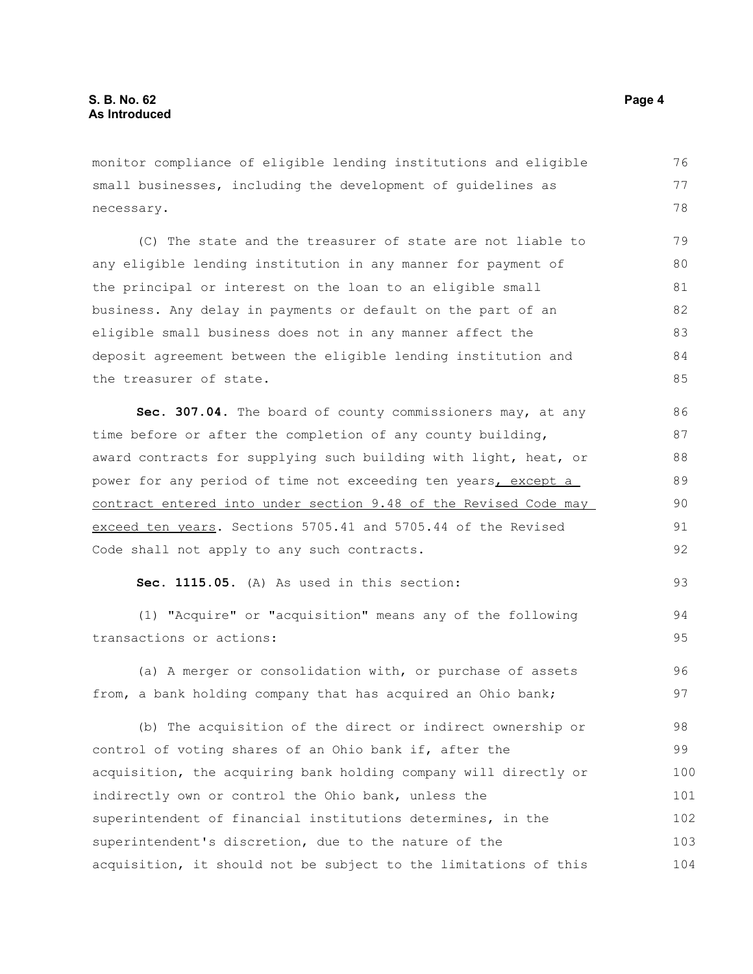monitor compliance of eligible lending institutions and eligible small businesses, including the development of guidelines as necessary. 76 77 78

(C) The state and the treasurer of state are not liable to any eligible lending institution in any manner for payment of the principal or interest on the loan to an eligible small business. Any delay in payments or default on the part of an eligible small business does not in any manner affect the deposit agreement between the eligible lending institution and the treasurer of state. 79 80 81 82 83 84 85

Sec. 307.04. The board of county commissioners may, at any time before or after the completion of any county building, award contracts for supplying such building with light, heat, or power for any period of time not exceeding ten years, except a contract entered into under section 9.48 of the Revised Code may exceed ten years. Sections 5705.41 and 5705.44 of the Revised Code shall not apply to any such contracts.

```
Sec. 1115.05. (A) As used in this section:
```
(1) "Acquire" or "acquisition" means any of the following transactions or actions:

(a) A merger or consolidation with, or purchase of assets from, a bank holding company that has acquired an Ohio bank; 96 97

(b) The acquisition of the direct or indirect ownership or control of voting shares of an Ohio bank if, after the acquisition, the acquiring bank holding company will directly or indirectly own or control the Ohio bank, unless the superintendent of financial institutions determines, in the superintendent's discretion, due to the nature of the acquisition, it should not be subject to the limitations of this 98 99 100 101 102 103 104

93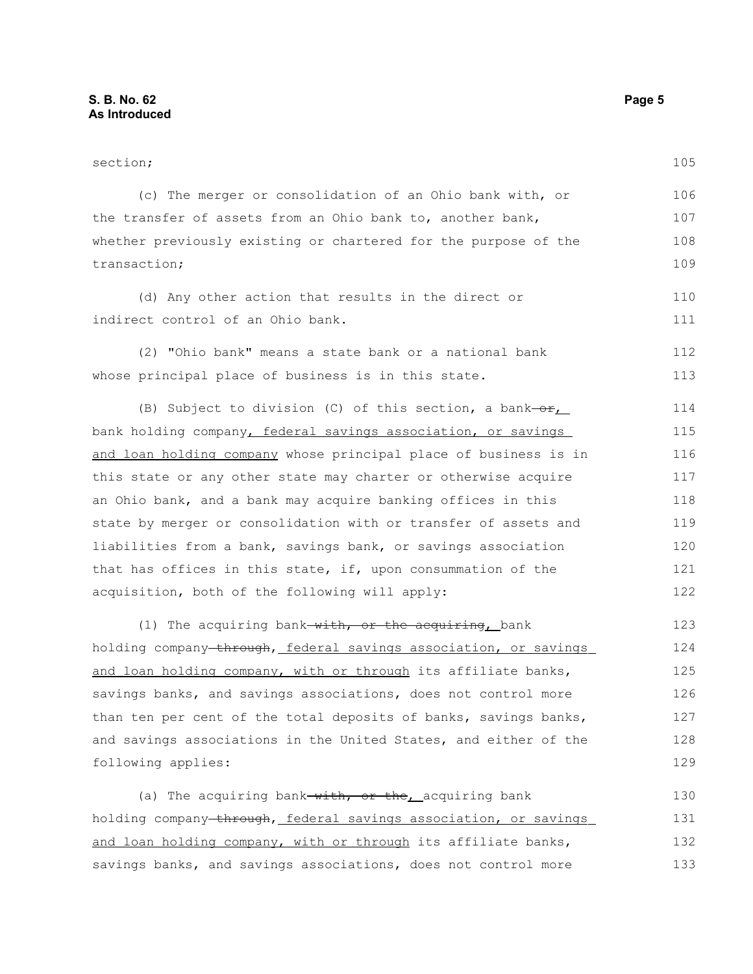following applies:

section; (c) The merger or consolidation of an Ohio bank with, or the transfer of assets from an Ohio bank to, another bank, whether previously existing or chartered for the purpose of the transaction; (d) Any other action that results in the direct or indirect control of an Ohio bank. (2) "Ohio bank" means a state bank or a national bank whose principal place of business is in this state. (B) Subject to division (C) of this section, a bank- $or_{L}$ bank holding company, federal savings association, or savings and loan holding company whose principal place of business is in this state or any other state may charter or otherwise acquire an Ohio bank, and a bank may acquire banking offices in this state by merger or consolidation with or transfer of assets and liabilities from a bank, savings bank, or savings association that has offices in this state, if, upon consummation of the acquisition, both of the following will apply: (1) The acquiring bank-with, or the acquiring, bank holding company-through, federal savings association, or savings and loan holding company, with or through its affiliate banks, savings banks, and savings associations, does not control more than ten per cent of the total deposits of banks, savings banks, and savings associations in the United States, and either of the 105 106 107 108 109 110 111 112 113 114 115 116 117 118 119 120 121 122 123 124 125 126 127 128

(a) The acquiring bank-with, or the acquiring bank holding company through, federal savings association, or savings and loan holding company, with or through its affiliate banks, savings banks, and savings associations, does not control more 130 131 132 133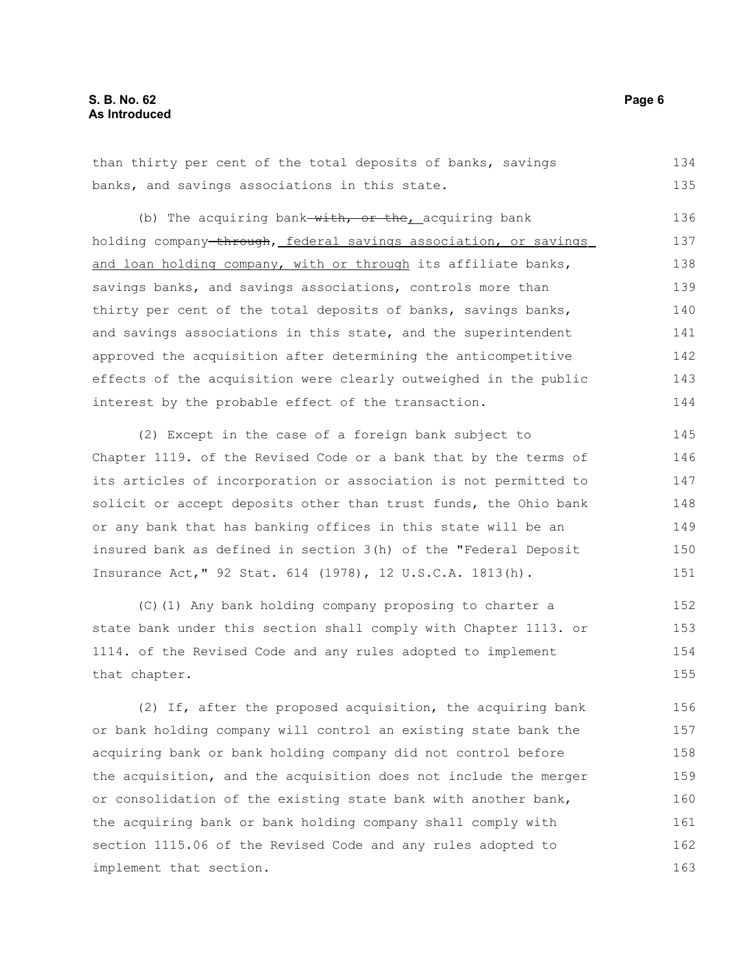than thirty per cent of the total deposits of banks, savings banks, and savings associations in this state. 134 135

(b) The acquiring bank  $with, or the$  acquiring bank holding company through, federal savings association, or savings and loan holding company, with or through its affiliate banks, savings banks, and savings associations, controls more than thirty per cent of the total deposits of banks, savings banks, and savings associations in this state, and the superintendent approved the acquisition after determining the anticompetitive effects of the acquisition were clearly outweighed in the public interest by the probable effect of the transaction. 136 137 138 139 140 141 142 143 144

(2) Except in the case of a foreign bank subject to Chapter 1119. of the Revised Code or a bank that by the terms of its articles of incorporation or association is not permitted to solicit or accept deposits other than trust funds, the Ohio bank or any bank that has banking offices in this state will be an insured bank as defined in section 3(h) of the "Federal Deposit Insurance Act," 92 Stat. 614 (1978), 12 U.S.C.A. 1813(h). 145 146 147 148 149 150 151

(C)(1) Any bank holding company proposing to charter a state bank under this section shall comply with Chapter 1113. or 1114. of the Revised Code and any rules adopted to implement that chapter. 152 153 154 155

(2) If, after the proposed acquisition, the acquiring bank or bank holding company will control an existing state bank the acquiring bank or bank holding company did not control before the acquisition, and the acquisition does not include the merger or consolidation of the existing state bank with another bank, the acquiring bank or bank holding company shall comply with section 1115.06 of the Revised Code and any rules adopted to implement that section. 156 157 158 159 160 161 162 163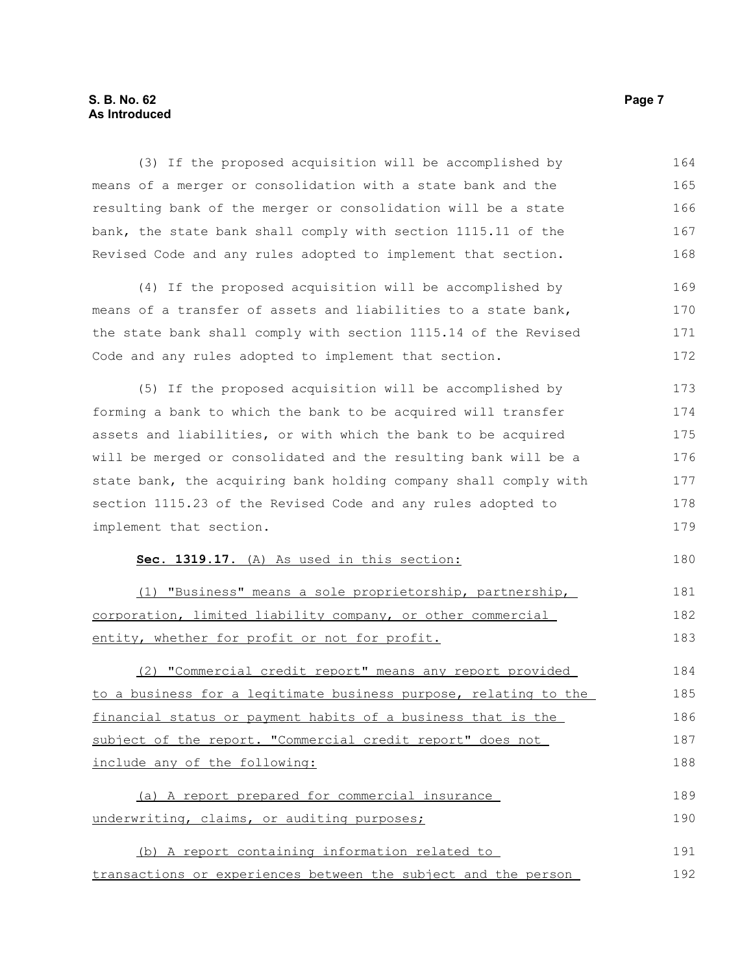## **S. B. No. 62 Page 7 As Introduced**

| (3) If the proposed acquisition will be accomplished by          | 164 |
|------------------------------------------------------------------|-----|
| means of a merger or consolidation with a state bank and the     | 165 |
| resulting bank of the merger or consolidation will be a state    | 166 |
| bank, the state bank shall comply with section 1115.11 of the    | 167 |
| Revised Code and any rules adopted to implement that section.    | 168 |
| (4) If the proposed acquisition will be accomplished by          | 169 |
| means of a transfer of assets and liabilities to a state bank,   | 170 |
| the state bank shall comply with section 1115.14 of the Revised  | 171 |
| Code and any rules adopted to implement that section.            | 172 |
| (5) If the proposed acquisition will be accomplished by          | 173 |
| forming a bank to which the bank to be acquired will transfer    | 174 |
| assets and liabilities, or with which the bank to be acquired    | 175 |
| will be merged or consolidated and the resulting bank will be a  | 176 |
| state bank, the acquiring bank holding company shall comply with | 177 |
| section 1115.23 of the Revised Code and any rules adopted to     | 178 |
| implement that section.                                          | 179 |
| Sec. 1319.17. (A) As used in this section:                       | 180 |
| "Business" means a sole proprietorship, partnership,<br>(1)      | 181 |
| corporation, limited liability company, or other commercial      | 182 |
| entity, whether for profit or not for profit.                    | 183 |
| (2) "Commercial credit report" means any report provided         | 184 |
| to a business for a legitimate business purpose, relating to the | 185 |
| financial status or payment habits of a business that is the     | 186 |
| subject of the report. "Commercial credit report" does not       | 187 |
| include any of the following:                                    | 188 |
| (a) A report prepared for commercial insurance                   | 189 |
| underwriting, claims, or auditing purposes;                      | 190 |
| (b) A report containing information related to                   | 191 |
| transactions or experiences between the subject and the person   | 192 |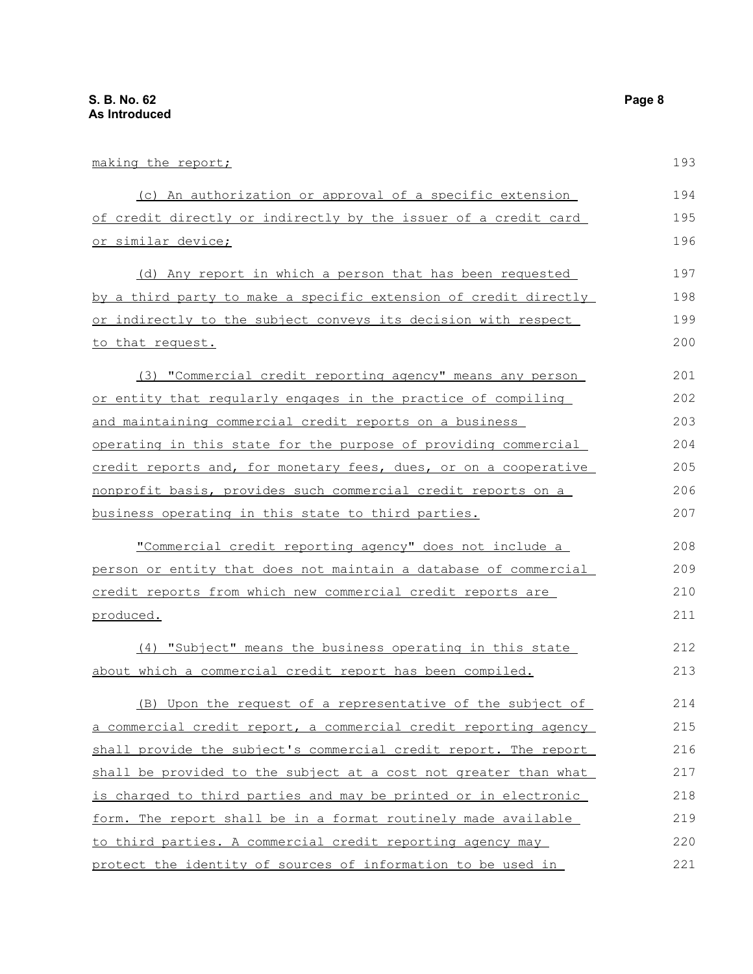| making the report;                                               | 193 |
|------------------------------------------------------------------|-----|
| (c) An authorization or approval of a specific extension         | 194 |
| of credit directly or indirectly by the issuer of a credit card  | 195 |
| <u>or similar device;</u>                                        | 196 |
| (d) Any report in which a person that has been requested         | 197 |
| by a third party to make a specific extension of credit directly | 198 |
| or indirectly to the subject conveys its decision with respect   | 199 |
| to that request.                                                 | 200 |
| (3) "Commercial credit reporting agency" means any person        | 201 |
| or entity that regularly engages in the practice of compiling    | 202 |
| and maintaining commercial credit reports on a business          | 203 |
| operating in this state for the purpose of providing commercial  | 204 |
| credit reports and, for monetary fees, dues, or on a cooperative | 205 |
| nonprofit basis, provides such commercial credit reports on a    | 206 |
| business operating in this state to third parties.               | 207 |
| "Commercial credit reporting agency" does not include a          | 208 |
| person or entity that does not maintain a database of commercial | 209 |
| credit reports from which new commercial credit reports are      | 210 |
| produced.                                                        | 211 |
| (4) "Subject" means the business operating in this state         | 212 |
| about which a commercial credit report has been compiled.        | 213 |
| (B) Upon the request of a representative of the subject of       | 214 |
| a commercial credit report, a commercial credit reporting agency | 215 |
| shall provide the subject's commercial credit report. The report | 216 |
| shall be provided to the subject at a cost not greater than what | 217 |
| is charged to third parties and may be printed or in electronic  | 218 |
| form. The report shall be in a format routinely made available   | 219 |
| to third parties. A commercial credit reporting agency may       | 220 |

protect the identity of sources of information to be used in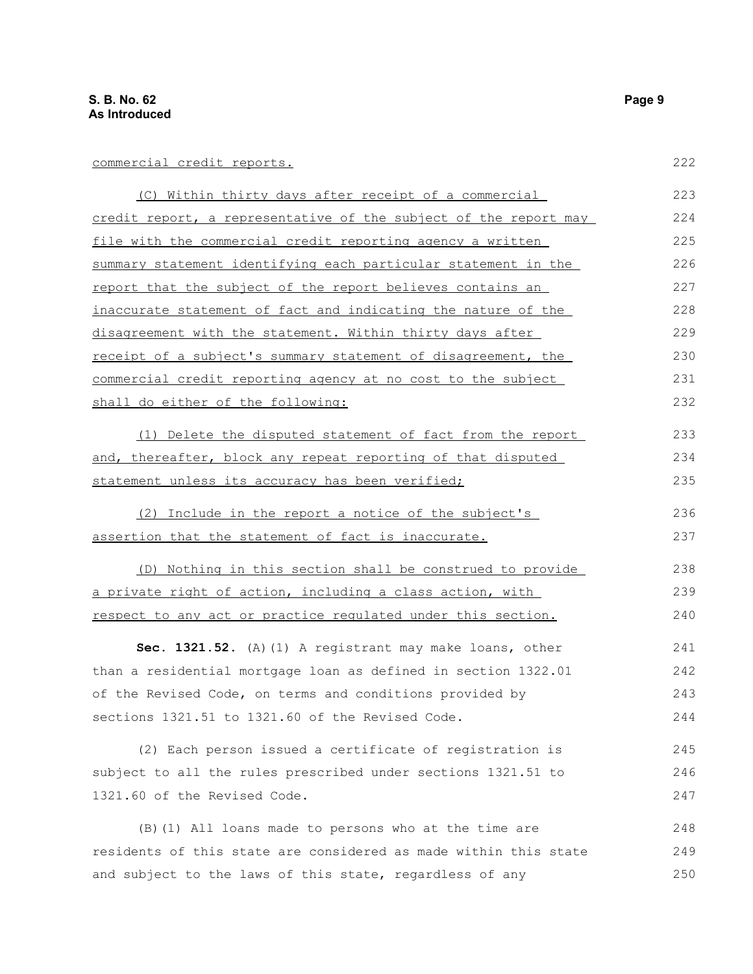## commercial credit reports.

| (C) Within thirty days after receipt of a commercial                | 223 |
|---------------------------------------------------------------------|-----|
| credit report, a representative of the subject of the report may    | 224 |
| file with the commercial credit reporting agency a written          | 225 |
| summary statement identifying each particular statement in the      | 226 |
| report that the subject of the report believes contains an          | 227 |
| inaccurate statement of fact and indicating the nature of the       | 228 |
| disagreement with the statement. Within thirty days after           | 229 |
| receipt of a subject's summary statement of disagreement, the       | 230 |
| commercial credit reporting agency at no cost to the subject        | 231 |
| shall do either of the following:                                   | 232 |
| (1) Delete the disputed statement of fact from the report           | 233 |
| <u>and, thereafter, block any repeat reporting of that disputed</u> | 234 |
| statement unless its accuracy has been verified;                    | 235 |
| (2) Include in the report a notice of the subject's                 | 236 |
| <u>assertion that the statement of fact is inaccurate.</u>          | 237 |
| (D) Nothing in this section shall be construed to provide           | 238 |
| <u>a private right of action, including a class action, with </u>   | 239 |
| respect to any act or practice regulated under this section.        | 240 |
| Sec. 1321.52. (A) (1) A registrant may make loans, other            | 241 |
| than a residential mortgage loan as defined in section 1322.01      | 242 |
| of the Revised Code, on terms and conditions provided by            | 243 |
| sections 1321.51 to 1321.60 of the Revised Code.                    | 244 |
| (2) Each person issued a certificate of registration is             | 245 |
| subject to all the rules prescribed under sections 1321.51 to       | 246 |
| 1321.60 of the Revised Code.                                        | 247 |
| (B) (1) All loans made to persons who at the time are               | 248 |
| residents of this state are considered as made within this state    | 249 |
| and subject to the laws of this state, regardless of any            | 250 |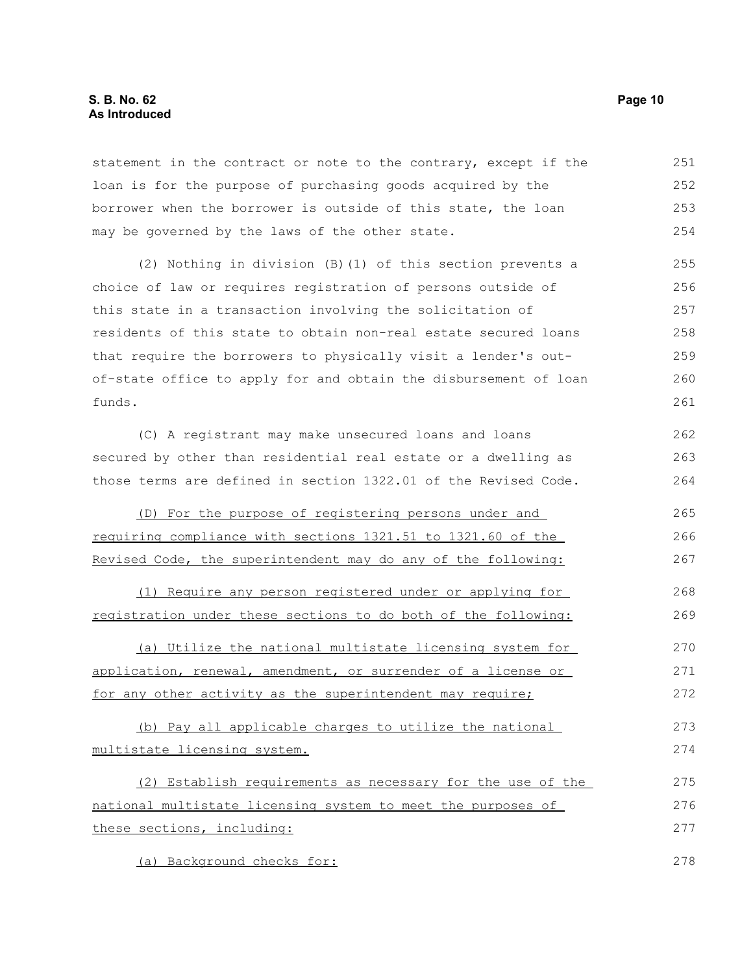#### **S. B. No. 62 Page 10 As Introduced**

statement in the contract or note to the contrary, except if the loan is for the purpose of purchasing goods acquired by the borrower when the borrower is outside of this state, the loan may be governed by the laws of the other state. 251 252 253 254

(2) Nothing in division (B)(1) of this section prevents a choice of law or requires registration of persons outside of this state in a transaction involving the solicitation of residents of this state to obtain non-real estate secured loans that require the borrowers to physically visit a lender's outof-state office to apply for and obtain the disbursement of loan funds. 255 256 257 258 259 260 261

(C) A registrant may make unsecured loans and loans secured by other than residential real estate or a dwelling as those terms are defined in section 1322.01 of the Revised Code. 262 263 264

(D) For the purpose of registering persons under and requiring compliance with sections 1321.51 to 1321.60 of the Revised Code, the superintendent may do any of the following: 265 266 267

(1) Require any person registered under or applying for registration under these sections to do both of the following: 268 269

(a) Utilize the national multistate licensing system for application, renewal, amendment, or surrender of a license or for any other activity as the superintendent may require; 270 271 272

(b) Pay all applicable charges to utilize the national multistate licensing system. 273 274

(2) Establish requirements as necessary for the use of the national multistate licensing system to meet the purposes of these sections, including: 275 276 277

(a) Background checks for: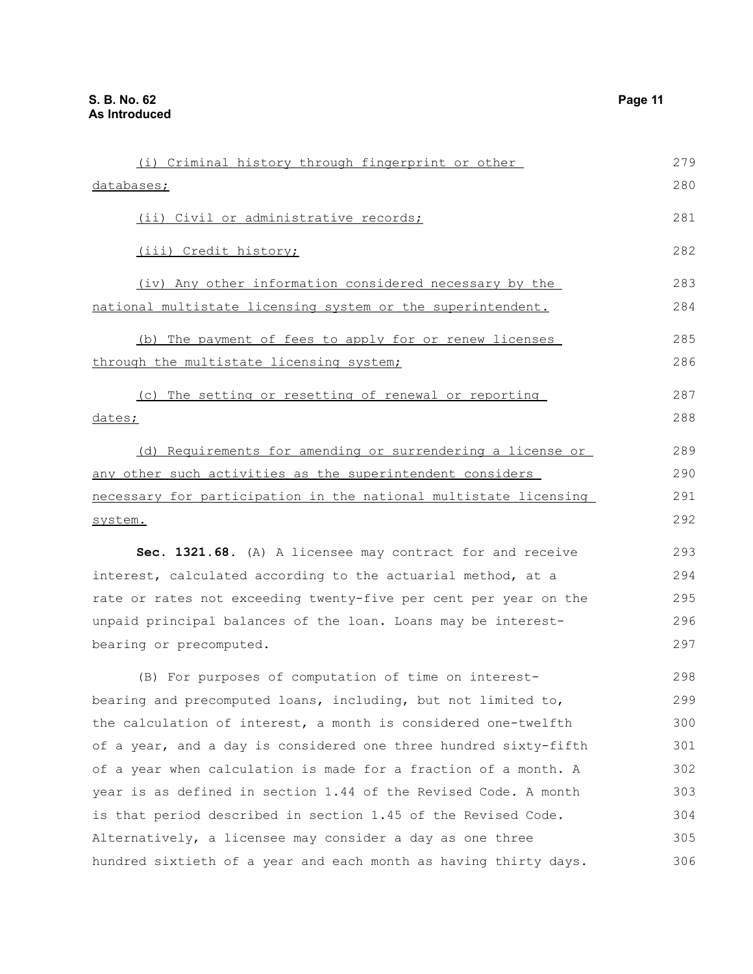| (i) Criminal history through fingerprint or other                | 279 |
|------------------------------------------------------------------|-----|
| databases;                                                       | 280 |
| (ii) Civil or administrative records;                            | 281 |
| (iii) Credit history;                                            | 282 |
| (iv) Any other information considered necessary by the           | 283 |
| national multistate licensing system or the superintendent.      | 284 |
| (b) The payment of fees to apply for or renew licenses           | 285 |
| through the multistate licensing system;                         | 286 |
| (c) The setting or resetting of renewal or reporting             | 287 |
| dates;                                                           | 288 |
| (d) Requirements for amending or surrendering a license or       | 289 |
| any other such activities as the superintendent considers        | 290 |
| necessary for participation in the national multistate licensing | 291 |
| system.                                                          | 292 |
| Sec. 1321.68. (A) A licensee may contract for and receive        | 293 |
| interest, calculated according to the actuarial method, at a     | 294 |
| rate or rates not exceeding twenty-five per cent per year on the | 295 |
| unpaid principal balances of the loan. Loans may be interest-    | 296 |
| bearing or precomputed.                                          | 297 |
| (B) For purposes of computation of time on interest-             | 298 |
| bearing and precomputed loans, including, but not limited to,    | 299 |
| the calculation of interest, a month is considered one-twelfth   | 300 |
| of a year, and a day is considered one three hundred sixty-fifth | 301 |
| of a year when calculation is made for a fraction of a month. A  | 302 |
| year is as defined in section 1.44 of the Revised Code. A month  | 303 |
| is that period described in section 1.45 of the Revised Code.    | 304 |
| Alternatively, a licensee may consider a day as one three        | 305 |
| hundred sixtieth of a year and each month as having thirty days. | 306 |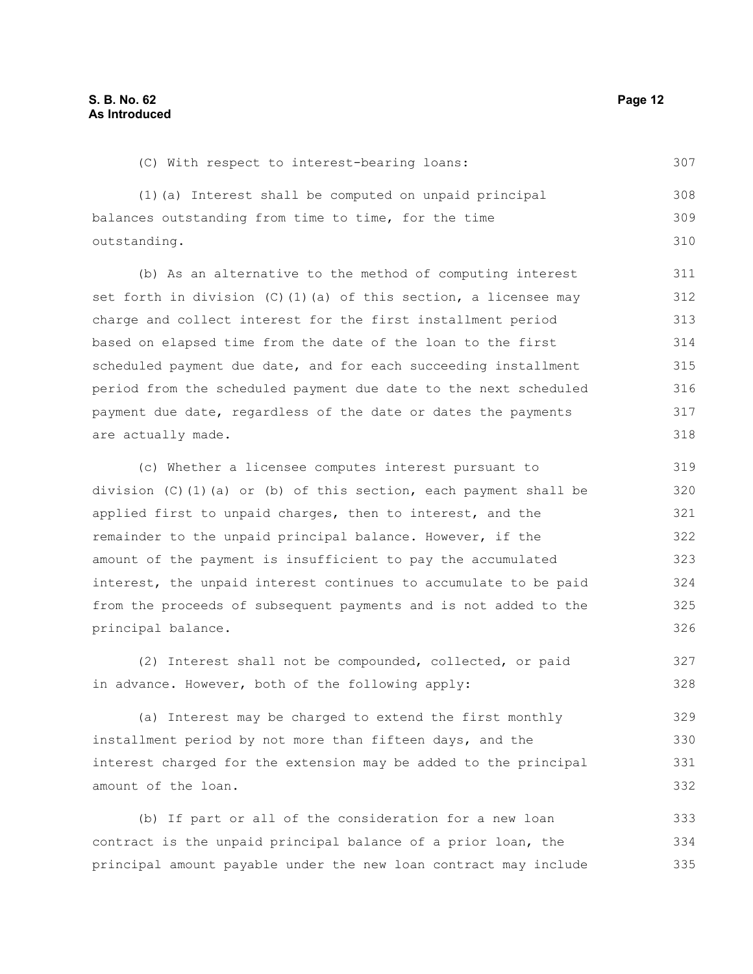|  |  | (C) With respect to interest-bearing loans: |  |
|--|--|---------------------------------------------|--|

(1)(a) Interest shall be computed on unpaid principal balances outstanding from time to time, for the time outstanding. 308 309 310

(b) As an alternative to the method of computing interest set forth in division  $(C)$  (1)(a) of this section, a licensee may charge and collect interest for the first installment period based on elapsed time from the date of the loan to the first scheduled payment due date, and for each succeeding installment period from the scheduled payment due date to the next scheduled payment due date, regardless of the date or dates the payments are actually made.

(c) Whether a licensee computes interest pursuant to division  $(C)$  (1)(a) or (b) of this section, each payment shall be applied first to unpaid charges, then to interest, and the remainder to the unpaid principal balance. However, if the amount of the payment is insufficient to pay the accumulated interest, the unpaid interest continues to accumulate to be paid from the proceeds of subsequent payments and is not added to the principal balance. 319 320 321 322 323 324 325 326

(2) Interest shall not be compounded, collected, or paid in advance. However, both of the following apply: 327 328

(a) Interest may be charged to extend the first monthly installment period by not more than fifteen days, and the interest charged for the extension may be added to the principal amount of the loan. 329 330 331 332

(b) If part or all of the consideration for a new loan contract is the unpaid principal balance of a prior loan, the principal amount payable under the new loan contract may include 333 334 335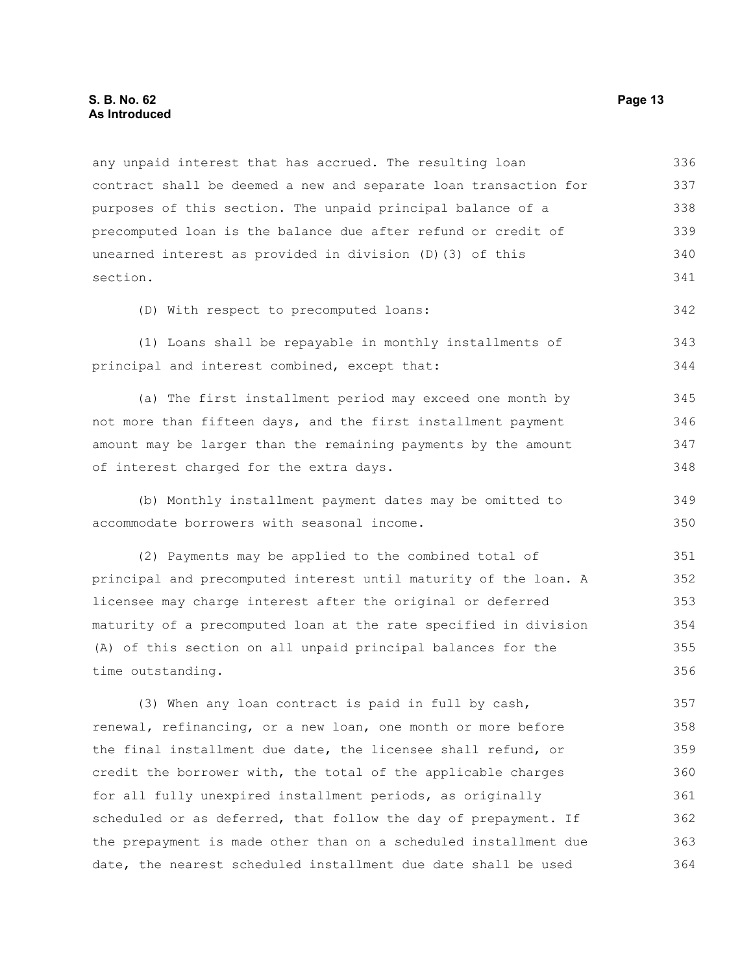#### **S. B. No. 62 Page 13 As Introduced**

any unpaid interest that has accrued. The resulting loan contract shall be deemed a new and separate loan transaction for purposes of this section. The unpaid principal balance of a precomputed loan is the balance due after refund or credit of unearned interest as provided in division (D)(3) of this section. (D) With respect to precomputed loans: (1) Loans shall be repayable in monthly installments of principal and interest combined, except that: (a) The first installment period may exceed one month by not more than fifteen days, and the first installment payment amount may be larger than the remaining payments by the amount of interest charged for the extra days. (b) Monthly installment payment dates may be omitted to accommodate borrowers with seasonal income. (2) Payments may be applied to the combined total of principal and precomputed interest until maturity of the loan. A licensee may charge interest after the original or deferred maturity of a precomputed loan at the rate specified in division (A) of this section on all unpaid principal balances for the time outstanding. (3) When any loan contract is paid in full by cash, renewal, refinancing, or a new loan, one month or more before the final installment due date, the licensee shall refund, or credit the borrower with, the total of the applicable charges for all fully unexpired installment periods, as originally scheduled or as deferred, that follow the day of prepayment. If the prepayment is made other than on a scheduled installment due date, the nearest scheduled installment due date shall be used 336 337 338 339 340 341 342 343 344 345 346 347 348 349 350 351 352 353 354 355 356 357 358 359 360 361 362 363 364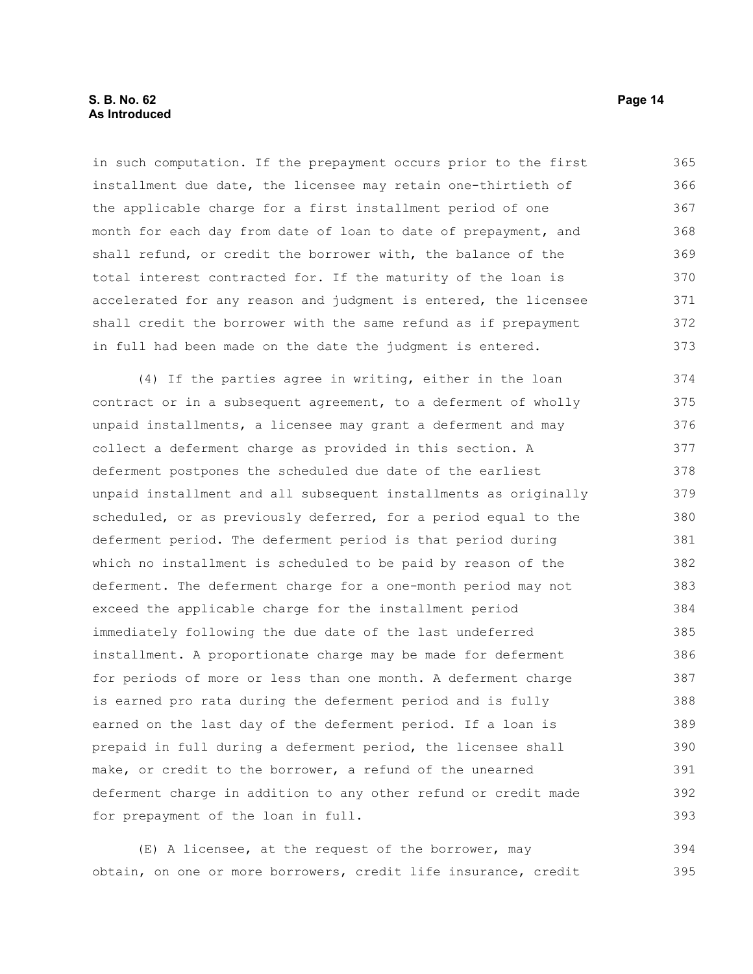in such computation. If the prepayment occurs prior to the first installment due date, the licensee may retain one-thirtieth of the applicable charge for a first installment period of one month for each day from date of loan to date of prepayment, and shall refund, or credit the borrower with, the balance of the total interest contracted for. If the maturity of the loan is accelerated for any reason and judgment is entered, the licensee shall credit the borrower with the same refund as if prepayment in full had been made on the date the judgment is entered. 365 366 367 368 369 370 371 372 373

(4) If the parties agree in writing, either in the loan contract or in a subsequent agreement, to a deferment of wholly unpaid installments, a licensee may grant a deferment and may collect a deferment charge as provided in this section. A deferment postpones the scheduled due date of the earliest unpaid installment and all subsequent installments as originally scheduled, or as previously deferred, for a period equal to the deferment period. The deferment period is that period during which no installment is scheduled to be paid by reason of the deferment. The deferment charge for a one-month period may not exceed the applicable charge for the installment period immediately following the due date of the last undeferred installment. A proportionate charge may be made for deferment for periods of more or less than one month. A deferment charge is earned pro rata during the deferment period and is fully earned on the last day of the deferment period. If a loan is prepaid in full during a deferment period, the licensee shall make, or credit to the borrower, a refund of the unearned deferment charge in addition to any other refund or credit made for prepayment of the loan in full. 374 375 376 377 378 379 380 381 382 383 384 385 386 387 388 389 390 391 392 393

(E) A licensee, at the request of the borrower, may obtain, on one or more borrowers, credit life insurance, credit 394 395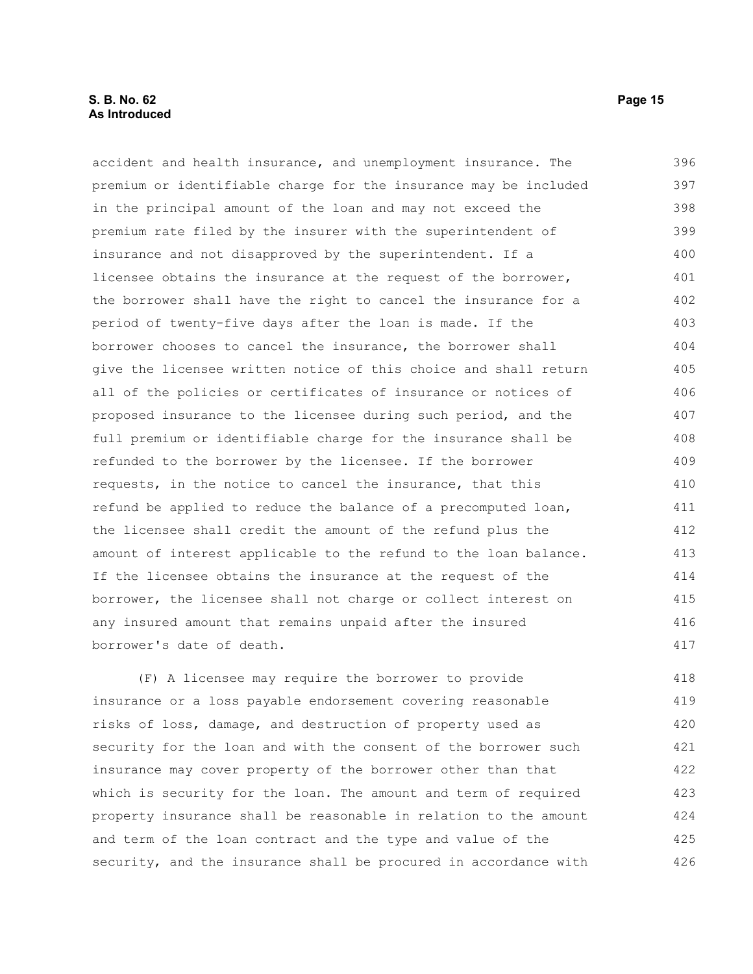#### **S. B. No. 62 Page 15 As Introduced**

accident and health insurance, and unemployment insurance. The premium or identifiable charge for the insurance may be included in the principal amount of the loan and may not exceed the premium rate filed by the insurer with the superintendent of insurance and not disapproved by the superintendent. If a licensee obtains the insurance at the request of the borrower, the borrower shall have the right to cancel the insurance for a period of twenty-five days after the loan is made. If the borrower chooses to cancel the insurance, the borrower shall give the licensee written notice of this choice and shall return all of the policies or certificates of insurance or notices of proposed insurance to the licensee during such period, and the full premium or identifiable charge for the insurance shall be refunded to the borrower by the licensee. If the borrower requests, in the notice to cancel the insurance, that this refund be applied to reduce the balance of a precomputed loan, the licensee shall credit the amount of the refund plus the amount of interest applicable to the refund to the loan balance. If the licensee obtains the insurance at the request of the borrower, the licensee shall not charge or collect interest on any insured amount that remains unpaid after the insured borrower's date of death. 396 397 398 399 400 401 402 403 404 405 406 407 408 409 410 411 412 413 414 415 416 417

(F) A licensee may require the borrower to provide insurance or a loss payable endorsement covering reasonable risks of loss, damage, and destruction of property used as security for the loan and with the consent of the borrower such insurance may cover property of the borrower other than that which is security for the loan. The amount and term of required property insurance shall be reasonable in relation to the amount and term of the loan contract and the type and value of the security, and the insurance shall be procured in accordance with 418 419 420 421 422 423 424 425 426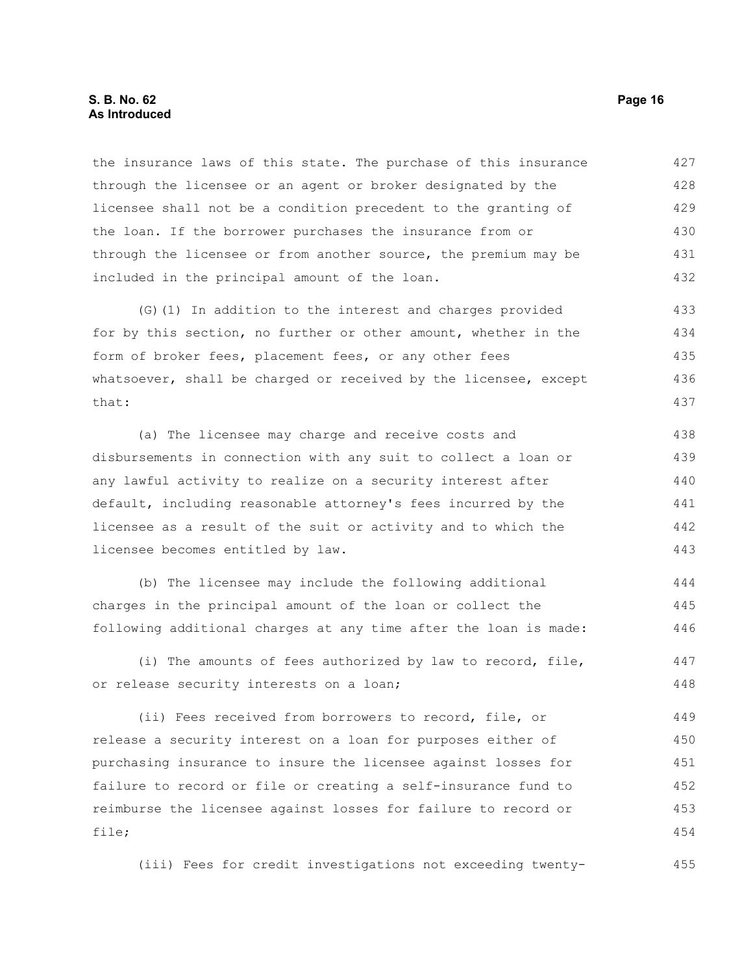#### **S. B. No. 62 Page 16 As Introduced**

the insurance laws of this state. The purchase of this insurance through the licensee or an agent or broker designated by the licensee shall not be a condition precedent to the granting of the loan. If the borrower purchases the insurance from or through the licensee or from another source, the premium may be included in the principal amount of the loan. 427 428 429 430 431 432

(G)(1) In addition to the interest and charges provided for by this section, no further or other amount, whether in the form of broker fees, placement fees, or any other fees whatsoever, shall be charged or received by the licensee, except that: 433 434 435 436 437

(a) The licensee may charge and receive costs and disbursements in connection with any suit to collect a loan or any lawful activity to realize on a security interest after default, including reasonable attorney's fees incurred by the licensee as a result of the suit or activity and to which the licensee becomes entitled by law. 438 439 440 441 442 443

(b) The licensee may include the following additional charges in the principal amount of the loan or collect the following additional charges at any time after the loan is made: 444 445 446

(i) The amounts of fees authorized by law to record, file, or release security interests on a loan; 447 448

(ii) Fees received from borrowers to record, file, or release a security interest on a loan for purposes either of purchasing insurance to insure the licensee against losses for failure to record or file or creating a self-insurance fund to reimburse the licensee against losses for failure to record or file; 449 450 451 452 453 454

(iii) Fees for credit investigations not exceeding twenty-455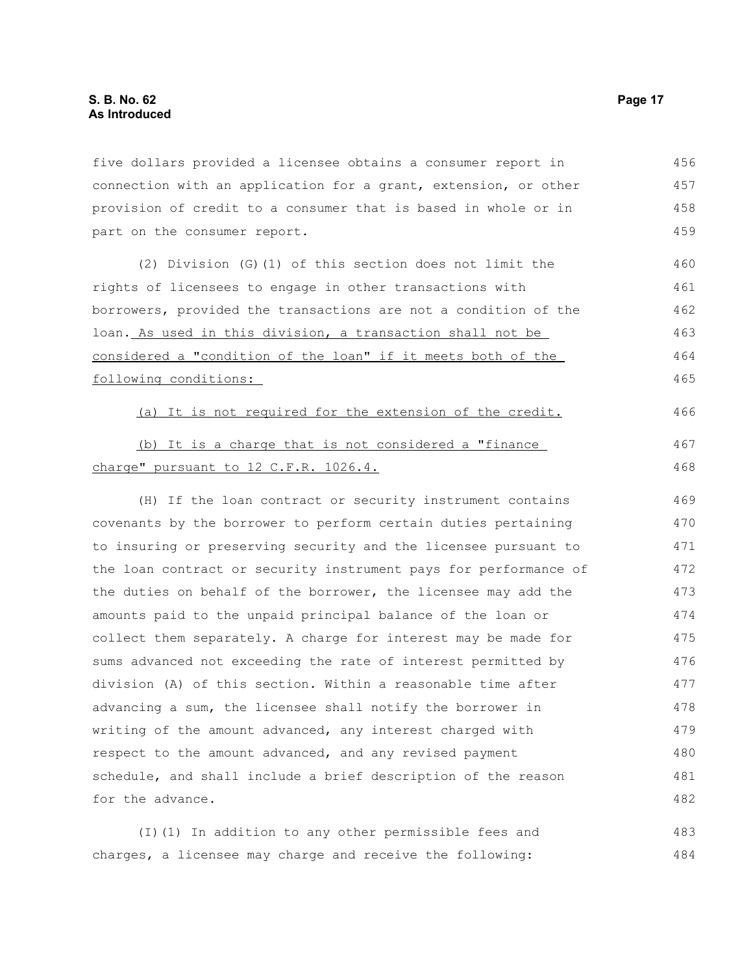five dollars provided a licensee obtains a consumer report in connection with an application for a grant, extension, or other provision of credit to a consumer that is based in whole or in part on the consumer report. 456 457 458 459

(2) Division (G)(1) of this section does not limit the rights of licensees to engage in other transactions with borrowers, provided the transactions are not a condition of the loan. As used in this division, a transaction shall not be considered a "condition of the loan" if it meets both of the following conditions:

(a) It is not required for the extension of the credit. (b) It is a charge that is not considered a "finance 466 467

#### charge" pursuant to 12 C.F.R. 1026.4.

(H) If the loan contract or security instrument contains covenants by the borrower to perform certain duties pertaining to insuring or preserving security and the licensee pursuant to the loan contract or security instrument pays for performance of the duties on behalf of the borrower, the licensee may add the amounts paid to the unpaid principal balance of the loan or collect them separately. A charge for interest may be made for sums advanced not exceeding the rate of interest permitted by division (A) of this section. Within a reasonable time after advancing a sum, the licensee shall notify the borrower in writing of the amount advanced, any interest charged with respect to the amount advanced, and any revised payment schedule, and shall include a brief description of the reason for the advance. 469 470 471 472 473 474 475 476 477 478 479 480 481 482

(I)(1) In addition to any other permissible fees and charges, a licensee may charge and receive the following: 483 484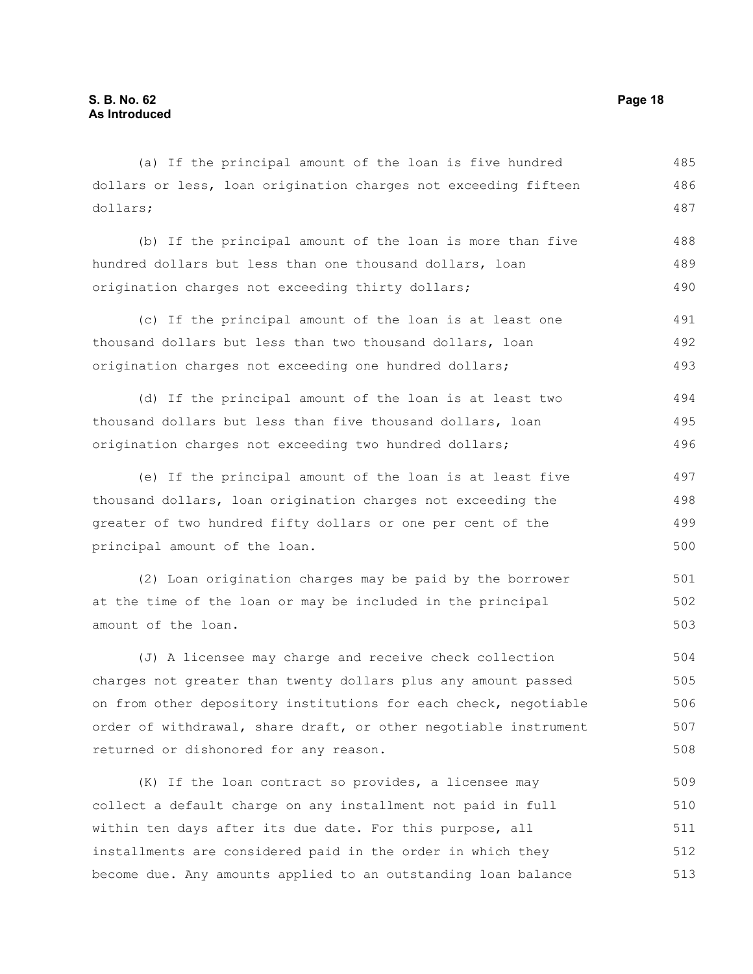(a) If the principal amount of the loan is five hundred dollars or less, loan origination charges not exceeding fifteen dollars; 485 486 487

(b) If the principal amount of the loan is more than five hundred dollars but less than one thousand dollars, loan origination charges not exceeding thirty dollars; 488 489 490

(c) If the principal amount of the loan is at least one thousand dollars but less than two thousand dollars, loan origination charges not exceeding one hundred dollars; 491 492 493

(d) If the principal amount of the loan is at least two thousand dollars but less than five thousand dollars, loan origination charges not exceeding two hundred dollars; 494 495 496

(e) If the principal amount of the loan is at least five thousand dollars, loan origination charges not exceeding the greater of two hundred fifty dollars or one per cent of the principal amount of the loan. 497 498 499 500

(2) Loan origination charges may be paid by the borrower at the time of the loan or may be included in the principal amount of the loan. 501 502 503

(J) A licensee may charge and receive check collection charges not greater than twenty dollars plus any amount passed on from other depository institutions for each check, negotiable order of withdrawal, share draft, or other negotiable instrument returned or dishonored for any reason. 504 505 506 507 508

(K) If the loan contract so provides, a licensee may collect a default charge on any installment not paid in full within ten days after its due date. For this purpose, all installments are considered paid in the order in which they become due. Any amounts applied to an outstanding loan balance 509 510 511 512 513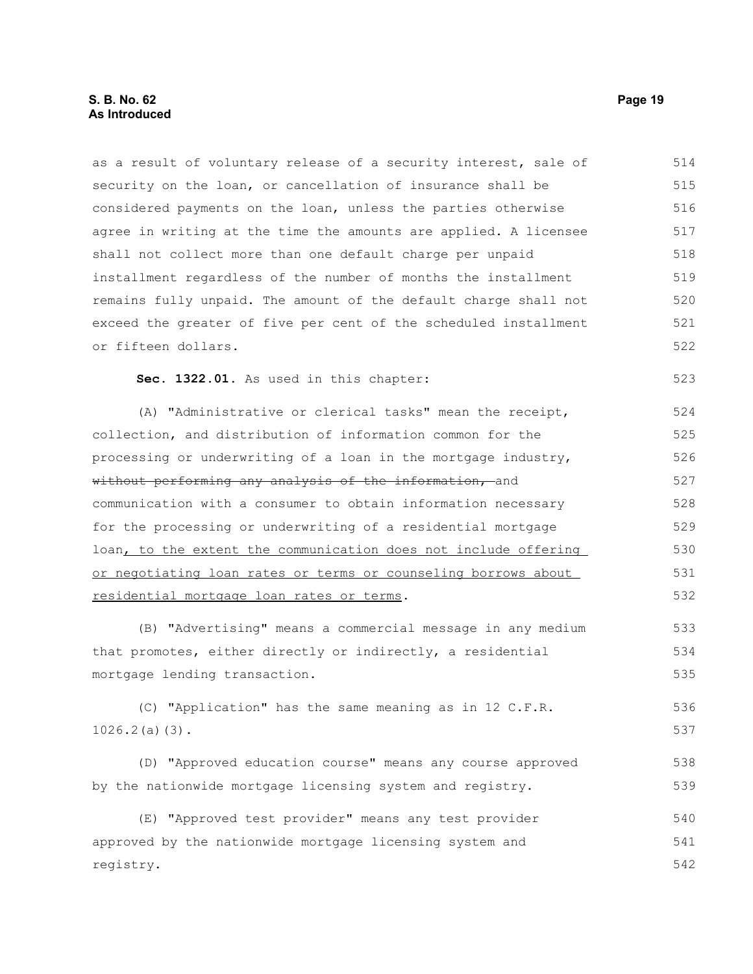as a result of voluntary release of a security interest, sale of security on the loan, or cancellation of insurance shall be considered payments on the loan, unless the parties otherwise agree in writing at the time the amounts are applied. A licensee shall not collect more than one default charge per unpaid installment regardless of the number of months the installment remains fully unpaid. The amount of the default charge shall not exceed the greater of five per cent of the scheduled installment or fifteen dollars. 514 515 516 517 518 519 520 521 522

**Sec. 1322.01.** As used in this chapter:

(A) "Administrative or clerical tasks" mean the receipt, collection, and distribution of information common for the processing or underwriting of a loan in the mortgage industry, without performing any analysis of the information, and communication with a consumer to obtain information necessary for the processing or underwriting of a residential mortgage loan, to the extent the communication does not include offering or negotiating loan rates or terms or counseling borrows about residential mortgage loan rates or terms. 524 525 526 527 528 529 530 531 532

(B) "Advertising" means a commercial message in any medium that promotes, either directly or indirectly, a residential mortgage lending transaction.

(C) "Application" has the same meaning as in 12 C.F.R. 1026.2(a)(3). 536 537

(D) "Approved education course" means any course approved by the nationwide mortgage licensing system and registry. 538 539

(E) "Approved test provider" means any test provider approved by the nationwide mortgage licensing system and registry. 540 541 542

523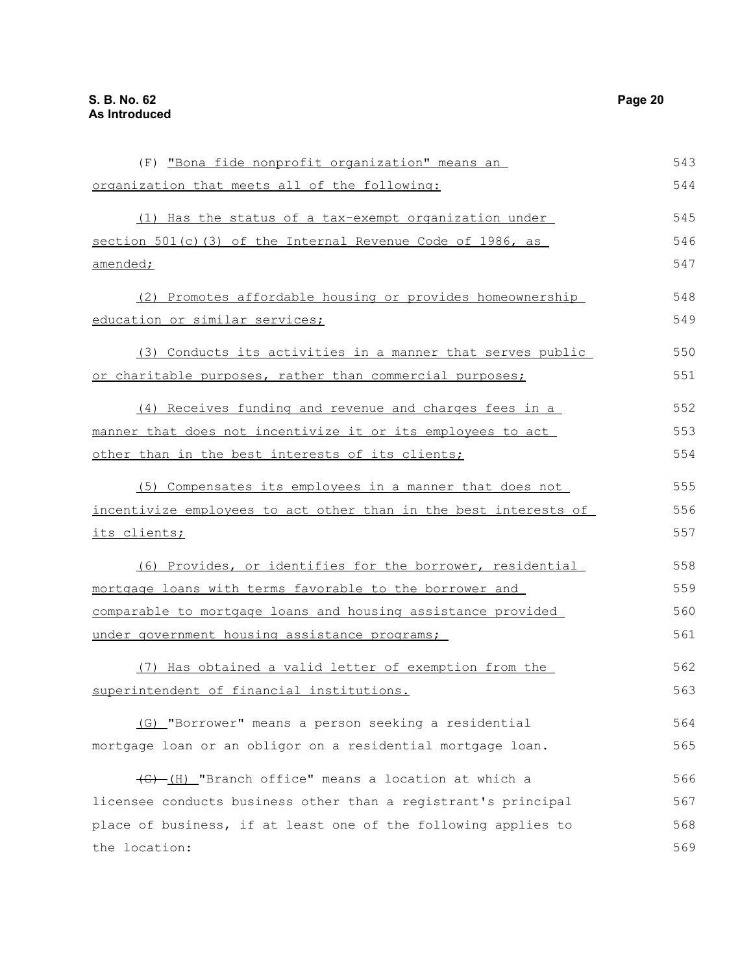| (F) "Bona fide nonprofit organization" means an                  | 543 |
|------------------------------------------------------------------|-----|
| organization that meets all of the following:                    | 544 |
| (1) Has the status of a tax-exempt organization under            | 545 |
| section 501(c)(3) of the Internal Revenue Code of 1986, as       | 546 |
| amended;                                                         | 547 |
| (2) Promotes affordable housing or provides homeownership        | 548 |
| education or similar services;                                   | 549 |
| (3) Conducts its activities in a manner that serves public       | 550 |
| or charitable purposes, rather than commercial purposes;         | 551 |
| (4) Receives funding and revenue and charges fees in a           | 552 |
| manner that does not incentivize it or its employees to act      | 553 |
| other than in the best interests of its clients;                 | 554 |
| (5) Compensates its employees in a manner that does not          | 555 |
| incentivize employees to act other than in the best interests of | 556 |
| its clients;                                                     | 557 |
| (6) Provides, or identifies for the borrower, residential        | 558 |
| mortgage loans with terms favorable to the borrower and          | 559 |
| comparable to mortgage loans and housing assistance provided     | 560 |
| under government housing assistance programs;                    | 561 |
| (7) Has obtained a valid letter of exemption from the            | 562 |
| superintendent of financial institutions.                        | 563 |
| (G) "Borrower" means a person seeking a residential              | 564 |
| mortgage loan or an obligor on a residential mortgage loan.      | 565 |
| (G) (H) "Branch office" means a location at which a              | 566 |
| licensee conducts business other than a registrant's principal   | 567 |
| place of business, if at least one of the following applies to   | 568 |
| the location:                                                    | 569 |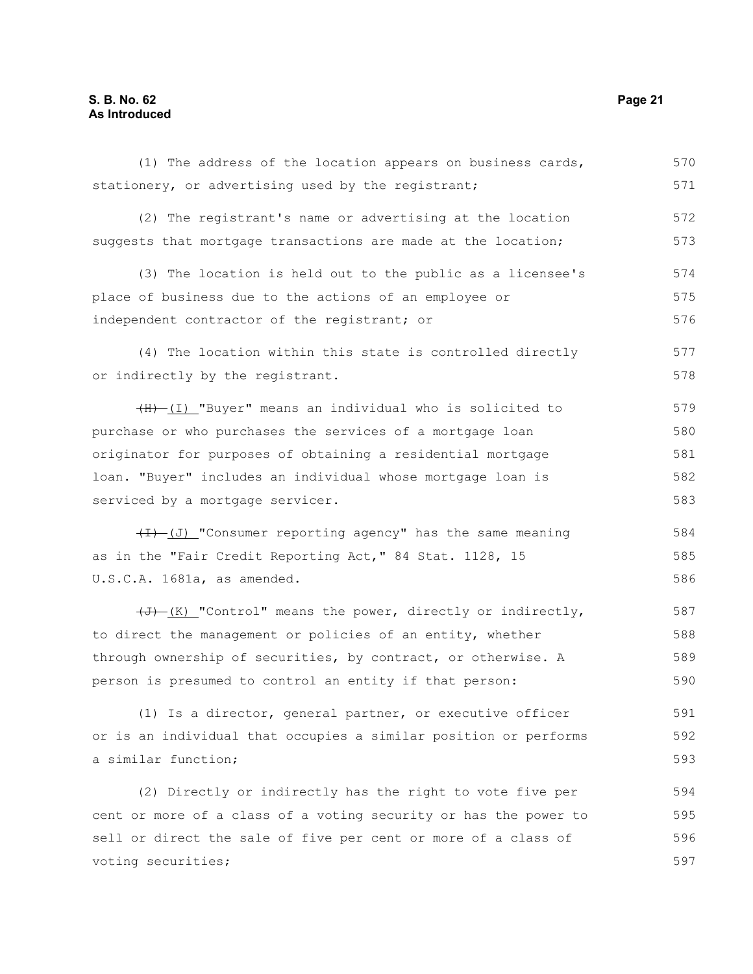### **S. B. No. 62 Page 21 As Introduced**

| (1) The address of the location appears on business cards,              | 570 |
|-------------------------------------------------------------------------|-----|
| stationery, or advertising used by the registrant;                      | 571 |
| (2) The registrant's name or advertising at the location                | 572 |
| suggests that mortgage transactions are made at the location;           | 573 |
| (3) The location is held out to the public as a licensee's              | 574 |
| place of business due to the actions of an employee or                  | 575 |
| independent contractor of the registrant; or                            | 576 |
| (4) The location within this state is controlled directly               | 577 |
| or indirectly by the registrant.                                        | 578 |
| (H) (I) "Buyer" means an individual who is solicited to                 | 579 |
| purchase or who purchases the services of a mortgage loan               | 580 |
| originator for purposes of obtaining a residential mortgage             | 581 |
| loan. "Buyer" includes an individual whose mortgage loan is             | 582 |
| serviced by a mortgage servicer.                                        | 583 |
| $\overline{(1)}$ (J) "Consumer reporting agency" has the same meaning   | 584 |
| as in the "Fair Credit Reporting Act," 84 Stat. 1128, 15                | 585 |
| U.S.C.A. 1681a, as amended.                                             | 586 |
| $\overline{(t)}$ (K) "Control" means the power, directly or indirectly, | 587 |
| to direct the management or policies of an entity, whether              | 588 |
| through ownership of securities, by contract, or otherwise. A           | 589 |
| person is presumed to control an entity if that person:                 | 590 |
| (1) Is a director, general partner, or executive officer                | 591 |
| or is an individual that occupies a similar position or performs        | 592 |
| a similar function;                                                     | 593 |
| (2) Directly or indirectly has the right to vote five per               | 594 |

cent or more of a class of a voting security or has the power to sell or direct the sale of five per cent or more of a class of voting securities; 595 596 597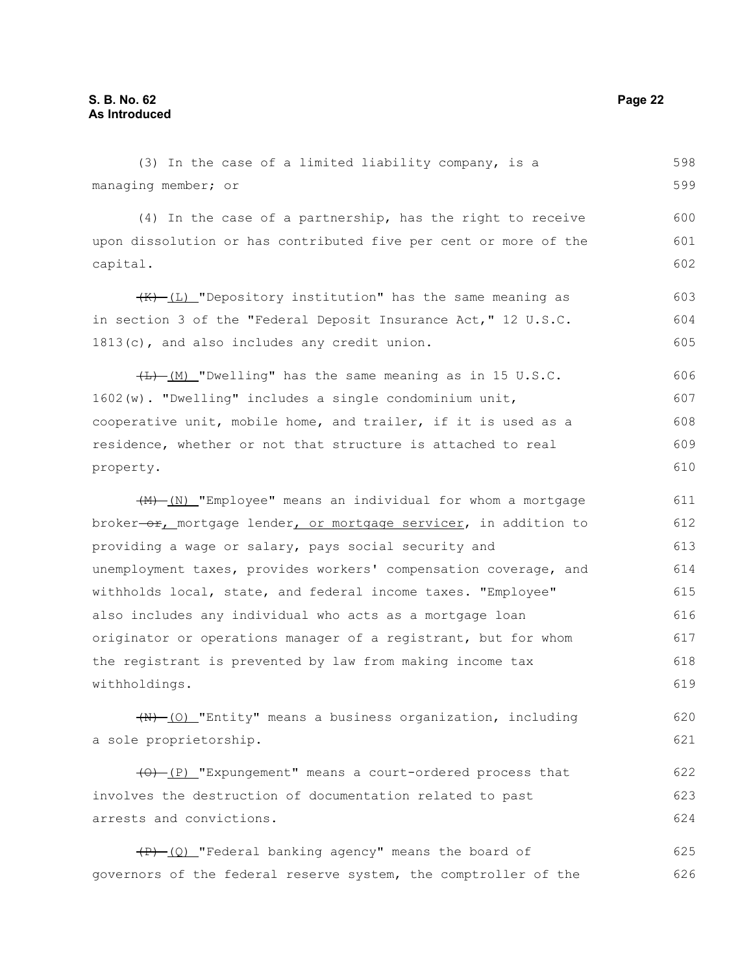managing member; or (4) In the case of a partnership, has the right to receive upon dissolution or has contributed five per cent or more of the capital.  $(K)$  (L) "Depository institution" has the same meaning as in section 3 of the "Federal Deposit Insurance Act," 12 U.S.C. 1813(c), and also includes any credit union.  $H_{\text{H}}(M)$  "Dwelling" has the same meaning as in 15 U.S.C. 1602(w). "Dwelling" includes a single condominium unit, cooperative unit, mobile home, and trailer, if it is used as a residence, whether or not that structure is attached to real property. (M) (N) "Employee" means an individual for whom a mortgage broker-or, mortgage lender, or mortgage servicer, in addition to providing a wage or salary, pays social security and unemployment taxes, provides workers' compensation coverage, and withholds local, state, and federal income taxes. "Employee" also includes any individual who acts as a mortgage loan originator or operations manager of a registrant, but for whom the registrant is prevented by law from making income tax withholdings. (N) (O) "Entity" means a business organization, including a sole proprietorship. 599 600 601 602 603 604 605 606 607 608 609 610 611 612 613 614 615 616 617 618 619 620 621

(3) In the case of a limited liability company, is a

(O) (P) "Expungement" means a court-ordered process that involves the destruction of documentation related to past arrests and convictions. 622 623 624

 $(P)$  (Q) "Federal banking agency" means the board of governors of the federal reserve system, the comptroller of the 625 626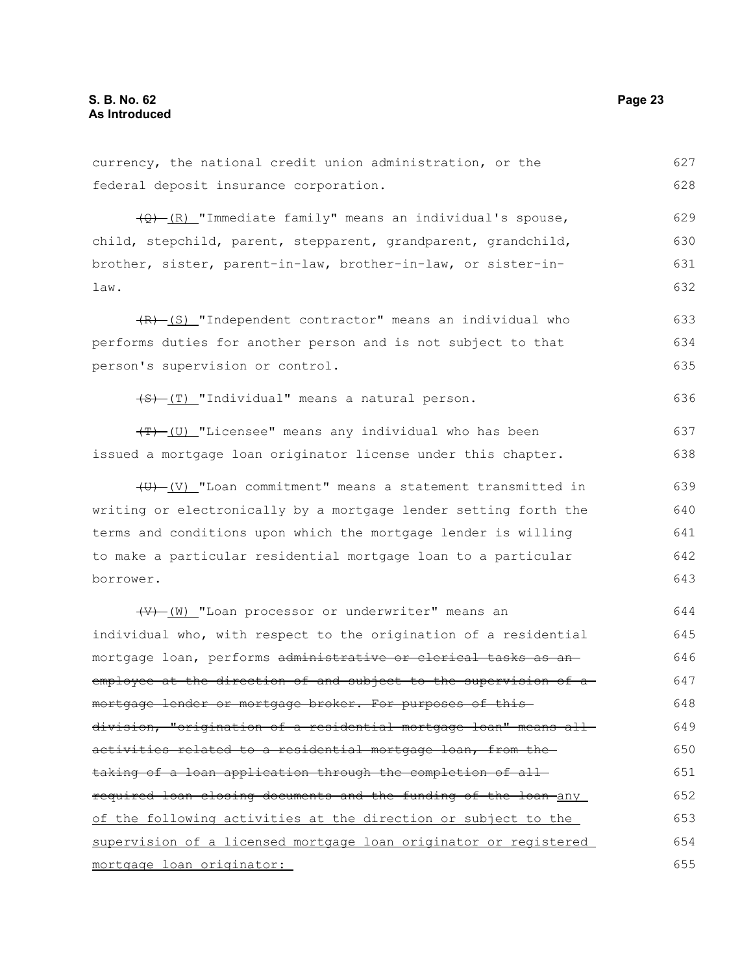| currency, the national credit union administration, or the              | 627 |
|-------------------------------------------------------------------------|-----|
| federal deposit insurance corporation.                                  | 628 |
| $\frac{1}{2}$ (R) "Immediate family" means an individual's spouse,      | 629 |
| child, stepchild, parent, stepparent, grandparent, grandchild,          | 630 |
| brother, sister, parent-in-law, brother-in-law, or sister-in-           | 631 |
| law.                                                                    | 632 |
| $(R)$ (S) "Independent contractor" means an individual who              | 633 |
| performs duties for another person and is not subject to that           | 634 |
| person's supervision or control.                                        | 635 |
| (S) (T) "Individual" means a natural person.                            | 636 |
| (T) (U) "Licensee" means any individual who has been                    | 637 |
| issued a mortgage loan originator license under this chapter.           | 638 |
| $\overline{(U)}$ (V) "Loan commitment" means a statement transmitted in | 639 |
| writing or electronically by a mortgage lender setting forth the        | 640 |
| terms and conditions upon which the mortgage lender is willing          | 641 |
| to make a particular residential mortgage loan to a particular          | 642 |
| borrower.                                                               | 643 |
| (V) (W) "Loan processor or underwriter" means an                        | 644 |
| individual who, with respect to the origination of a residential        | 645 |
| mortgage loan, performs administrative or clerical tasks as an-         | 646 |
| employee at the direction of and subject to the supervision of a        | 647 |
| mortgage lender or mortgage broker. For purposes of this-               | 648 |
| division, "origination of a residential mortgage loan" means all        | 649 |
| activities related to a residential mortgage loan, from the             | 650 |
| taking of a loan application through the completion of all-             | 651 |
| required loan closing documents and the funding of the loan any         | 652 |
| of the following activities at the direction or subject to the          | 653 |
| supervision of a licensed mortgage loan originator or registered        | 654 |
| mortgage loan originator:                                               | 655 |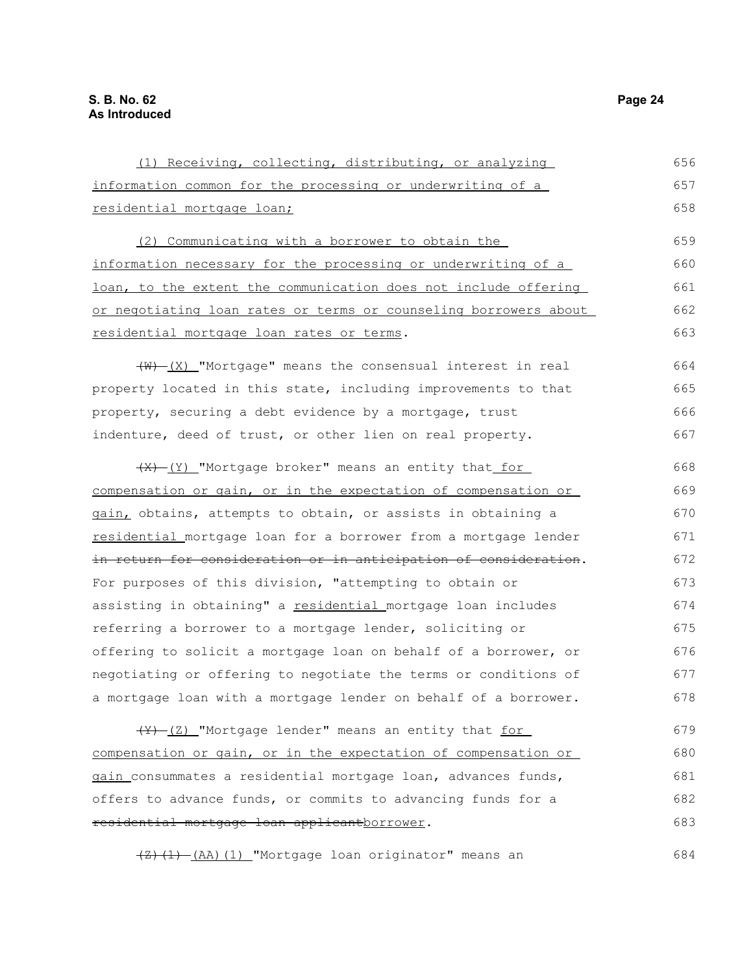| (1) Receiving, collecting, distributing, or analyzing            | 656 |
|------------------------------------------------------------------|-----|
| information common for the processing or underwriting of a       | 657 |
| residential mortgage loan;                                       | 658 |
| (2) Communicating with a borrower to obtain the                  | 659 |
| information necessary for the processing or underwriting of a    | 660 |
| loan, to the extent the communication does not include offering  | 661 |
| or negotiating loan rates or terms or counseling borrowers about | 662 |
| residential mortgage loan rates or terms.                        | 663 |
| $(W)$ $(X)$ "Mortgage" means the consensual interest in real     | 664 |
| property located in this state, including improvements to that   | 665 |
| property, securing a debt evidence by a mortgage, trust          | 666 |
| indenture, deed of trust, or other lien on real property.        | 667 |
| (X) (Y) "Mortgage broker" means an entity that for               | 668 |
| compensation or gain, or in the expectation of compensation or   | 669 |
| gain, obtains, attempts to obtain, or assists in obtaining a     | 670 |
| residential mortgage loan for a borrower from a mortgage lender  | 671 |
| in return for consideration or in anticipation of consideration. | 672 |
| For purposes of this division, "attempting to obtain or          | 673 |
| assisting in obtaining" a residential mortgage loan includes     | 674 |
| referring a borrower to a mortgage lender, soliciting or         | 675 |
| offering to solicit a mortgage loan on behalf of a borrower, or  | 676 |
| negotiating or offering to negotiate the terms or conditions of  | 677 |
| a mortgage loan with a mortgage lender on behalf of a borrower.  | 678 |
| (Y) (Z) "Mortgage lender" means an entity that for               | 679 |
| compensation or gain, or in the expectation of compensation or   | 680 |
| gain consummates a residential mortgage loan, advances funds,    | 681 |
| offers to advance funds, or commits to advancing funds for a     | 682 |
| residential mortgage loan applicantborrower.                     | 683 |

(Z)(1) (AA)(1) "Mortgage loan originator" means an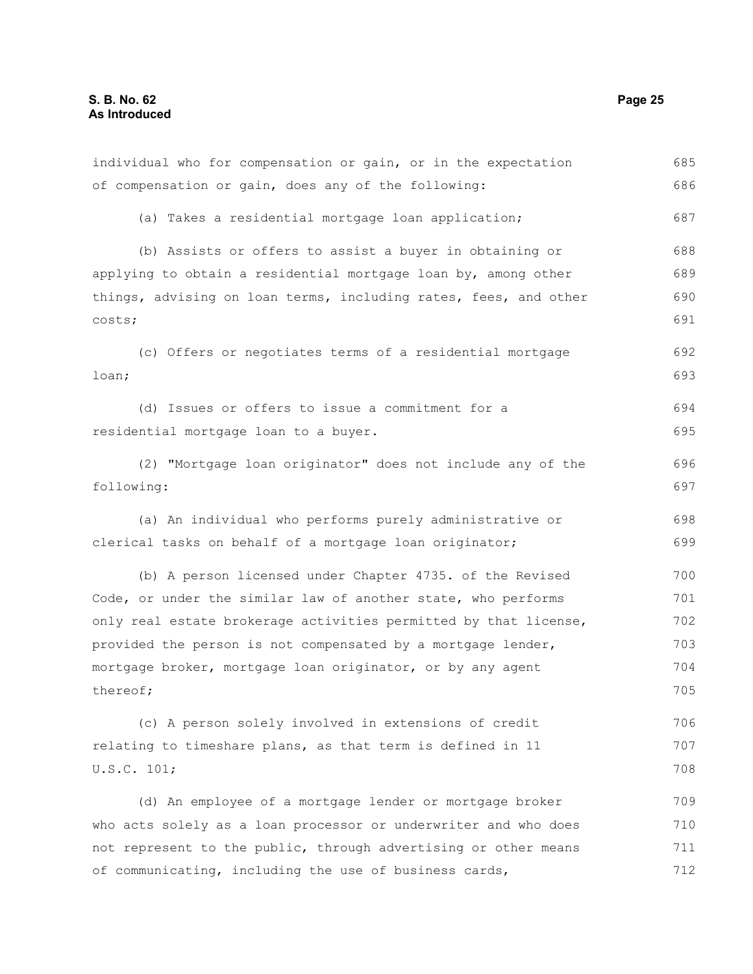individual who for compensation or gain, or in the expectation of compensation or gain, does any of the following: (a) Takes a residential mortgage loan application; (b) Assists or offers to assist a buyer in obtaining or applying to obtain a residential mortgage loan by, among other things, advising on loan terms, including rates, fees, and other costs; (c) Offers or negotiates terms of a residential mortgage loan; (d) Issues or offers to issue a commitment for a residential mortgage loan to a buyer. (2) "Mortgage loan originator" does not include any of the following: (a) An individual who performs purely administrative or clerical tasks on behalf of a mortgage loan originator; (b) A person licensed under Chapter 4735. of the Revised Code, or under the similar law of another state, who performs only real estate brokerage activities permitted by that license, provided the person is not compensated by a mortgage lender, mortgage broker, mortgage loan originator, or by any agent thereof; (c) A person solely involved in extensions of credit relating to timeshare plans, as that term is defined in 11 U.S.C. 101; (d) An employee of a mortgage lender or mortgage broker who acts solely as a loan processor or underwriter and who does not represent to the public, through advertising or other means of communicating, including the use of business cards, 685 686 687 688 689 690 691 692 693 694 695 696 697 698 699 700 701 702 703 704 705 706 707 708 709 710 711 712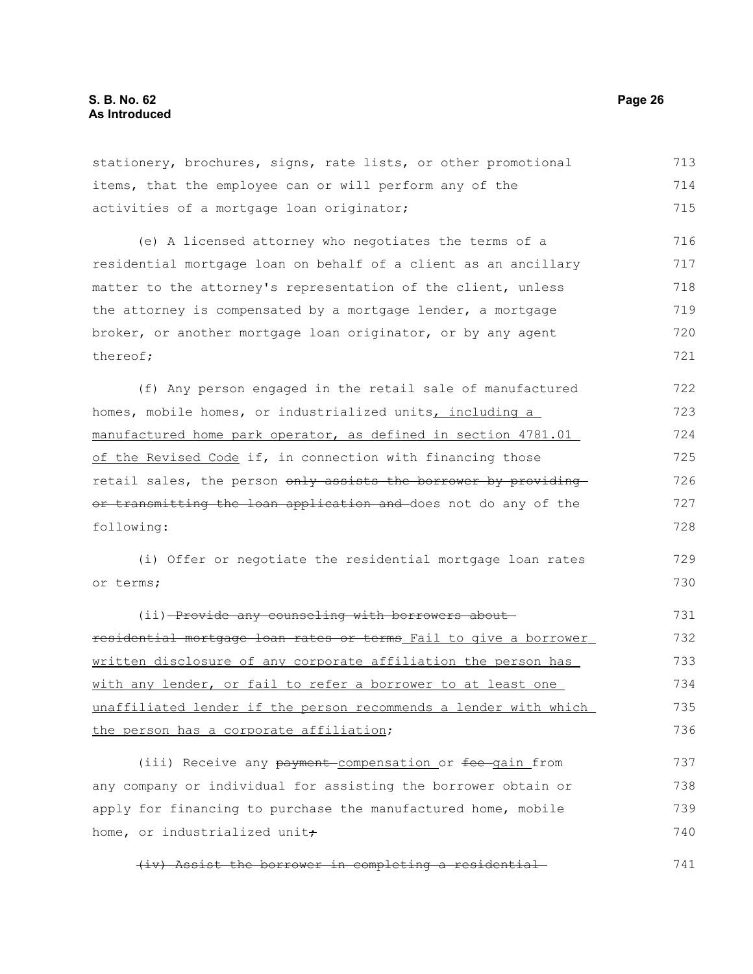stationery, brochures, signs, rate lists, or other promotional items, that the employee can or will perform any of the activities of a mortgage loan originator; (e) A licensed attorney who negotiates the terms of a residential mortgage loan on behalf of a client as an ancillary matter to the attorney's representation of the client, unless the attorney is compensated by a mortgage lender, a mortgage broker, or another mortgage loan originator, or by any agent thereof; (f) Any person engaged in the retail sale of manufactured homes, mobile homes, or industrialized units, including a manufactured home park operator, as defined in section 4781.01 of the Revised Code if, in connection with financing those retail sales, the person only assists the borrower by providing or transmitting the loan application and does not do any of the following: (i) Offer or negotiate the residential mortgage loan rates or terms; (ii) Provide any counseling with borrowers aboutresidential mortgage loan rates or terms Fail to give a borrower written disclosure of any corporate affiliation the person has with any lender, or fail to refer a borrower to at least one unaffiliated lender if the person recommends a lender with which the person has a corporate affiliation; (iii) Receive any payment compensation or fee gain from any company or individual for assisting the borrower obtain or apply for financing to purchase the manufactured home, mobile home, or industrialized unit $\dot{\tau}$ 713 714 715 716 717 718 719 720 721 722 723 724 725 726 727 728 729 730 731 732 733 734 735 736 737 738 739 740

(iv) Assist the borrower in completing a residential 741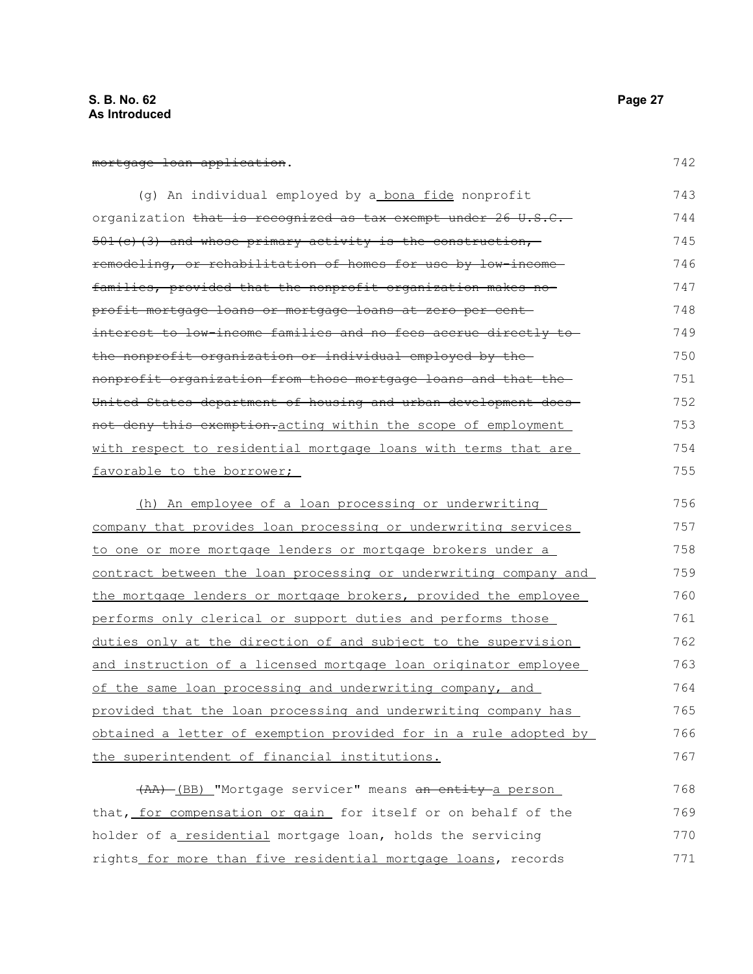#### mortgage loan application.

| (g) An individual employed by a bona fide nonprofit                                                 | 743 |
|-----------------------------------------------------------------------------------------------------|-----|
| organization <del>that is recognized as tax exempt under 26 U.S.C.</del>                            | 744 |
| 501(c)(3) and whose primary activity is the construction,                                           | 745 |
| remodeling, or rehabilitation of homes for use by low-income-                                       | 746 |
| families, provided that the nonprofit organization makes no-                                        | 747 |
| <del>profit mortgage loans or mortgage loans at zero per cent-</del>                                | 748 |
| interest to low-income families and no fees accrue directly to-                                     | 749 |
| the nonprofit organization or individual employed by the                                            | 750 |
| nonprofit organization from those mortgage loans and that the-                                      | 751 |
| United States department of housing and urban development does-                                     | 752 |
| not deny this exemption.acting within the scope of employment                                       | 753 |
| with respect to residential mortgage loans with terms that are                                      | 754 |
| favorable to the borrower;                                                                          | 755 |
|                                                                                                     | 756 |
| (h) An employee of a loan processing or underwriting                                                |     |
| $a_0$ $a_1$ , $a_2$ $a_3$ , $a_4$ $a_5$ $a_6$ $a_7$ $a_8$ $a_9$ $a_1$ $a_2$ $a_3$ $a_4$ $a_5$ $a_7$ | 757 |

company that provides loan processing or underwriting services to one or more mortgage lenders or mortgage brokers under a contract between the loan processing or underwriting company and the mortgage lenders or mortgage brokers, provided the employee performs only clerical or support duties and performs those duties only at the direction of and subject to the supervision and instruction of a licensed mortgage loan originator employee of the same loan processing and underwriting company, and provided that the loan processing and underwriting company has obtained a letter of exemption provided for in a rule adopted by the superintendent of financial institutions. 757 758 759 760 761 762 763 764 765 766 767

(AA) (BB) "Mortgage servicer" means an entity a person that, for compensation or gain for itself or on behalf of the holder of a residential mortgage loan, holds the servicing rights for more than five residential mortgage loans, records 768 769 770 771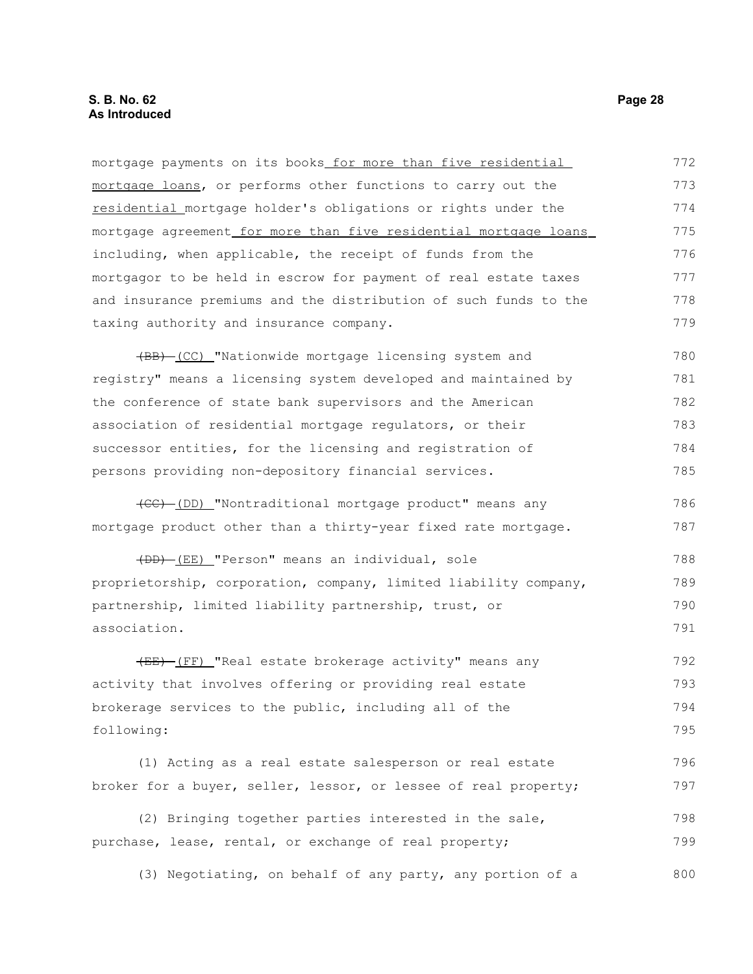#### **S. B. No. 62 Page 28 As Introduced**

mortgage payments on its books for more than five residential mortgage loans, or performs other functions to carry out the residential mortgage holder's obligations or rights under the mortgage agreement for more than five residential mortgage loans including, when applicable, the receipt of funds from the mortgagor to be held in escrow for payment of real estate taxes and insurance premiums and the distribution of such funds to the taxing authority and insurance company. 772 773 774 775 776 777 778 779

(BB) (CC) "Nationwide mortgage licensing system and registry" means a licensing system developed and maintained by the conference of state bank supervisors and the American association of residential mortgage regulators, or their successor entities, for the licensing and registration of persons providing non-depository financial services. 780 781 782 783 784 785

(CC) (DD) "Nontraditional mortgage product" means any mortgage product other than a thirty-year fixed rate mortgage.

(DD) (EE) "Person" means an individual, sole proprietorship, corporation, company, limited liability company, partnership, limited liability partnership, trust, or association. 788 789 790 791

(EE) (FF) "Real estate brokerage activity" means any activity that involves offering or providing real estate brokerage services to the public, including all of the following: 792 793 794 795

(1) Acting as a real estate salesperson or real estate broker for a buyer, seller, lessor, or lessee of real property; 796 797

(2) Bringing together parties interested in the sale, purchase, lease, rental, or exchange of real property; 798 799

(3) Negotiating, on behalf of any party, any portion of a 800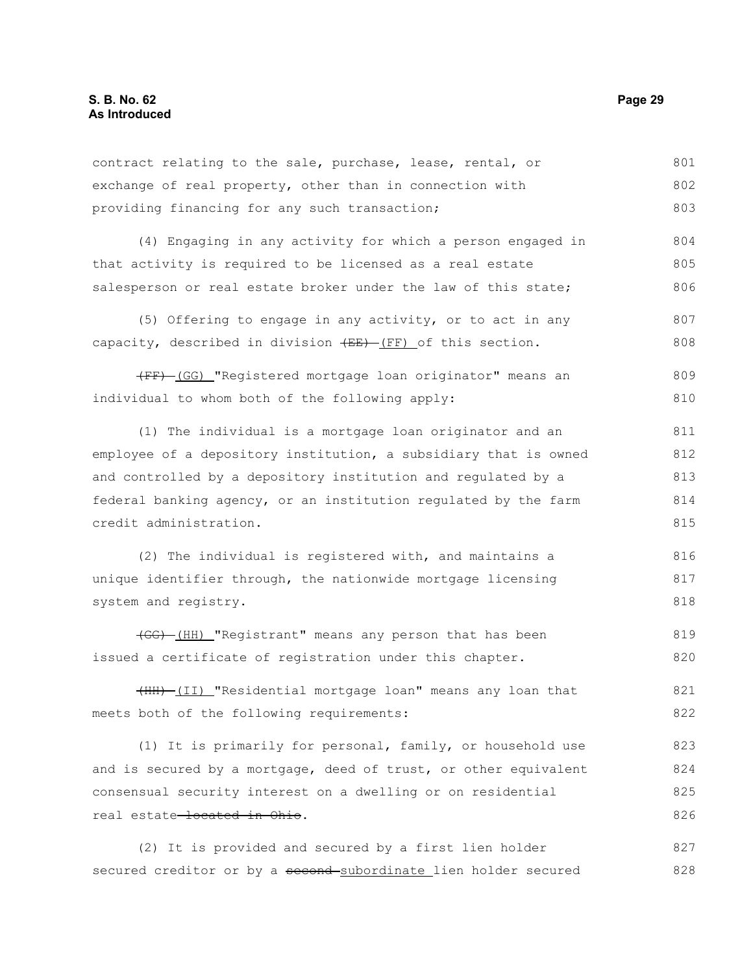| contract relating to the sale, purchase, lease, rental, or | 801 |
|------------------------------------------------------------|-----|
| exchange of real property, other than in connection with   | 802 |
| providing financing for any such transaction;              | 803 |

(4) Engaging in any activity for which a person engaged in that activity is required to be licensed as a real estate salesperson or real estate broker under the law of this state; 804 805 806

(5) Offering to engage in any activity, or to act in any capacity, described in division  $(EE) - (FF)$  of this section. 807 808

(FF) (GG) "Registered mortgage loan originator" means an individual to whom both of the following apply: 809 810

(1) The individual is a mortgage loan originator and an employee of a depository institution, a subsidiary that is owned and controlled by a depository institution and regulated by a federal banking agency, or an institution regulated by the farm credit administration. 811 812 813 814 815

(2) The individual is registered with, and maintains a unique identifier through, the nationwide mortgage licensing system and registry. 816 817 818

(GG) (HH) "Registrant" means any person that has been issued a certificate of registration under this chapter. 819 820

(HH) (II) "Residential mortgage loan" means any loan that meets both of the following requirements: 821 822

(1) It is primarily for personal, family, or household use and is secured by a mortgage, deed of trust, or other equivalent consensual security interest on a dwelling or on residential real estate-located in Ohio. 823 824 825 826

(2) It is provided and secured by a first lien holder secured creditor or by a second subordinate lien holder secured 827 828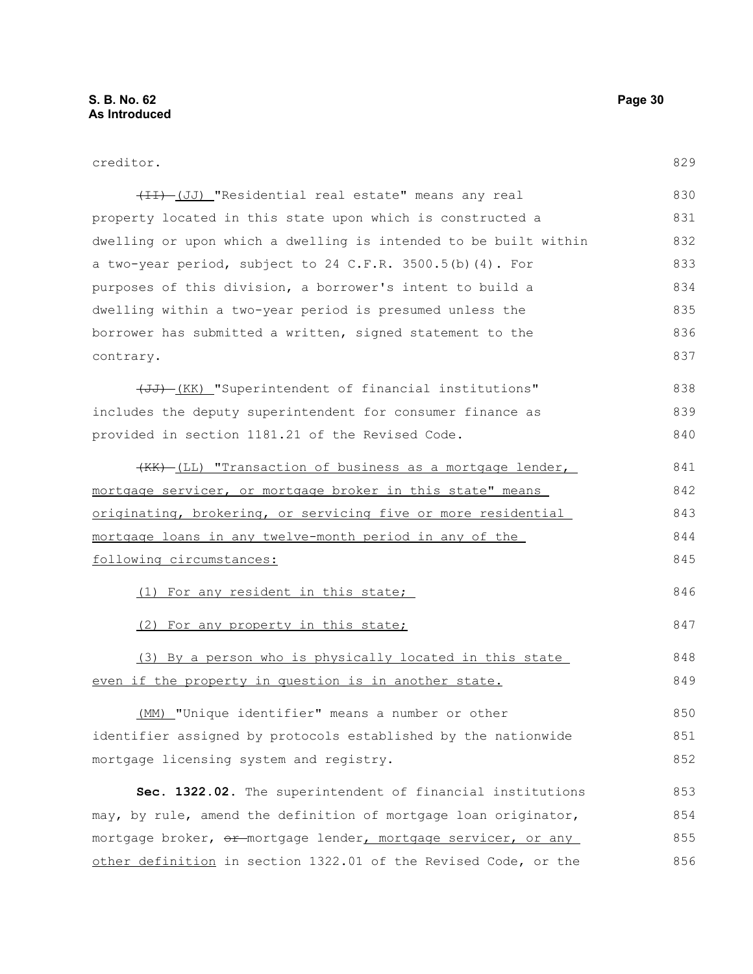| creditor. |
|-----------|
|-----------|

| (II) [JJ] "Residential real estate" means any real               | 830 |
|------------------------------------------------------------------|-----|
| property located in this state upon which is constructed a       | 831 |
| dwelling or upon which a dwelling is intended to be built within | 832 |
| a two-year period, subject to 24 C.F.R. 3500.5(b)(4). For        | 833 |
| purposes of this division, a borrower's intent to build a        | 834 |
| dwelling within a two-year period is presumed unless the         | 835 |
| borrower has submitted a written, signed statement to the        | 836 |
| contrary.                                                        | 837 |
| (UI) (KK) "Superintendent of financial institutions"             | 838 |
| includes the deputy superintendent for consumer finance as       | 839 |
| provided in section 1181.21 of the Revised Code.                 | 840 |
| (KK) (LL) "Transaction of business as a mortgage lender,         | 841 |
| mortgage servicer, or mortgage broker in this state" means       | 842 |
| originating, brokering, or servicing five or more residential    | 843 |
| <u>mortgage loans in any twelve-month period in any of the</u>   | 844 |
| following circumstances:                                         | 845 |
| (1) For any resident in this state;                              | 846 |
| (2) For any property in this state;                              | 847 |
| (3) By a person who is physically located in this state          | 848 |
| even if the property in question is in another state.            | 849 |
| "Unique identifier" means a number or other<br>(MM)              | 850 |
| identifier assigned by protocols established by the nationwide   | 851 |
| mortgage licensing system and registry.                          | 852 |
| Sec. 1322.02. The superintendent of financial institutions       | 853 |
| may, by rule, amend the definition of mortgage loan originator,  | 854 |
| mortgage broker, or mortgage lender, mortgage servicer, or any   | 855 |
| other definition in section 1322.01 of the Revised Code, or the  | 856 |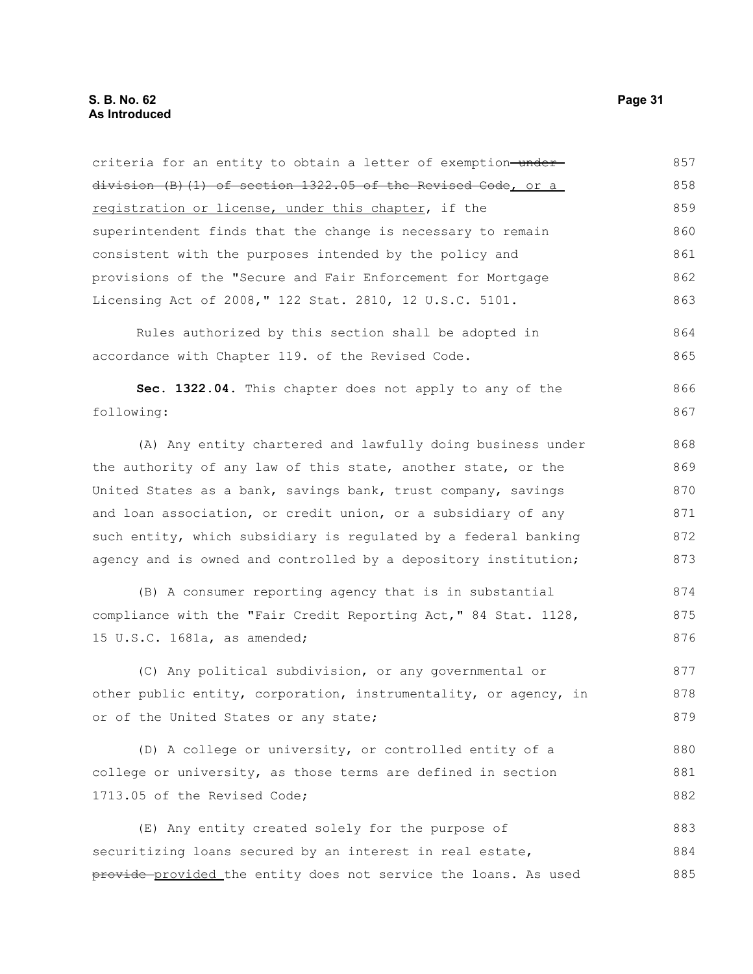| criteria for an entity to obtain a letter of exemption-under-    | 857 |
|------------------------------------------------------------------|-----|
| division (B)(1) of section 1322.05 of the Revised Code, or a     | 858 |
| registration or license, under this chapter, if the              | 859 |
| superintendent finds that the change is necessary to remain      | 860 |
| consistent with the purposes intended by the policy and          | 861 |
| provisions of the "Secure and Fair Enforcement for Mortgage      | 862 |
| Licensing Act of 2008," 122 Stat. 2810, 12 U.S.C. 5101.          | 863 |
| Rules authorized by this section shall be adopted in             | 864 |
| accordance with Chapter 119. of the Revised Code.                | 865 |
| Sec. 1322.04. This chapter does not apply to any of the          | 866 |
| following:                                                       | 867 |
| (A) Any entity chartered and lawfully doing business under       | 868 |
| the authority of any law of this state, another state, or the    | 869 |
| United States as a bank, savings bank, trust company, savings    | 870 |
| and loan association, or credit union, or a subsidiary of any    | 871 |
| such entity, which subsidiary is regulated by a federal banking  | 872 |
| agency and is owned and controlled by a depository institution;  | 873 |
| (B) A consumer reporting agency that is in substantial           | 874 |
| compliance with the "Fair Credit Reporting Act," 84 Stat. 1128,  | 875 |
| 15 U.S.C. 1681a, as amended;                                     | 876 |
| (C) Any political subdivision, or any governmental or            | 877 |
| other public entity, corporation, instrumentality, or agency, in | 878 |
| or of the United States or any state;                            | 879 |
| (D) A college or university, or controlled entity of a           | 880 |
| college or university, as those terms are defined in section     | 881 |
| 1713.05 of the Revised Code;                                     | 882 |
| (E) Any entity created solely for the purpose of                 | 883 |
| securitizing loans secured by an interest in real estate,        | 884 |
| provide provided the entity does not service the loans. As used  | 885 |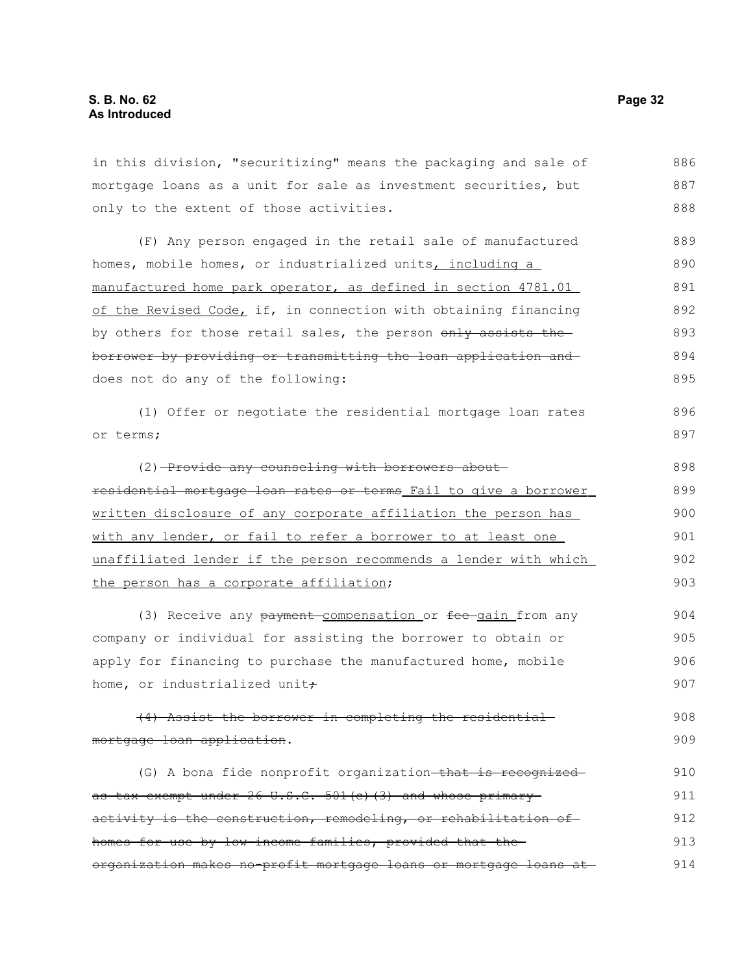in this division, "securitizing" means the packaging and sale of mortgage loans as a unit for sale as investment securities, but only to the extent of those activities. (F) Any person engaged in the retail sale of manufactured homes, mobile homes, or industrialized units, including a manufactured home park operator, as defined in section 4781.01 of the Revised Code, if, in connection with obtaining financing by others for those retail sales, the person only assists theborrower by providing or transmitting the loan application and does not do any of the following: (1) Offer or negotiate the residential mortgage loan rates or terms; (2) Provide any counseling with borrowers aboutresidential mortgage loan rates or terms Fail to give a borrower written disclosure of any corporate affiliation the person has with any lender, or fail to refer a borrower to at least one unaffiliated lender if the person recommends a lender with which the person has a corporate affiliation; (3) Receive any payment compensation or fee gain from any company or individual for assisting the borrower to obtain or apply for financing to purchase the manufactured home, mobile home, or industrialized unit+ (4) Assist the borrower in completing the residential mortgage loan application. (G) A bona fide nonprofit organization-that is recognizedas tax exempt under 26 U.S.C. 501 (c) (3) and whose primary activity is the construction, remodeling, or rehabilitation of homes for use by low-income families, provided that the 886 887 888 889 890 891 892 893 894 895 896 897 898 899 900 901 902 903 904 905 906 907 908 909 910 911 912 913

organization makes no-profit mortgage loans or mortgage loans at 914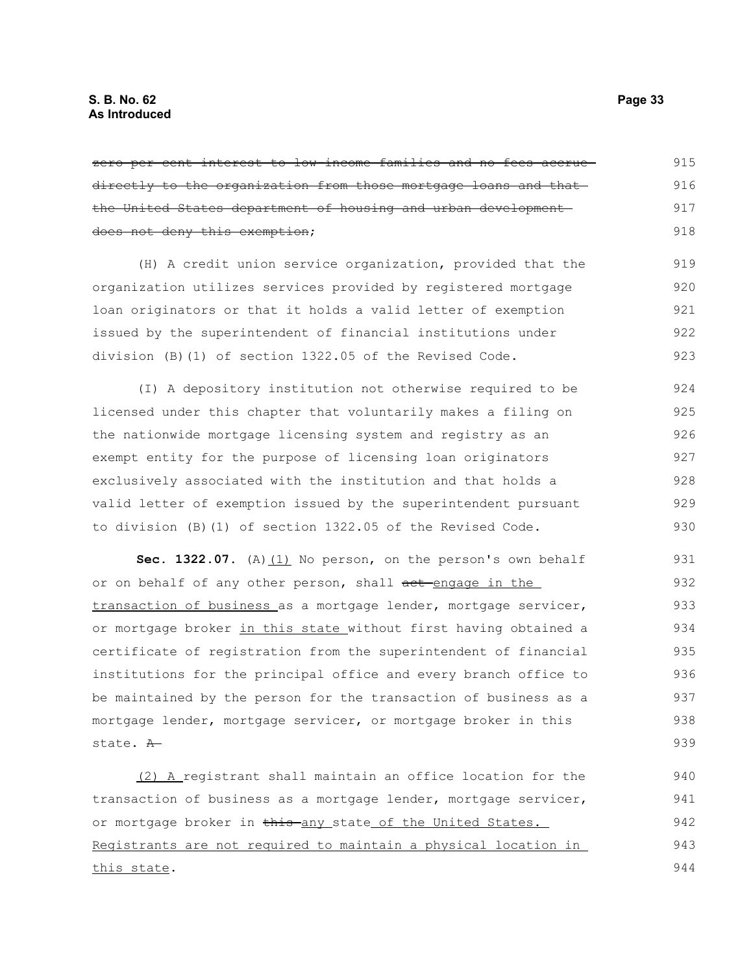zero per cent interest to low income families and no fees accruedirectly to the organization from those mortgage loans and that the United States department of housing and urban development does not deny this exemption; 915 916 917 918

(H) A credit union service organization, provided that the organization utilizes services provided by registered mortgage loan originators or that it holds a valid letter of exemption issued by the superintendent of financial institutions under division (B)(1) of section 1322.05 of the Revised Code. 919 920 921 922 923

(I) A depository institution not otherwise required to be licensed under this chapter that voluntarily makes a filing on the nationwide mortgage licensing system and registry as an exempt entity for the purpose of licensing loan originators exclusively associated with the institution and that holds a valid letter of exemption issued by the superintendent pursuant to division (B)(1) of section 1322.05 of the Revised Code. 924 925 926 927 928 929 930

**Sec. 1322.07.** (A) (1) No person, on the person's own behalf or on behalf of any other person, shall act engage in the transaction of business as a mortgage lender, mortgage servicer, or mortgage broker in this state without first having obtained a certificate of registration from the superintendent of financial institutions for the principal office and every branch office to be maintained by the person for the transaction of business as a mortgage lender, mortgage servicer, or mortgage broker in this state. A 931 932 933 934 935 936 937 938 939

(2) A registrant shall maintain an office location for the transaction of business as a mortgage lender, mortgage servicer, or mortgage broker in this any state of the United States. Registrants are not required to maintain a physical location in this state.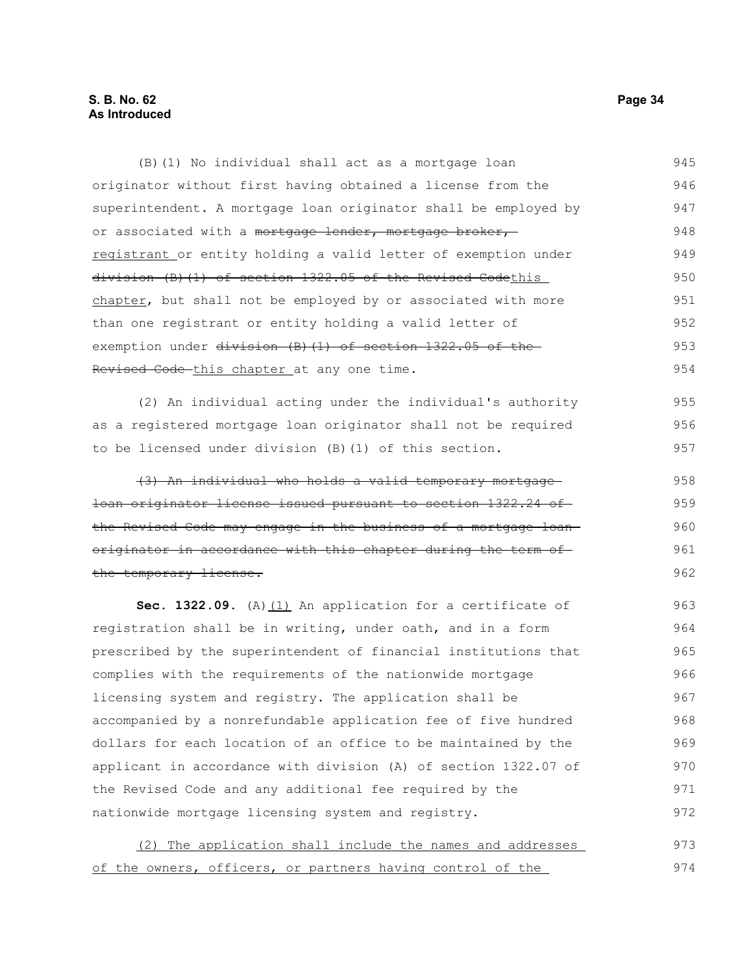#### **S. B. No. 62 Page 34 As Introduced**

(B)(1) No individual shall act as a mortgage loan originator without first having obtained a license from the superintendent. A mortgage loan originator shall be employed by or associated with a mortgage lender, mortgage broker, registrant or entity holding a valid letter of exemption under division (B)(1) of section 1322.05 of the Revised Codethis chapter, but shall not be employed by or associated with more than one registrant or entity holding a valid letter of exemption under division (B)(1) of section 1322.05 of the Revised Code-this chapter at any one time. 945 946 947 948 949 950 951 952 953 954

(2) An individual acting under the individual's authority as a registered mortgage loan originator shall not be required to be licensed under division (B)(1) of this section. 955 956 957

(3) An individual who holds a valid temporary mortgage loan originator license issued pursuant to section 1322.24 of the Revised Code may engage in the business of a mortgage loan originator in accordance with this chapter during the term ofthe temporary license. 958 959 960 961 962

Sec. 1322.09. (A) (1) An application for a certificate of registration shall be in writing, under oath, and in a form prescribed by the superintendent of financial institutions that complies with the requirements of the nationwide mortgage licensing system and registry. The application shall be accompanied by a nonrefundable application fee of five hundred dollars for each location of an office to be maintained by the applicant in accordance with division (A) of section 1322.07 of the Revised Code and any additional fee required by the nationwide mortgage licensing system and registry. 963 964 965 966 967 968 969 970 971 972

|  | (2) The application shall include the names and addresses  |  |  |  | 973 |
|--|------------------------------------------------------------|--|--|--|-----|
|  | of the owners, officers, or partners having control of the |  |  |  | 974 |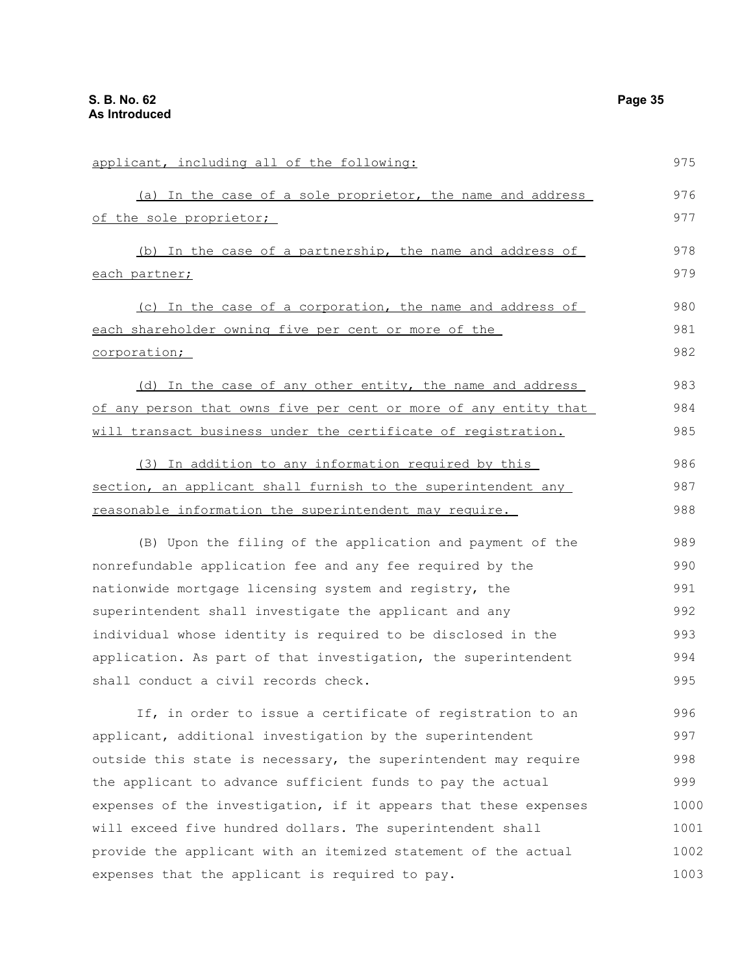| applicant, including all of the following:                       | 975  |
|------------------------------------------------------------------|------|
| (a) In the case of a sole proprietor, the name and address       | 976  |
| of the sole proprietor;                                          | 977  |
| (b) In the case of a partnership, the name and address of        | 978  |
| each partner;                                                    | 979  |
| (c) In the case of a corporation, the name and address of        | 980  |
| each shareholder owning five per cent or more of the             | 981  |
| corporation;                                                     | 982  |
| (d) In the case of any other entity, the name and address        | 983  |
| of any person that owns five per cent or more of any entity that | 984  |
| will transact business under the certificate of registration.    | 985  |
| (3) In addition to any information required by this              | 986  |
| section, an applicant shall furnish to the superintendent any    | 987  |
| reasonable information the superintendent may require.           | 988  |
| (B) Upon the filing of the application and payment of the        | 989  |
| nonrefundable application fee and any fee required by the        | 990  |
| nationwide mortgage licensing system and registry, the           | 991  |
| superintendent shall investigate the applicant and any           | 992  |
| individual whose identity is required to be disclosed in the     | 993  |
| application. As part of that investigation, the superintendent   | 994  |
| shall conduct a civil records check.                             | 995  |
| If, in order to issue a certificate of registration to an        | 996  |
| applicant, additional investigation by the superintendent        | 997  |
| outside this state is necessary, the superintendent may require  | 998  |
| the applicant to advance sufficient funds to pay the actual      | 999  |
| expenses of the investigation, if it appears that these expenses | 1000 |
| will exceed five hundred dollars. The superintendent shall       | 1001 |
| provide the applicant with an itemized statement of the actual   | 1002 |
| expenses that the applicant is required to pay.                  | 1003 |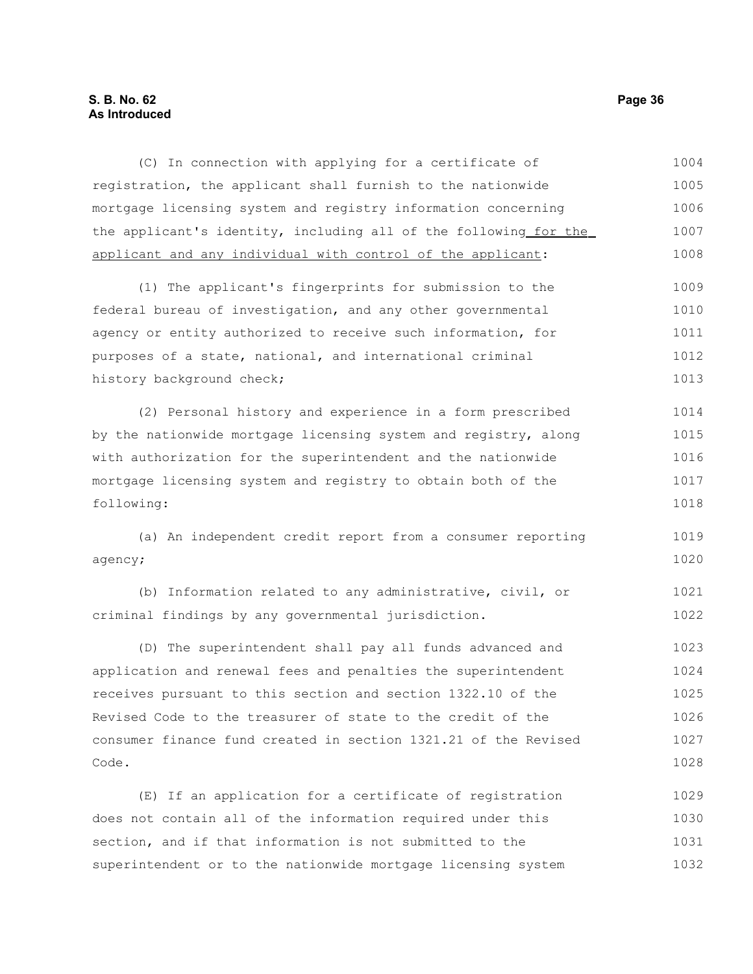## **S. B. No. 62 Page 36 As Introduced**

| (C) In connection with applying for a certificate of             | 1004 |
|------------------------------------------------------------------|------|
| registration, the applicant shall furnish to the nationwide      | 1005 |
| mortgage licensing system and registry information concerning    | 1006 |
| the applicant's identity, including all of the following for the | 1007 |
| applicant and any individual with control of the applicant:      | 1008 |
| (1) The applicant's fingerprints for submission to the           | 1009 |
| federal bureau of investigation, and any other governmental      | 1010 |
| agency or entity authorized to receive such information, for     | 1011 |
| purposes of a state, national, and international criminal        | 1012 |
| history background check;                                        | 1013 |
| (2) Personal history and experience in a form prescribed         | 1014 |
| by the nationwide mortgage licensing system and registry, along  | 1015 |
| with authorization for the superintendent and the nationwide     | 1016 |
| mortgage licensing system and registry to obtain both of the     | 1017 |
| following:                                                       | 1018 |
| (a) An independent credit report from a consumer reporting       | 1019 |
| agency;                                                          | 1020 |
| (b) Information related to any administrative, civil, or         | 1021 |
| criminal findings by any governmental jurisdiction.              | 1022 |
| (D) The superintendent shall pay all funds advanced and          | 1023 |
| application and renewal fees and penalties the superintendent    | 1024 |
| receives pursuant to this section and section 1322.10 of the     | 1025 |
| Revised Code to the treasurer of state to the credit of the      | 1026 |
| consumer finance fund created in section 1321.21 of the Revised  | 1027 |
| Code.                                                            | 1028 |
| (E) If an application for a certificate of registration          | 1029 |
| does not contain all of the information required under this      | 1030 |
| section, and if that information is not submitted to the         | 1031 |
| superintendent or to the nationwide mortgage licensing system    | 1032 |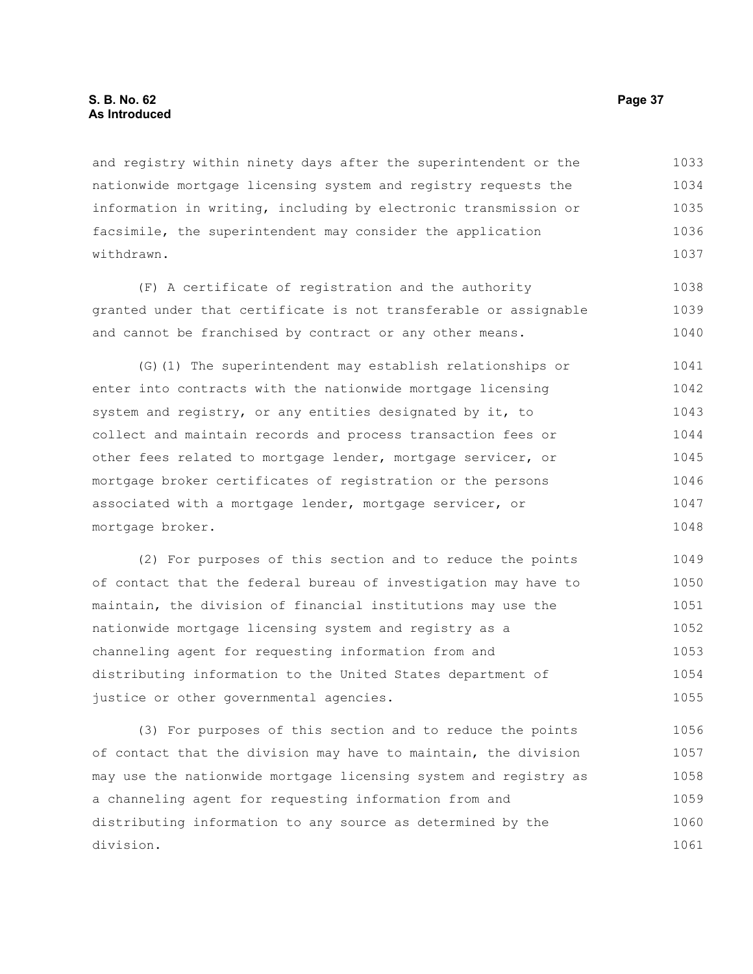and registry within ninety days after the superintendent or the nationwide mortgage licensing system and registry requests the information in writing, including by electronic transmission or facsimile, the superintendent may consider the application withdrawn. 1033 1034 1035 1036 1037

(F) A certificate of registration and the authority granted under that certificate is not transferable or assignable and cannot be franchised by contract or any other means. 1038 1039 1040

(G)(1) The superintendent may establish relationships or enter into contracts with the nationwide mortgage licensing system and registry, or any entities designated by it, to collect and maintain records and process transaction fees or other fees related to mortgage lender, mortgage servicer, or mortgage broker certificates of registration or the persons associated with a mortgage lender, mortgage servicer, or mortgage broker. 1041 1042 1043 1044 1045 1046 1047 1048

(2) For purposes of this section and to reduce the points of contact that the federal bureau of investigation may have to maintain, the division of financial institutions may use the nationwide mortgage licensing system and registry as a channeling agent for requesting information from and distributing information to the United States department of justice or other governmental agencies. 1049 1050 1051 1052 1053 1054 1055

(3) For purposes of this section and to reduce the points of contact that the division may have to maintain, the division may use the nationwide mortgage licensing system and registry as a channeling agent for requesting information from and distributing information to any source as determined by the division. 1056 1057 1058 1059 1060 1061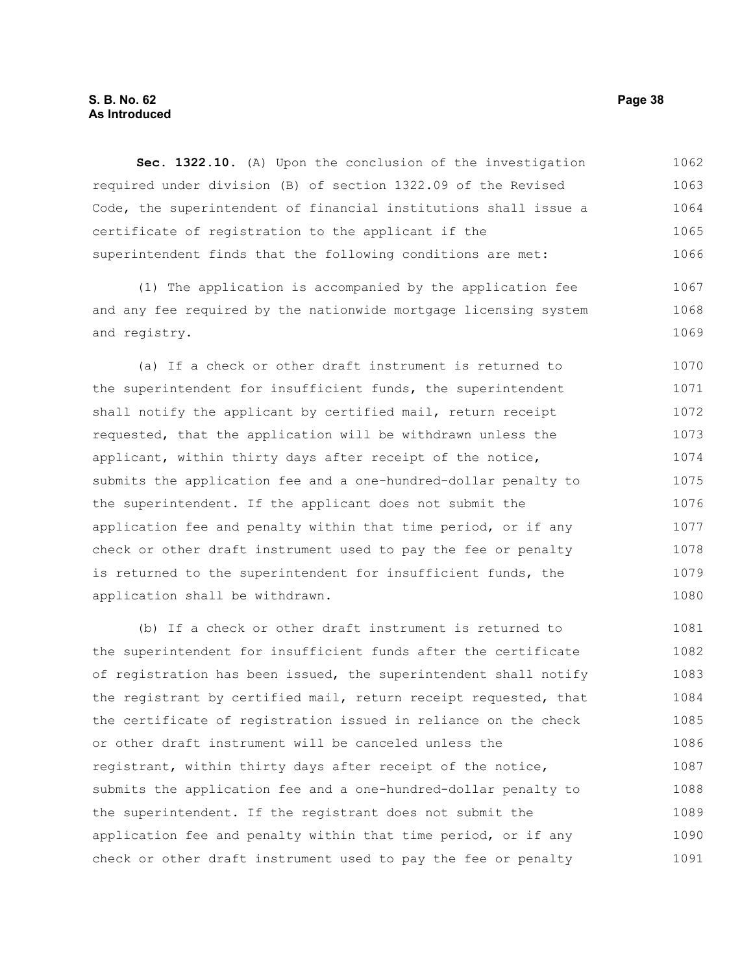# **S. B. No. 62 Page 38 As Introduced**

**Sec. 1322.10.** (A) Upon the conclusion of the investigation required under division (B) of section 1322.09 of the Revised Code, the superintendent of financial institutions shall issue a certificate of registration to the applicant if the superintendent finds that the following conditions are met: 1062 1063 1064 1065 1066

(1) The application is accompanied by the application fee and any fee required by the nationwide mortgage licensing system and registry. 1067 1068 1069

(a) If a check or other draft instrument is returned to the superintendent for insufficient funds, the superintendent shall notify the applicant by certified mail, return receipt requested, that the application will be withdrawn unless the applicant, within thirty days after receipt of the notice, submits the application fee and a one-hundred-dollar penalty to the superintendent. If the applicant does not submit the application fee and penalty within that time period, or if any check or other draft instrument used to pay the fee or penalty is returned to the superintendent for insufficient funds, the application shall be withdrawn. 1070 1071 1072 1073 1074 1075 1076 1077 1078 1079 1080

(b) If a check or other draft instrument is returned to the superintendent for insufficient funds after the certificate of registration has been issued, the superintendent shall notify the registrant by certified mail, return receipt requested, that the certificate of registration issued in reliance on the check or other draft instrument will be canceled unless the registrant, within thirty days after receipt of the notice, submits the application fee and a one-hundred-dollar penalty to the superintendent. If the registrant does not submit the application fee and penalty within that time period, or if any check or other draft instrument used to pay the fee or penalty 1081 1082 1083 1084 1085 1086 1087 1088 1089 1090 1091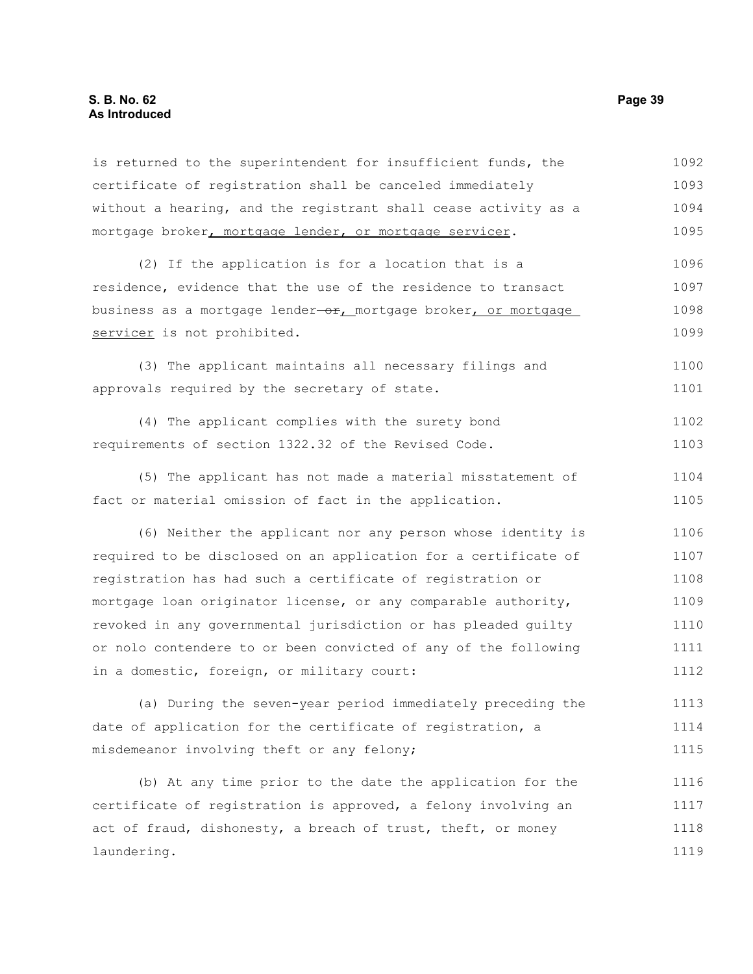# **S. B. No. 62 Page 39 As Introduced**

| is returned to the superintendent for insufficient funds, the   | 1092 |
|-----------------------------------------------------------------|------|
| certificate of registration shall be canceled immediately       | 1093 |
| without a hearing, and the registrant shall cease activity as a | 1094 |
| mortgage broker, mortgage lender, or mortgage servicer.         | 1095 |
| (2) If the application is for a location that is a              | 1096 |
| residence, evidence that the use of the residence to transact   | 1097 |
| business as a mortgage lender-or, mortgage broker, or mortgage  | 1098 |
| servicer is not prohibited.                                     | 1099 |
| (3) The applicant maintains all necessary filings and           | 1100 |
| approvals required by the secretary of state.                   | 1101 |
| (4) The applicant complies with the surety bond                 | 1102 |
| requirements of section 1322.32 of the Revised Code.            | 1103 |
| (5) The applicant has not made a material misstatement of       | 1104 |
| fact or material omission of fact in the application.           | 1105 |
| (6) Neither the applicant nor any person whose identity is      | 1106 |
| required to be disclosed on an application for a certificate of | 1107 |
| registration has had such a certificate of registration or      | 1108 |
| mortgage loan originator license, or any comparable authority,  | 1109 |
| revoked in any governmental jurisdiction or has pleaded guilty  | 1110 |
| or nolo contendere to or been convicted of any of the following | 1111 |
| in a domestic, foreign, or military court:                      | 1112 |
| (a) During the seven-year period immediately preceding the      | 1113 |
| date of application for the certificate of registration, a      | 1114 |
| misdemeanor involving theft or any felony;                      | 1115 |
| (b) At any time prior to the date the application for the       | 1116 |
| certificate of registration is approved, a felony involving an  | 1117 |
| act of fraud, dishonesty, a breach of trust, theft, or money    | 1118 |
| laundering.                                                     | 1119 |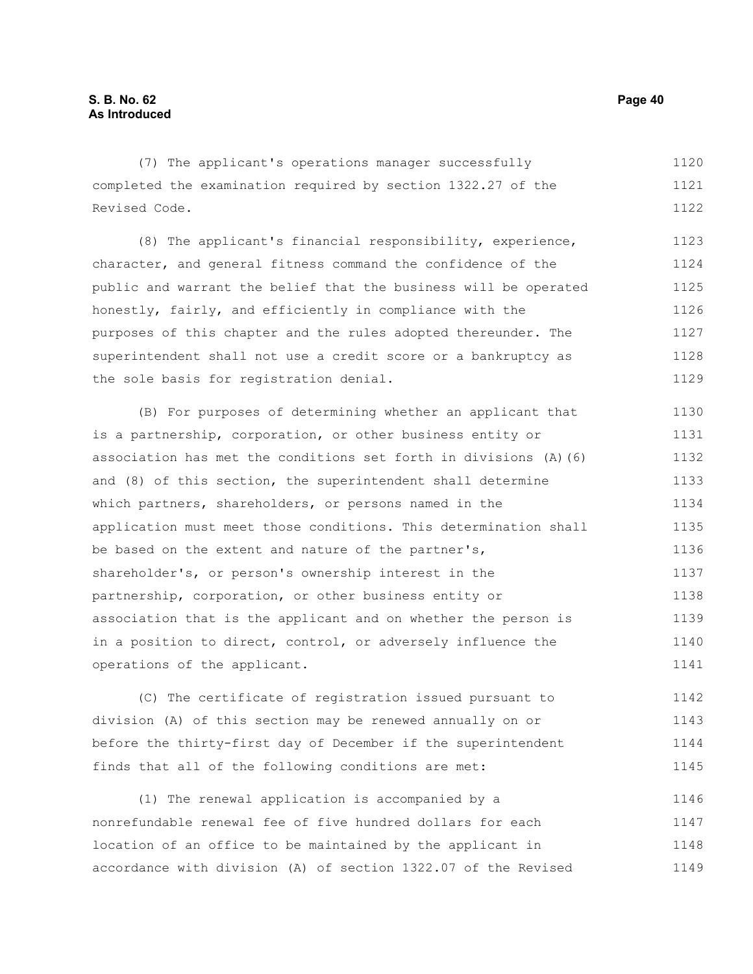(7) The applicant's operations manager successfully completed the examination required by section 1322.27 of the Revised Code. 1120 1121 1122

(8) The applicant's financial responsibility, experience, character, and general fitness command the confidence of the public and warrant the belief that the business will be operated honestly, fairly, and efficiently in compliance with the purposes of this chapter and the rules adopted thereunder. The superintendent shall not use a credit score or a bankruptcy as the sole basis for registration denial. 1123 1124 1125 1126 1127 1128 1129

(B) For purposes of determining whether an applicant that is a partnership, corporation, or other business entity or association has met the conditions set forth in divisions (A)(6) and (8) of this section, the superintendent shall determine which partners, shareholders, or persons named in the application must meet those conditions. This determination shall be based on the extent and nature of the partner's, shareholder's, or person's ownership interest in the partnership, corporation, or other business entity or association that is the applicant and on whether the person is in a position to direct, control, or adversely influence the operations of the applicant. 1130 1131 1132 1133 1134 1135 1136 1137 1138 1139 1140 1141

(C) The certificate of registration issued pursuant to division (A) of this section may be renewed annually on or before the thirty-first day of December if the superintendent finds that all of the following conditions are met: 1142 1143 1144 1145

(1) The renewal application is accompanied by a nonrefundable renewal fee of five hundred dollars for each location of an office to be maintained by the applicant in accordance with division (A) of section 1322.07 of the Revised 1146 1147 1148 1149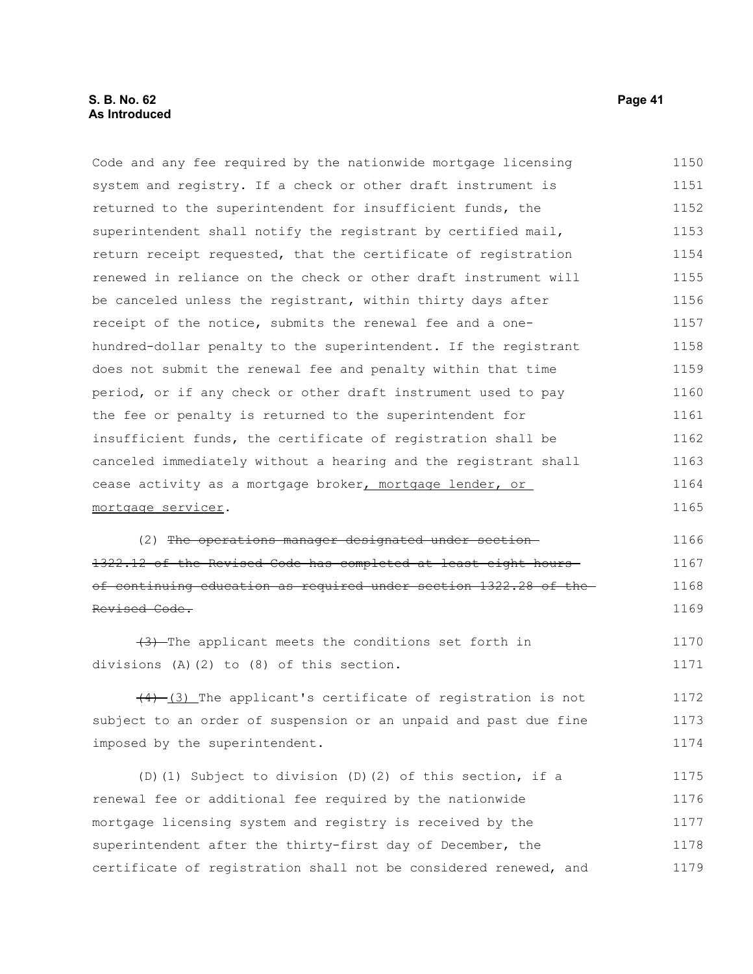# **S. B. No. 62 Page 41 As Introduced**

Code and any fee required by the nationwide mortgage licensing system and registry. If a check or other draft instrument is returned to the superintendent for insufficient funds, the superintendent shall notify the registrant by certified mail, return receipt requested, that the certificate of registration renewed in reliance on the check or other draft instrument will be canceled unless the registrant, within thirty days after receipt of the notice, submits the renewal fee and a onehundred-dollar penalty to the superintendent. If the registrant does not submit the renewal fee and penalty within that time period, or if any check or other draft instrument used to pay the fee or penalty is returned to the superintendent for insufficient funds, the certificate of registration shall be canceled immediately without a hearing and the registrant shall cease activity as a mortgage broker, mortgage lender, or mortgage servicer. (2) The operations manager designated under section 1322.12 of the Revised Code has completed at least eight hours of continuing education as required under section 1322.28 of the Revised Code. (3) The applicant meets the conditions set forth in divisions (A)(2) to (8) of this section.  $(4)$   $(3)$  The applicant's certificate of registration is not subject to an order of suspension or an unpaid and past due fine imposed by the superintendent. (D)(1) Subject to division (D)(2) of this section, if a renewal fee or additional fee required by the nationwide mortgage licensing system and registry is received by the superintendent after the thirty-first day of December, the certificate of registration shall not be considered renewed, and 1150 1151 1152 1153 1154 1155 1156 1157 1158 1159 1160 1161 1162 1163 1164 1165 1166 1167 1168 1169 1170 1171 1172 1173 1174 1175 1176 1177 1178 1179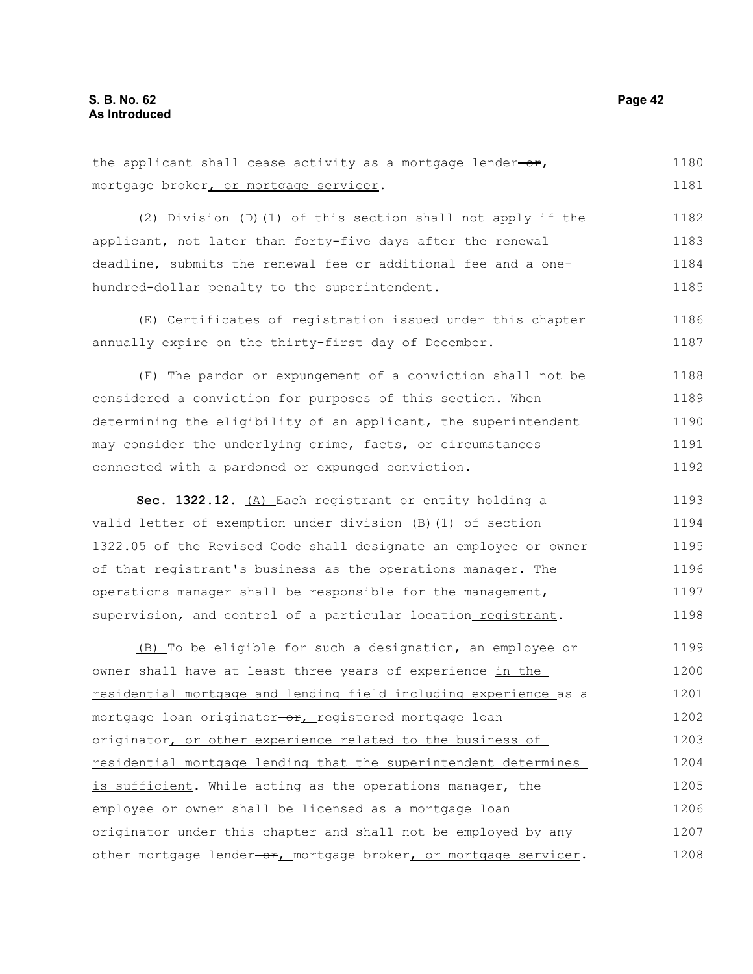the applicant shall cease activity as a mortgage lender- $o$ r, mortgage broker, or mortgage servicer. (2) Division (D)(1) of this section shall not apply if the applicant, not later than forty-five days after the renewal deadline, submits the renewal fee or additional fee and a onehundred-dollar penalty to the superintendent. (E) Certificates of registration issued under this chapter 1180 1181 1182 1183 1184 1185 1186

(F) The pardon or expungement of a conviction shall not be considered a conviction for purposes of this section. When determining the eligibility of an applicant, the superintendent may consider the underlying crime, facts, or circumstances connected with a pardoned or expunged conviction. 1188 1189 1190 1191 1192

annually expire on the thirty-first day of December.

Sec. 1322.12. (A) Each registrant or entity holding a valid letter of exemption under division (B)(1) of section 1322.05 of the Revised Code shall designate an employee or owner of that registrant's business as the operations manager. The operations manager shall be responsible for the management, supervision, and control of a particular-location registrant. 1193 1194 1195 1196 1197 1198

(B) To be eligible for such a designation, an employee or owner shall have at least three years of experience in the residential mortgage and lending field including experience as a mortgage loan originator-or, registered mortgage loan originator, or other experience related to the business of residential mortgage lending that the superintendent determines is sufficient. While acting as the operations manager, the employee or owner shall be licensed as a mortgage loan originator under this chapter and shall not be employed by any other mortgage lender-or, mortgage broker, or mortgage servicer. 1199 1200 1201 1202 1203 1204 1205 1206 1207 1208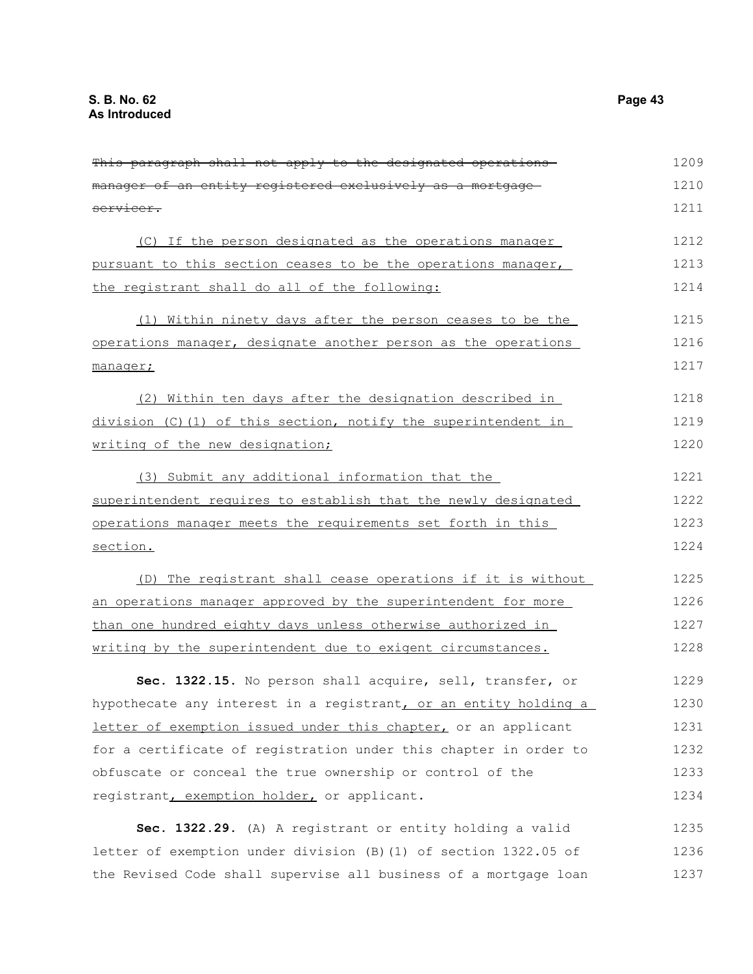| manager of an entity registered exclusively as a mortgage-       | 1210 |
|------------------------------------------------------------------|------|
| servicer.                                                        | 1211 |
| (C) If the person designated as the operations manager           | 1212 |
| pursuant to this section ceases to be the operations manager,    | 1213 |
| the registrant shall do all of the following:                    | 1214 |
| (1) Within ninety days after the person ceases to be the         | 1215 |
| operations manager, designate another person as the operations   | 1216 |
| manager;                                                         | 1217 |
| (2) Within ten days after the designation described in           | 1218 |
| $division$ (C)(1) of this section, notify the superintendent in  | 1219 |
| writing of the new designation;                                  | 1220 |
| (3) Submit any additional information that the                   | 1221 |
| superintendent requires to establish that the newly designated   | 1222 |
| operations manager meets the requirements set forth in this      | 1223 |
| section.                                                         | 1224 |
| (D) The registrant shall cease operations if it is without       | 1225 |
| an operations manager approved by the superintendent for more    | 1226 |
| than one hundred eighty days unless otherwise authorized in      | 1227 |
| writing by the superintendent due to exigent circumstances.      | 1228 |
| Sec. 1322.15. No person shall acquire, sell, transfer, or        | 1229 |
| hypothecate any interest in a registrant, or an entity holding a | 1230 |
| letter of exemption issued under this chapter, or an applicant   | 1231 |
| for a certificate of registration under this chapter in order to | 1232 |
| obfuscate or conceal the true ownership or control of the        | 1233 |
| registrant, exemption holder, or applicant.                      | 1234 |
| Sec. 1322.29. (A) A registrant or entity holding a valid         | 1235 |
| letter of exemption under division (B) (1) of section 1322.05 of | 1236 |
| the Revised Code shall supervise all business of a mortgage loan | 1237 |

This paragraph shall not apply to the designated operations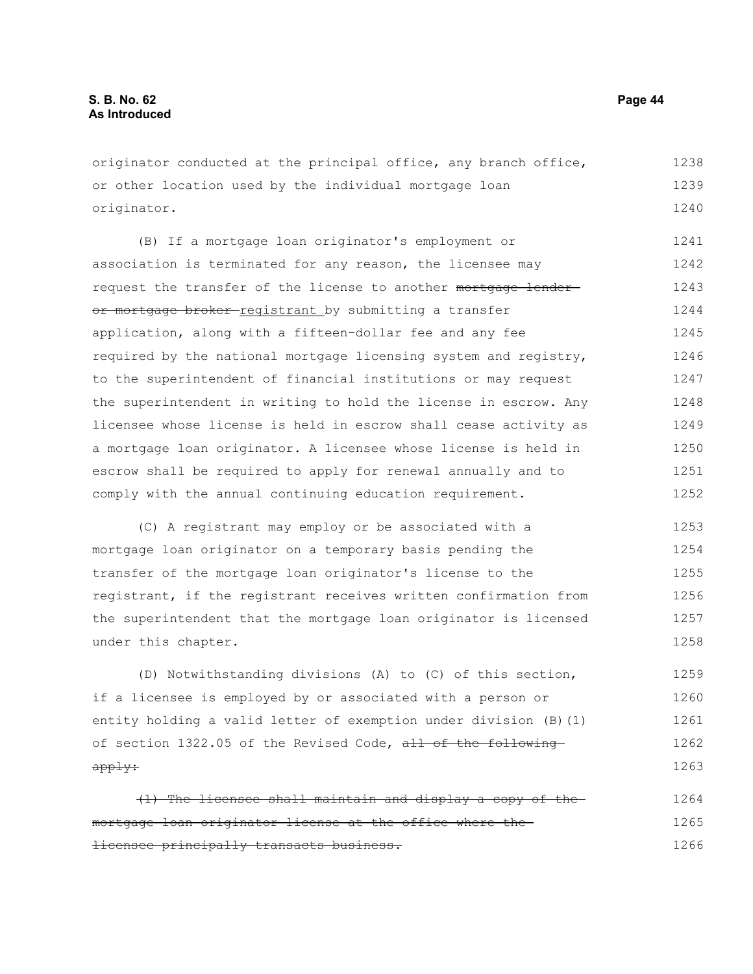originator conducted at the principal office, any branch office, or other location used by the individual mortgage loan originator. 1238 1239 1240

(B) If a mortgage loan originator's employment or association is terminated for any reason, the licensee may request the transfer of the license to another mortgage lenderor mortgage broker-registrant by submitting a transfer application, along with a fifteen-dollar fee and any fee required by the national mortgage licensing system and registry, to the superintendent of financial institutions or may request the superintendent in writing to hold the license in escrow. Any licensee whose license is held in escrow shall cease activity as a mortgage loan originator. A licensee whose license is held in escrow shall be required to apply for renewal annually and to comply with the annual continuing education requirement. 1241 1242 1243 1244 1245 1246 1247 1248 1249 1250 1251 1252

(C) A registrant may employ or be associated with a mortgage loan originator on a temporary basis pending the transfer of the mortgage loan originator's license to the registrant, if the registrant receives written confirmation from the superintendent that the mortgage loan originator is licensed under this chapter. 1253 1254 1255 1256 1257 1258

(D) Notwithstanding divisions (A) to (C) of this section, if a licensee is employed by or associated with a person or entity holding a valid letter of exemption under division (B)(1) of section 1322.05 of the Revised Code, all of the following apply: 1259 1260 1261 1262 1263

(1) The licensee shall maintain and display a copy of the mortgage loan originator license at the office where the licensee principally transacts business. 1264 1265 1266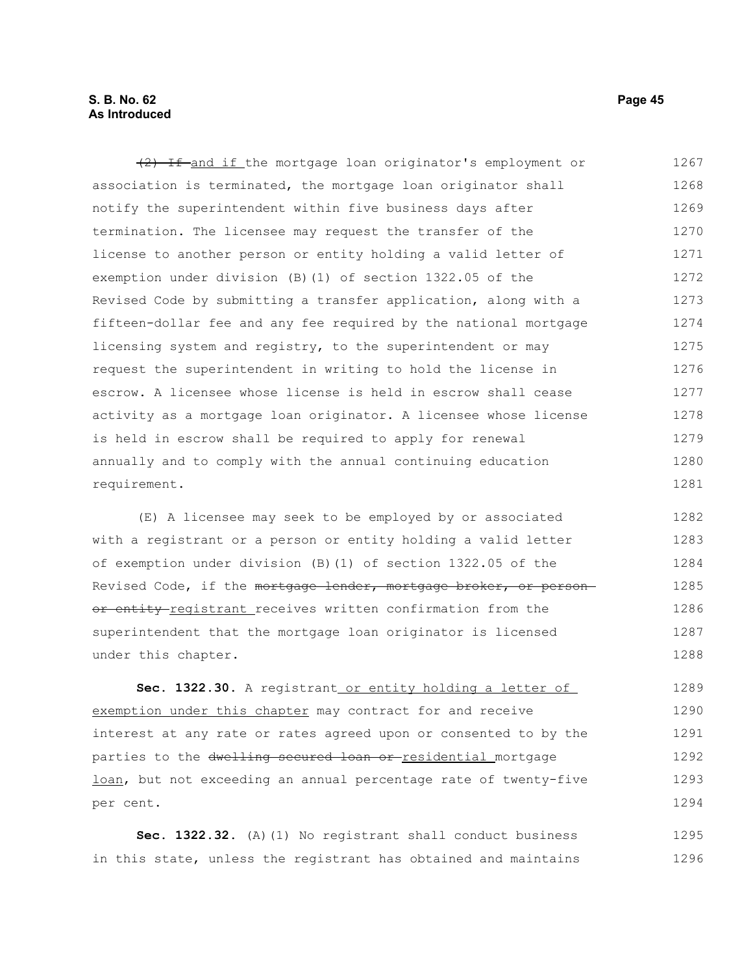#### **S. B. No. 62 Page 45 As Introduced**

(2) If and if the mortgage loan originator's employment or association is terminated, the mortgage loan originator shall notify the superintendent within five business days after termination. The licensee may request the transfer of the license to another person or entity holding a valid letter of exemption under division (B)(1) of section 1322.05 of the Revised Code by submitting a transfer application, along with a fifteen-dollar fee and any fee required by the national mortgage licensing system and registry, to the superintendent or may request the superintendent in writing to hold the license in escrow. A licensee whose license is held in escrow shall cease activity as a mortgage loan originator. A licensee whose license is held in escrow shall be required to apply for renewal annually and to comply with the annual continuing education requirement. 1267 1268 1269 1270 1271 1272 1273 1274 1275 1276 1277 1278 1279 1280 1281

(E) A licensee may seek to be employed by or associated with a registrant or a person or entity holding a valid letter of exemption under division (B)(1) of section 1322.05 of the Revised Code, if the mortgage lender, mortgage broker, or personor entity registrant receives written confirmation from the superintendent that the mortgage loan originator is licensed under this chapter. 1282 1283 1284 1285 1286 1287 1288

**Sec. 1322.30.** A registrant or entity holding a letter of exemption under this chapter may contract for and receive interest at any rate or rates agreed upon or consented to by the parties to the dwelling secured loan or residential mortgage loan, but not exceeding an annual percentage rate of twenty-five per cent. 1289 1290 1291 1292 1293 1294

Sec. 1322.32. (A)(1) No registrant shall conduct business in this state, unless the registrant has obtained and maintains 1295 1296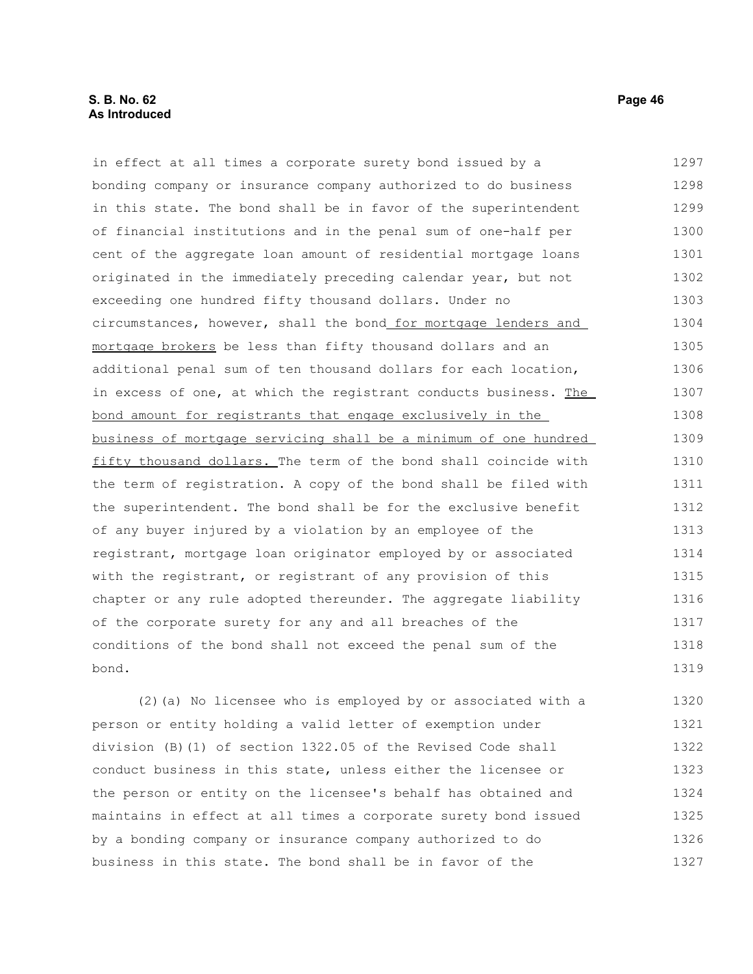# **S. B. No. 62 Page 46 As Introduced**

in effect at all times a corporate surety bond issued by a bonding company or insurance company authorized to do business in this state. The bond shall be in favor of the superintendent of financial institutions and in the penal sum of one-half per cent of the aggregate loan amount of residential mortgage loans originated in the immediately preceding calendar year, but not exceeding one hundred fifty thousand dollars. Under no circumstances, however, shall the bond for mortgage lenders and mortgage brokers be less than fifty thousand dollars and an additional penal sum of ten thousand dollars for each location, in excess of one, at which the registrant conducts business. The bond amount for registrants that engage exclusively in the business of mortgage servicing shall be a minimum of one hundred fifty thousand dollars. The term of the bond shall coincide with the term of registration. A copy of the bond shall be filed with the superintendent. The bond shall be for the exclusive benefit of any buyer injured by a violation by an employee of the registrant, mortgage loan originator employed by or associated with the registrant, or registrant of any provision of this chapter or any rule adopted thereunder. The aggregate liability of the corporate surety for any and all breaches of the conditions of the bond shall not exceed the penal sum of the bond. 1297 1298 1299 1300 1301 1302 1303 1304 1305 1306 1307 1308 1309 1310 1311 1312 1313 1314 1315 1316 1317 1318 1319

(2)(a) No licensee who is employed by or associated with a person or entity holding a valid letter of exemption under division (B)(1) of section 1322.05 of the Revised Code shall conduct business in this state, unless either the licensee or the person or entity on the licensee's behalf has obtained and maintains in effect at all times a corporate surety bond issued by a bonding company or insurance company authorized to do business in this state. The bond shall be in favor of the 1320 1321 1322 1323 1324 1325 1326 1327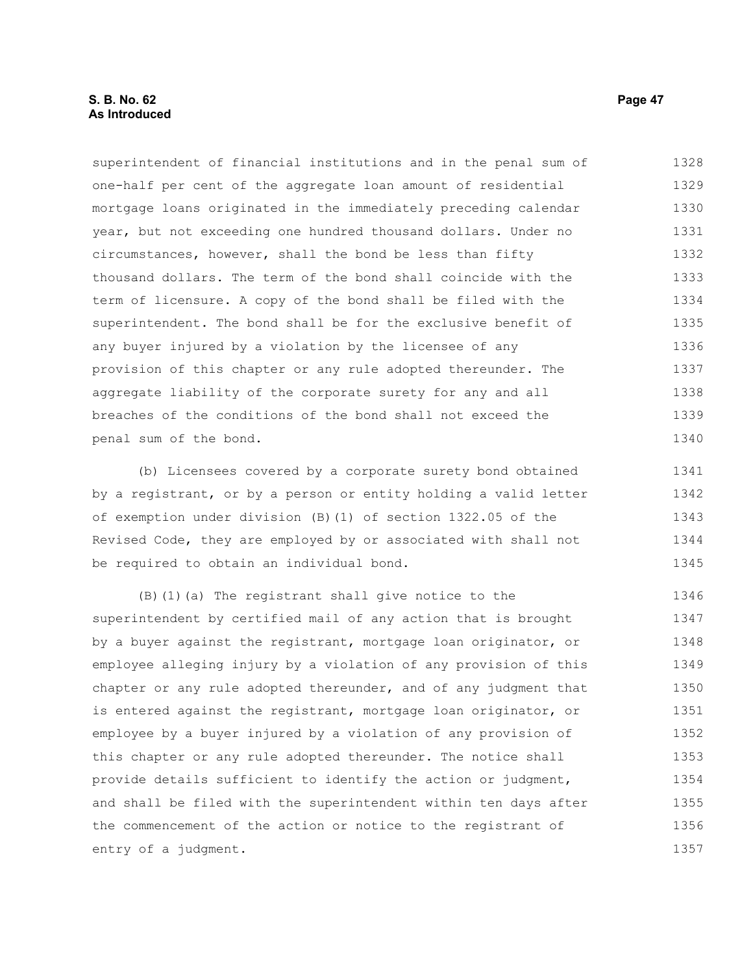# **S. B. No. 62 Page 47 As Introduced**

superintendent of financial institutions and in the penal sum of one-half per cent of the aggregate loan amount of residential mortgage loans originated in the immediately preceding calendar year, but not exceeding one hundred thousand dollars. Under no circumstances, however, shall the bond be less than fifty thousand dollars. The term of the bond shall coincide with the term of licensure. A copy of the bond shall be filed with the superintendent. The bond shall be for the exclusive benefit of any buyer injured by a violation by the licensee of any provision of this chapter or any rule adopted thereunder. The aggregate liability of the corporate surety for any and all breaches of the conditions of the bond shall not exceed the penal sum of the bond. 1328 1329 1330 1331 1332 1333 1334 1335 1336 1337 1338 1339 1340

(b) Licensees covered by a corporate surety bond obtained by a registrant, or by a person or entity holding a valid letter of exemption under division (B)(1) of section 1322.05 of the Revised Code, they are employed by or associated with shall not be required to obtain an individual bond. 1341 1342 1343 1344 1345

(B)(1)(a) The registrant shall give notice to the superintendent by certified mail of any action that is brought by a buyer against the registrant, mortgage loan originator, or employee alleging injury by a violation of any provision of this chapter or any rule adopted thereunder, and of any judgment that is entered against the registrant, mortgage loan originator, or employee by a buyer injured by a violation of any provision of this chapter or any rule adopted thereunder. The notice shall provide details sufficient to identify the action or judgment, and shall be filed with the superintendent within ten days after the commencement of the action or notice to the registrant of entry of a judgment. 1346 1347 1348 1349 1350 1351 1352 1353 1354 1355 1356 1357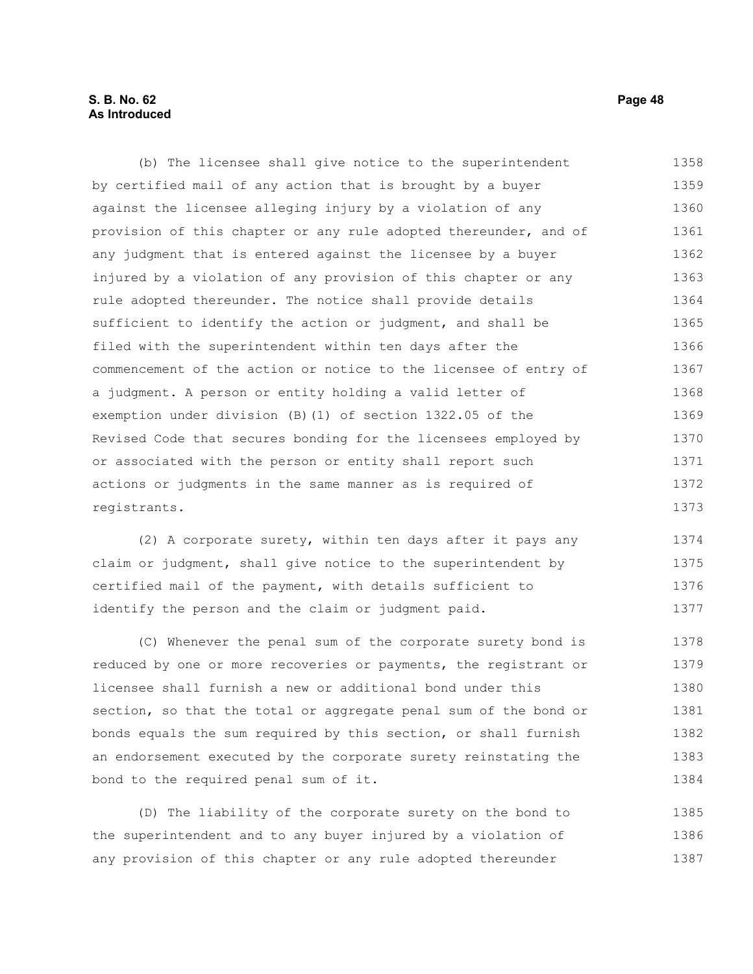## **S. B. No. 62 Page 48 As Introduced**

(b) The licensee shall give notice to the superintendent by certified mail of any action that is brought by a buyer against the licensee alleging injury by a violation of any provision of this chapter or any rule adopted thereunder, and of any judgment that is entered against the licensee by a buyer injured by a violation of any provision of this chapter or any rule adopted thereunder. The notice shall provide details sufficient to identify the action or judgment, and shall be filed with the superintendent within ten days after the commencement of the action or notice to the licensee of entry of a judgment. A person or entity holding a valid letter of exemption under division (B)(1) of section 1322.05 of the Revised Code that secures bonding for the licensees employed by or associated with the person or entity shall report such actions or judgments in the same manner as is required of registrants. 1358 1359 1360 1361 1362 1363 1364 1365 1366 1367 1368 1369 1370 1371 1372 1373

(2) A corporate surety, within ten days after it pays any claim or judgment, shall give notice to the superintendent by certified mail of the payment, with details sufficient to identify the person and the claim or judgment paid. 1374 1375 1376 1377

(C) Whenever the penal sum of the corporate surety bond is reduced by one or more recoveries or payments, the registrant or licensee shall furnish a new or additional bond under this section, so that the total or aggregate penal sum of the bond or bonds equals the sum required by this section, or shall furnish an endorsement executed by the corporate surety reinstating the bond to the required penal sum of it. 1378 1379 1380 1381 1382 1383 1384

(D) The liability of the corporate surety on the bond to the superintendent and to any buyer injured by a violation of any provision of this chapter or any rule adopted thereunder 1385 1386 1387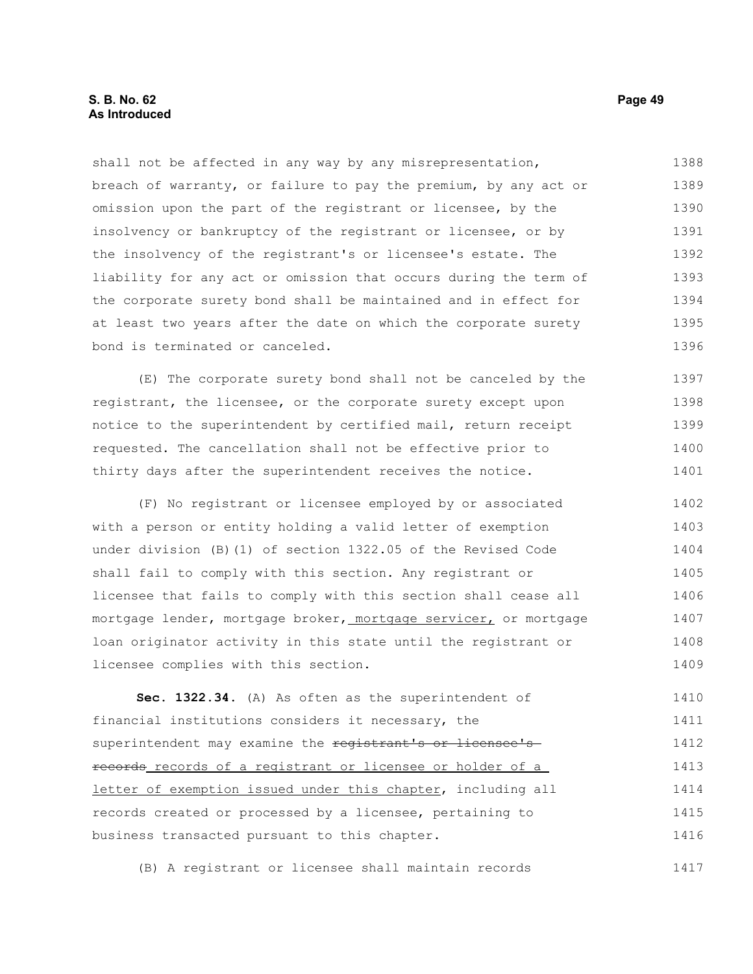# **S. B. No. 62 Page 49 As Introduced**

shall not be affected in any way by any misrepresentation, breach of warranty, or failure to pay the premium, by any act or omission upon the part of the registrant or licensee, by the insolvency or bankruptcy of the registrant or licensee, or by the insolvency of the registrant's or licensee's estate. The liability for any act or omission that occurs during the term of the corporate surety bond shall be maintained and in effect for at least two years after the date on which the corporate surety bond is terminated or canceled. 1388 1389 1390 1391 1392 1393 1394 1395 1396

(E) The corporate surety bond shall not be canceled by the registrant, the licensee, or the corporate surety except upon notice to the superintendent by certified mail, return receipt requested. The cancellation shall not be effective prior to thirty days after the superintendent receives the notice. 1397 1398 1399 1400 1401

(F) No registrant or licensee employed by or associated with a person or entity holding a valid letter of exemption under division (B)(1) of section 1322.05 of the Revised Code shall fail to comply with this section. Any registrant or licensee that fails to comply with this section shall cease all mortgage lender, mortgage broker, mortgage servicer, or mortgage loan originator activity in this state until the registrant or licensee complies with this section. 1402 1403 1404 1405 1406 1407 1408 1409

**Sec. 1322.34.** (A) As often as the superintendent of financial institutions considers it necessary, the superintendent may examine the registrant's or licensee'srecords records of a registrant or licensee or holder of a letter of exemption issued under this chapter, including all records created or processed by a licensee, pertaining to business transacted pursuant to this chapter. 1410 1411 1412 1413 1414 1415 1416

(B) A registrant or licensee shall maintain records 1417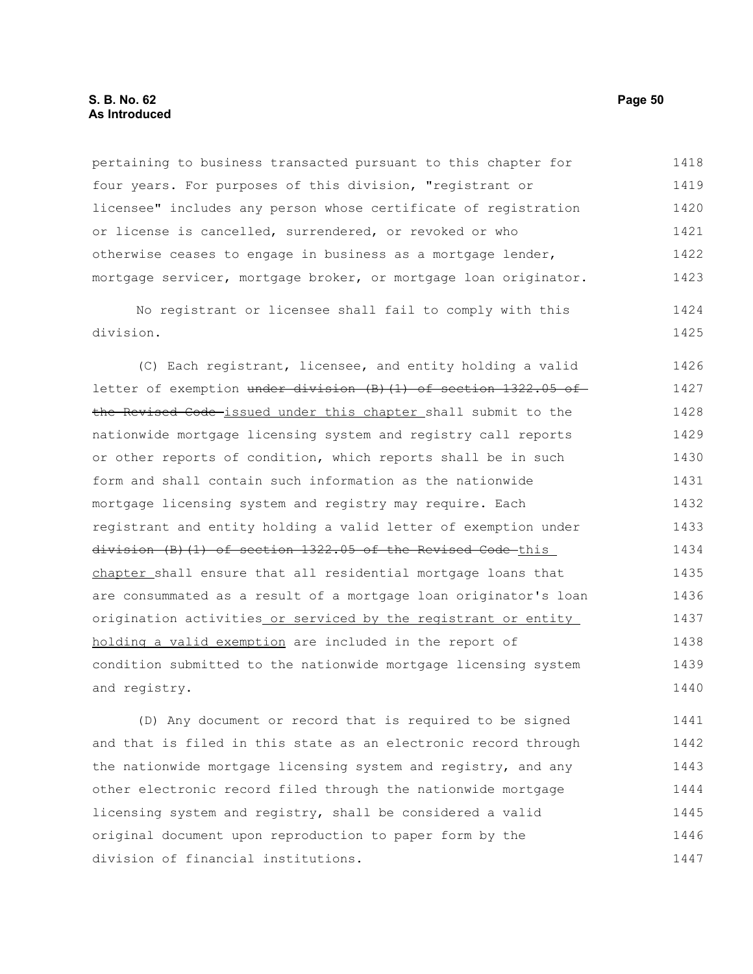# **S. B. No. 62 Page 50 As Introduced**

pertaining to business transacted pursuant to this chapter for four years. For purposes of this division, "registrant or licensee" includes any person whose certificate of registration or license is cancelled, surrendered, or revoked or who otherwise ceases to engage in business as a mortgage lender, mortgage servicer, mortgage broker, or mortgage loan originator. 1418 1419 1420 1421 1422 1423

No registrant or licensee shall fail to comply with this division. 1424 1425

(C) Each registrant, licensee, and entity holding a valid letter of exemption under division (B)(1) of section 1322.05 of the Revised Code issued under this chapter shall submit to the nationwide mortgage licensing system and registry call reports or other reports of condition, which reports shall be in such form and shall contain such information as the nationwide mortgage licensing system and registry may require. Each registrant and entity holding a valid letter of exemption under division (B)(1) of section 1322.05 of the Revised Code this chapter shall ensure that all residential mortgage loans that are consummated as a result of a mortgage loan originator's loan origination activities or serviced by the registrant or entity holding a valid exemption are included in the report of condition submitted to the nationwide mortgage licensing system and registry. 1426 1427 1428 1429 1430 1431 1432 1433 1434 1435 1436 1437 1438 1439 1440

(D) Any document or record that is required to be signed and that is filed in this state as an electronic record through the nationwide mortgage licensing system and registry, and any other electronic record filed through the nationwide mortgage licensing system and registry, shall be considered a valid original document upon reproduction to paper form by the division of financial institutions. 1441 1442 1443 1444 1445 1446 1447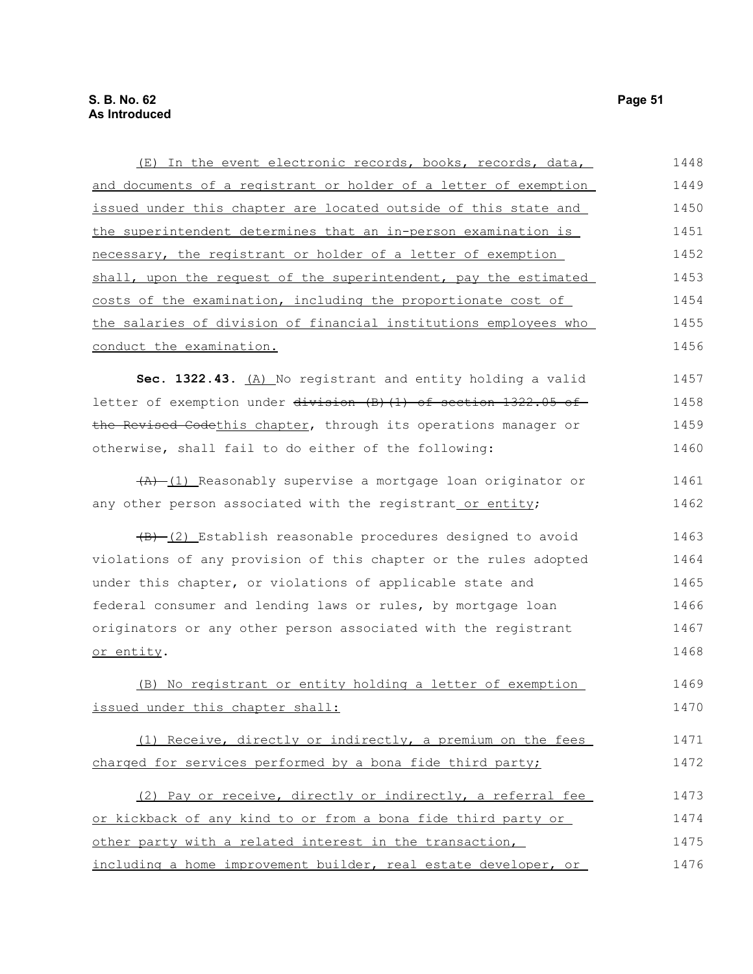| (E) In the event electronic records, books, records, data,                   | 1448 |
|------------------------------------------------------------------------------|------|
| and documents of a registrant or holder of a letter of exemption             | 1449 |
| issued under this chapter are located outside of this state and              | 1450 |
| the superintendent determines that an in-person examination is               | 1451 |
| necessary, the registrant or holder of a letter of exemption                 | 1452 |
| shall, upon the request of the superintendent, pay the estimated             | 1453 |
| costs of the examination, including the proportionate cost of                | 1454 |
| the salaries of division of financial institutions employees who             | 1455 |
| conduct the examination.                                                     | 1456 |
| Sec. 1322.43. (A) No registrant and entity holding a valid                   | 1457 |
| letter of exemption under division (B) (1) of section 1322.05 of             | 1458 |
| the Revised Codethis chapter, through its operations manager or              | 1459 |
| otherwise, shall fail to do either of the following:                         | 1460 |
| $\overline{(A)}$ (1) Reasonably supervise a mortgage loan originator or      | 1461 |
| any other person associated with the registrant or entity;                   | 1462 |
| $\left(\frac{B}{C}\right)$ Establish reasonable procedures designed to avoid | 1463 |
| violations of any provision of this chapter or the rules adopted             | 1464 |
| under this chapter, or violations of applicable state and                    | 1465 |
| federal consumer and lending laws or rules, by mortgage loan                 | 1466 |
| originators or any other person associated with the registrant               | 1467 |
| or entity.                                                                   | 1468 |
| (B) No registrant or entity holding a letter of exemption                    | 1469 |
| issued under this chapter shall:                                             | 1470 |
| (1) Receive, directly or indirectly, a premium on the fees                   | 1471 |
| charged for services performed by a bona fide third party;                   | 1472 |
| (2) Pay or receive, directly or indirectly, a referral fee                   | 1473 |
| or kickback of any kind to or from a bona fide third party or                | 1474 |
| other party with a related interest in the transaction,                      | 1475 |
| including a home improvement builder, real estate developer, or              | 1476 |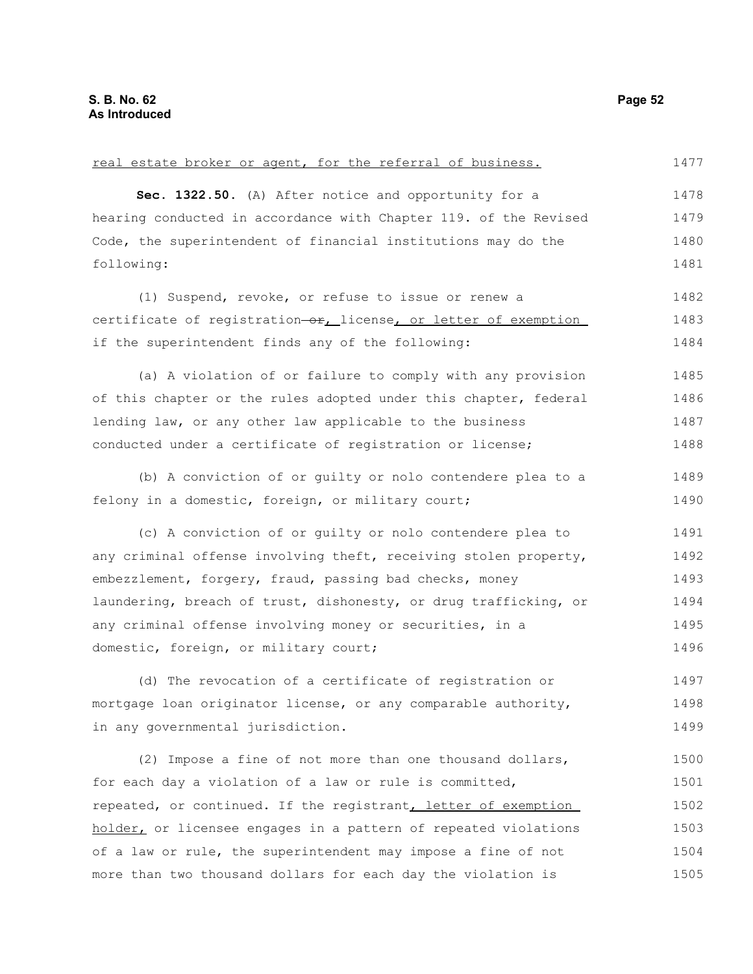| real estate broker or agent, for the referral of business.       | 1477 |
|------------------------------------------------------------------|------|
| Sec. 1322.50. (A) After notice and opportunity for a             | 1478 |
| hearing conducted in accordance with Chapter 119. of the Revised | 1479 |
| Code, the superintendent of financial institutions may do the    | 1480 |
| following:                                                       | 1481 |
| (1) Suspend, revoke, or refuse to issue or renew a               | 1482 |
| certificate of registration-or, license, or letter of exemption  | 1483 |
| if the superintendent finds any of the following:                | 1484 |
| (a) A violation of or failure to comply with any provision       | 1485 |
| of this chapter or the rules adopted under this chapter, federal | 1486 |
| lending law, or any other law applicable to the business         | 1487 |
| conducted under a certificate of registration or license;        | 1488 |
| (b) A conviction of or guilty or nolo contendere plea to a       | 1489 |
| felony in a domestic, foreign, or military court;                | 1490 |
| (c) A conviction of or guilty or nolo contendere plea to         | 1491 |
| any criminal offense involving theft, receiving stolen property, | 1492 |
| embezzlement, forgery, fraud, passing bad checks, money          | 1493 |
| laundering, breach of trust, dishonesty, or drug trafficking, or | 1494 |
| any criminal offense involving money or securities, in a         | 1495 |
| domestic, foreign, or military court;                            | 1496 |
| (d) The revocation of a certificate of registration or           | 1497 |
| mortgage loan originator license, or any comparable authority,   | 1498 |
| in any governmental jurisdiction.                                | 1499 |
| (2) Impose a fine of not more than one thousand dollars,         | 1500 |
| for each day a violation of a law or rule is committed,          | 1501 |
| repeated, or continued. If the registrant, letter of exemption   | 1502 |
| holder, or licensee engages in a pattern of repeated violations  | 1503 |
| of a law or rule, the superintendent may impose a fine of not    | 1504 |
| more than two thousand dollars for each day the violation is     | 1505 |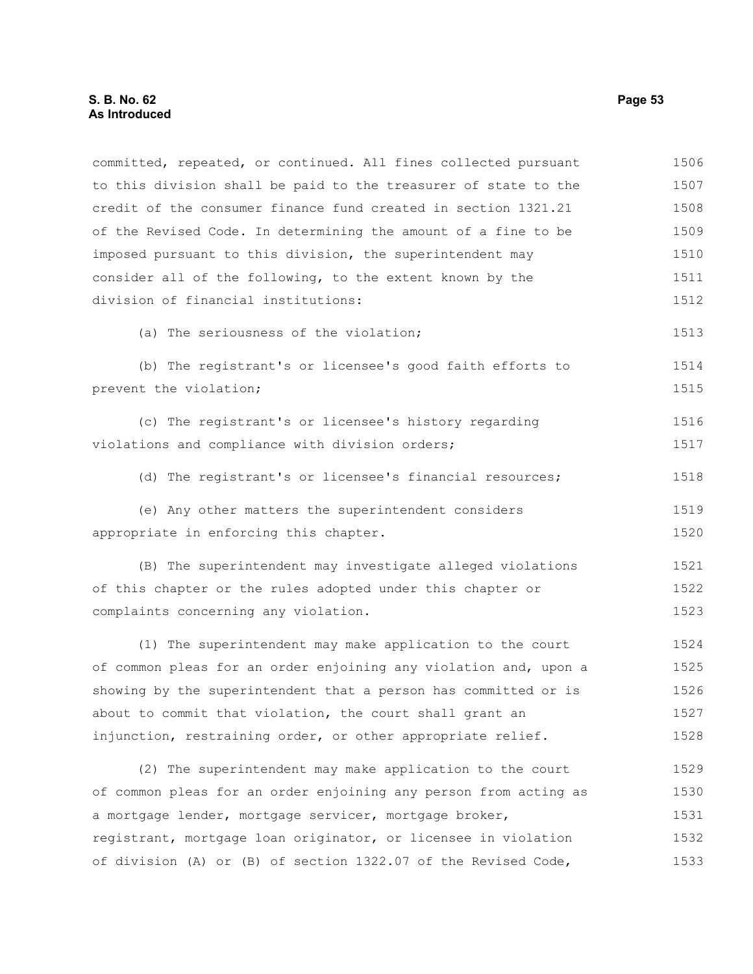to this division shall be paid to the treasurer of state to the credit of the consumer finance fund created in section 1321.21 of the Revised Code. In determining the amount of a fine to be imposed pursuant to this division, the superintendent may consider all of the following, to the extent known by the division of financial institutions: (a) The seriousness of the violation; (b) The registrant's or licensee's good faith efforts to prevent the violation; (c) The registrant's or licensee's history regarding violations and compliance with division orders; (d) The registrant's or licensee's financial resources; (e) Any other matters the superintendent considers appropriate in enforcing this chapter. (B) The superintendent may investigate alleged violations of this chapter or the rules adopted under this chapter or complaints concerning any violation. (1) The superintendent may make application to the court of common pleas for an order enjoining any violation and, upon a showing by the superintendent that a person has committed or is about to commit that violation, the court shall grant an injunction, restraining order, or other appropriate relief. (2) The superintendent may make application to the court of common pleas for an order enjoining any person from acting as a mortgage lender, mortgage servicer, mortgage broker, registrant, mortgage loan originator, or licensee in violation of division (A) or (B) of section 1322.07 of the Revised Code, 1507 1508 1509 1510 1511 1512 1513 1514 1515 1516 1517 1518 1519 1520 1521 1522 1523 1524 1525 1526 1527 1528 1529 1530 1531 1532 1533

committed, repeated, or continued. All fines collected pursuant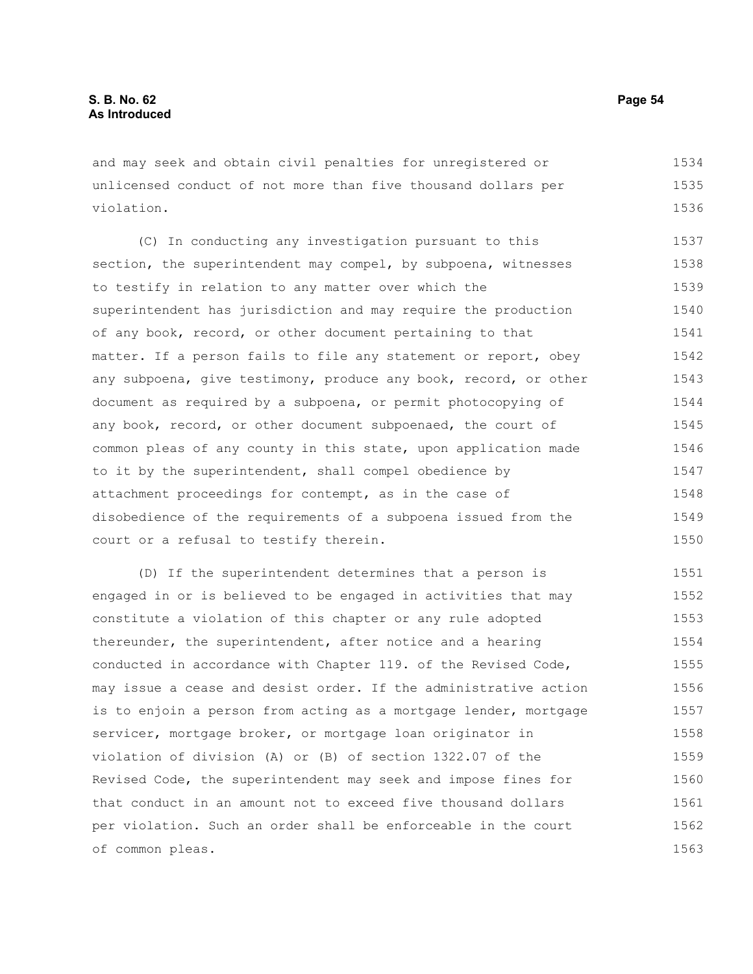and may seek and obtain civil penalties for unregistered or unlicensed conduct of not more than five thousand dollars per violation. 1534 1535 1536

(C) In conducting any investigation pursuant to this section, the superintendent may compel, by subpoena, witnesses to testify in relation to any matter over which the superintendent has jurisdiction and may require the production of any book, record, or other document pertaining to that matter. If a person fails to file any statement or report, obey any subpoena, give testimony, produce any book, record, or other document as required by a subpoena, or permit photocopying of any book, record, or other document subpoenaed, the court of common pleas of any county in this state, upon application made to it by the superintendent, shall compel obedience by attachment proceedings for contempt, as in the case of disobedience of the requirements of a subpoena issued from the court or a refusal to testify therein. 1537 1538 1539 1540 1541 1542 1543 1544 1545 1546 1547 1548 1549 1550

(D) If the superintendent determines that a person is engaged in or is believed to be engaged in activities that may constitute a violation of this chapter or any rule adopted thereunder, the superintendent, after notice and a hearing conducted in accordance with Chapter 119. of the Revised Code, may issue a cease and desist order. If the administrative action is to enjoin a person from acting as a mortgage lender, mortgage servicer, mortgage broker, or mortgage loan originator in violation of division (A) or (B) of section 1322.07 of the Revised Code, the superintendent may seek and impose fines for that conduct in an amount not to exceed five thousand dollars per violation. Such an order shall be enforceable in the court of common pleas. 1551 1552 1553 1554 1555 1556 1557 1558 1559 1560 1561 1562 1563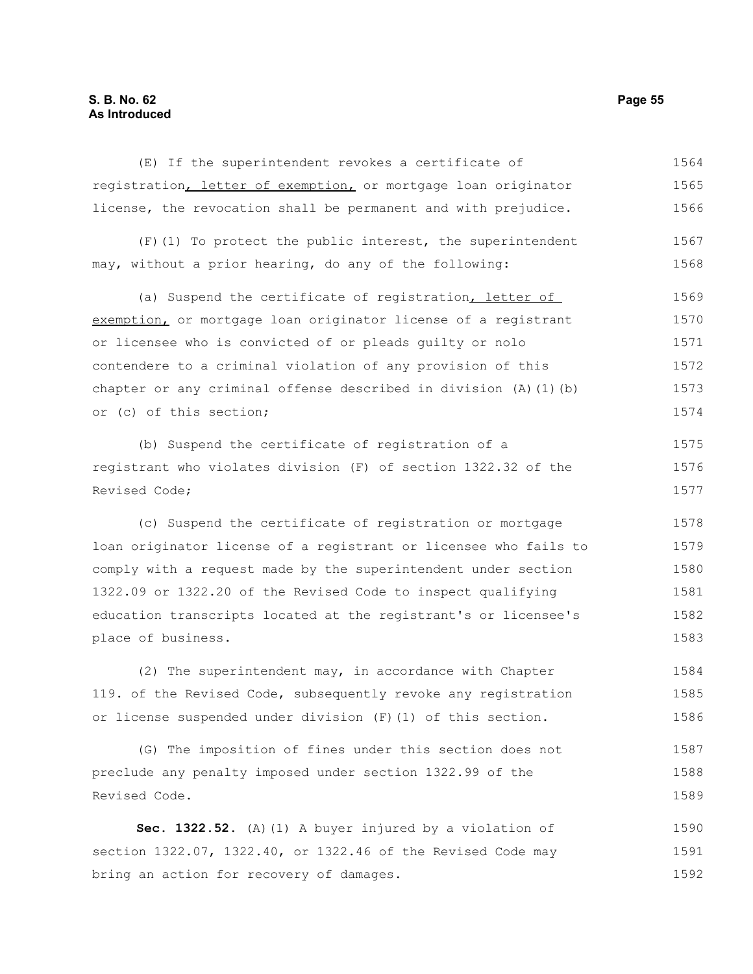## **S. B. No. 62 Page 55 As Introduced**

(E) If the superintendent revokes a certificate of registration, letter of exemption, or mortgage loan originator license, the revocation shall be permanent and with prejudice. 1564 1565 1566

(F)(1) To protect the public interest, the superintendent may, without a prior hearing, do any of the following: 1567 1568

(a) Suspend the certificate of registration, letter of exemption, or mortgage loan originator license of a registrant or licensee who is convicted of or pleads guilty or nolo contendere to a criminal violation of any provision of this chapter or any criminal offense described in division (A)(1)(b) or (c) of this section; 1569 1570 1571 1572 1573 1574

(b) Suspend the certificate of registration of a registrant who violates division (F) of section 1322.32 of the Revised Code;

(c) Suspend the certificate of registration or mortgage loan originator license of a registrant or licensee who fails to comply with a request made by the superintendent under section 1322.09 or 1322.20 of the Revised Code to inspect qualifying education transcripts located at the registrant's or licensee's place of business.

(2) The superintendent may, in accordance with Chapter 119. of the Revised Code, subsequently revoke any registration or license suspended under division (F)(1) of this section. 1584 1585 1586

(G) The imposition of fines under this section does not preclude any penalty imposed under section 1322.99 of the Revised Code. 1587 1588 1589

**Sec. 1322.52.** (A)(1) A buyer injured by a violation of section 1322.07, 1322.40, or 1322.46 of the Revised Code may bring an action for recovery of damages. 1590 1591 1592

1575 1576 1577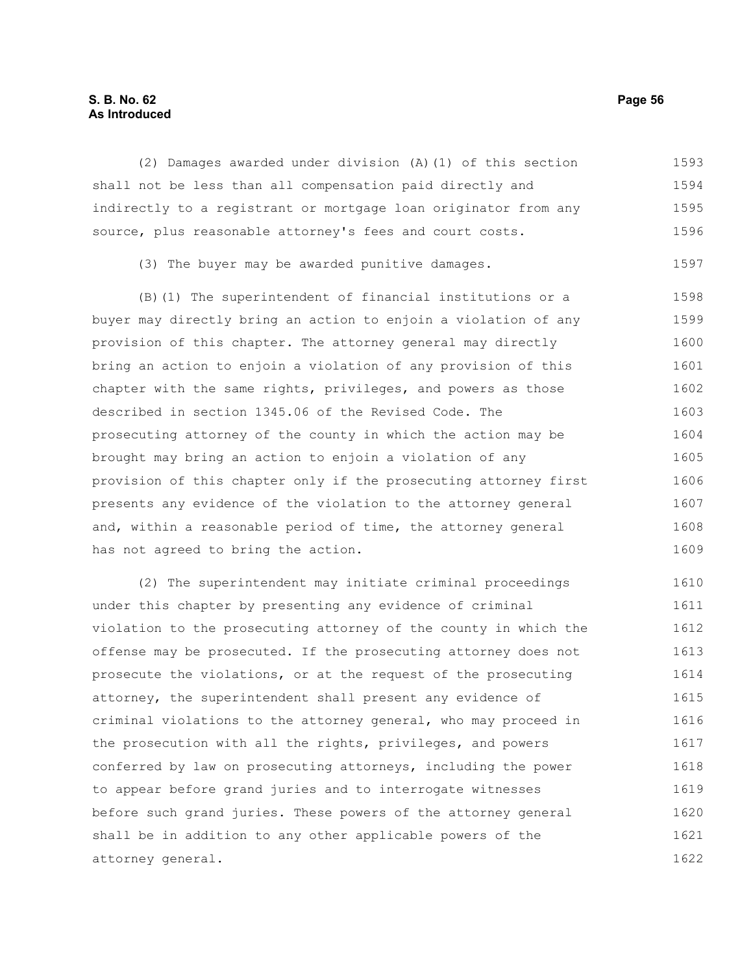## **S. B. No. 62 Page 56 As Introduced**

(2) Damages awarded under division (A)(1) of this section shall not be less than all compensation paid directly and indirectly to a registrant or mortgage loan originator from any source, plus reasonable attorney's fees and court costs. 1593 1594 1595 1596

(3) The buyer may be awarded punitive damages. 1597

(B)(1) The superintendent of financial institutions or a buyer may directly bring an action to enjoin a violation of any provision of this chapter. The attorney general may directly bring an action to enjoin a violation of any provision of this chapter with the same rights, privileges, and powers as those described in section 1345.06 of the Revised Code. The prosecuting attorney of the county in which the action may be brought may bring an action to enjoin a violation of any provision of this chapter only if the prosecuting attorney first presents any evidence of the violation to the attorney general and, within a reasonable period of time, the attorney general has not agreed to bring the action. 1598 1599 1600 1601 1602 1603 1604 1605 1606 1607 1608 1609

(2) The superintendent may initiate criminal proceedings under this chapter by presenting any evidence of criminal violation to the prosecuting attorney of the county in which the offense may be prosecuted. If the prosecuting attorney does not prosecute the violations, or at the request of the prosecuting attorney, the superintendent shall present any evidence of criminal violations to the attorney general, who may proceed in the prosecution with all the rights, privileges, and powers conferred by law on prosecuting attorneys, including the power to appear before grand juries and to interrogate witnesses before such grand juries. These powers of the attorney general shall be in addition to any other applicable powers of the attorney general. 1610 1611 1612 1613 1614 1615 1616 1617 1618 1619 1620 1621 1622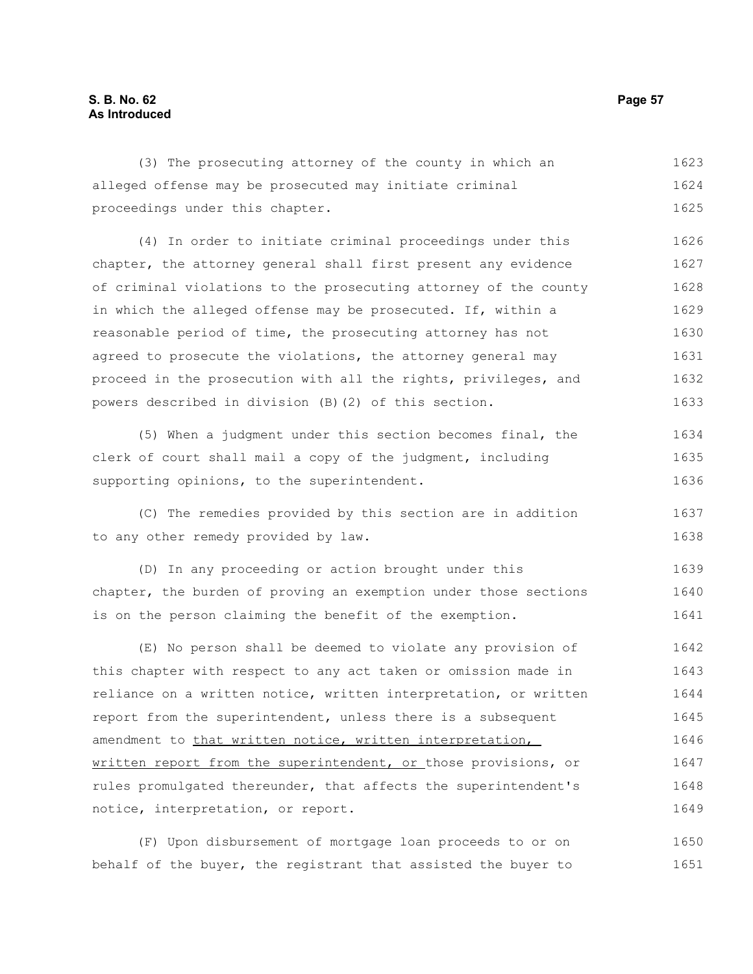# **S. B. No. 62 Page 57 As Introduced**

(3) The prosecuting attorney of the county in which an alleged offense may be prosecuted may initiate criminal proceedings under this chapter. (4) In order to initiate criminal proceedings under this chapter, the attorney general shall first present any evidence of criminal violations to the prosecuting attorney of the county in which the alleged offense may be prosecuted. If, within a reasonable period of time, the prosecuting attorney has not 1623 1624 1625 1626 1627 1628 1629 1630

agreed to prosecute the violations, the attorney general may proceed in the prosecution with all the rights, privileges, and powers described in division (B)(2) of this section. 1631 1632 1633

(5) When a judgment under this section becomes final, the clerk of court shall mail a copy of the judgment, including supporting opinions, to the superintendent. 1634 1635 1636

(C) The remedies provided by this section are in addition to any other remedy provided by law.

(D) In any proceeding or action brought under this chapter, the burden of proving an exemption under those sections is on the person claiming the benefit of the exemption. 1639 1640 1641

(E) No person shall be deemed to violate any provision of this chapter with respect to any act taken or omission made in reliance on a written notice, written interpretation, or written report from the superintendent, unless there is a subsequent amendment to that written notice, written interpretation, written report from the superintendent, or those provisions, or rules promulgated thereunder, that affects the superintendent's notice, interpretation, or report. 1642 1643 1644 1645 1646 1647 1648 1649

(F) Upon disbursement of mortgage loan proceeds to or on behalf of the buyer, the registrant that assisted the buyer to 1650 1651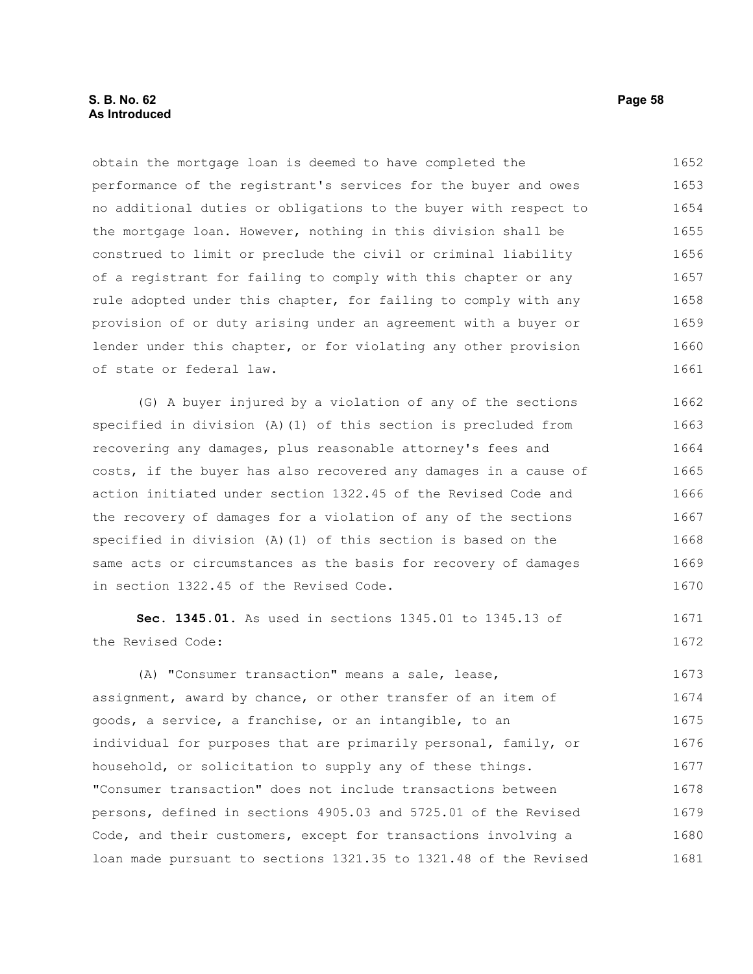# **S. B. No. 62 Page 58 As Introduced**

obtain the mortgage loan is deemed to have completed the performance of the registrant's services for the buyer and owes no additional duties or obligations to the buyer with respect to the mortgage loan. However, nothing in this division shall be construed to limit or preclude the civil or criminal liability of a registrant for failing to comply with this chapter or any rule adopted under this chapter, for failing to comply with any provision of or duty arising under an agreement with a buyer or lender under this chapter, or for violating any other provision of state or federal law. 1652 1653 1654 1655 1656 1657 1658 1659 1660 1661

(G) A buyer injured by a violation of any of the sections specified in division (A)(1) of this section is precluded from recovering any damages, plus reasonable attorney's fees and costs, if the buyer has also recovered any damages in a cause of action initiated under section 1322.45 of the Revised Code and the recovery of damages for a violation of any of the sections specified in division (A)(1) of this section is based on the same acts or circumstances as the basis for recovery of damages in section 1322.45 of the Revised Code. 1662 1663 1664 1665 1666 1667 1668 1669 1670

**Sec. 1345.01.** As used in sections 1345.01 to 1345.13 of the Revised Code: 1671 1672

(A) "Consumer transaction" means a sale, lease, assignment, award by chance, or other transfer of an item of goods, a service, a franchise, or an intangible, to an individual for purposes that are primarily personal, family, or household, or solicitation to supply any of these things. "Consumer transaction" does not include transactions between persons, defined in sections 4905.03 and 5725.01 of the Revised Code, and their customers, except for transactions involving a loan made pursuant to sections 1321.35 to 1321.48 of the Revised 1673 1674 1675 1676 1677 1678 1679 1680 1681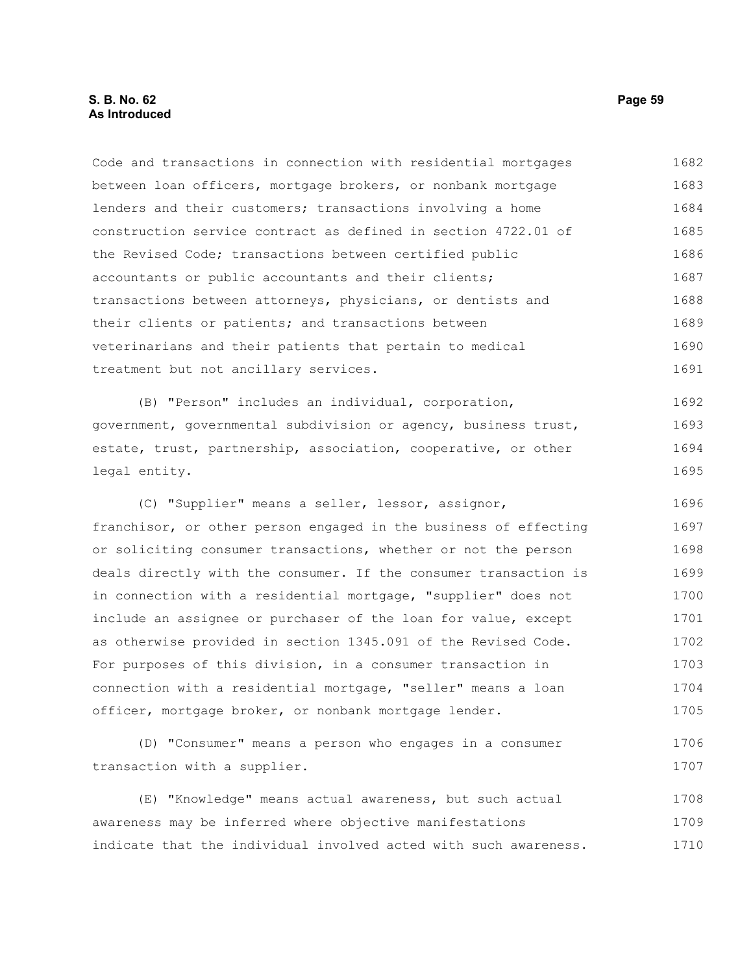## **S. B. No. 62 Page 59 As Introduced**

Code and transactions in connection with residential mortgages between loan officers, mortgage brokers, or nonbank mortgage lenders and their customers; transactions involving a home construction service contract as defined in section 4722.01 of the Revised Code; transactions between certified public accountants or public accountants and their clients; transactions between attorneys, physicians, or dentists and their clients or patients; and transactions between veterinarians and their patients that pertain to medical treatment but not ancillary services. 1682 1683 1684 1685 1686 1687 1688 1689 1690 1691

(B) "Person" includes an individual, corporation, government, governmental subdivision or agency, business trust, estate, trust, partnership, association, cooperative, or other legal entity. 1692 1693 1694 1695

(C) "Supplier" means a seller, lessor, assignor, franchisor, or other person engaged in the business of effecting or soliciting consumer transactions, whether or not the person deals directly with the consumer. If the consumer transaction is in connection with a residential mortgage, "supplier" does not include an assignee or purchaser of the loan for value, except as otherwise provided in section 1345.091 of the Revised Code. For purposes of this division, in a consumer transaction in connection with a residential mortgage, "seller" means a loan officer, mortgage broker, or nonbank mortgage lender. 1696 1697 1698 1699 1700 1701 1702 1703 1704 1705

(D) "Consumer" means a person who engages in a consumer transaction with a supplier. 1706 1707

(E) "Knowledge" means actual awareness, but such actual awareness may be inferred where objective manifestations indicate that the individual involved acted with such awareness. 1708 1709 1710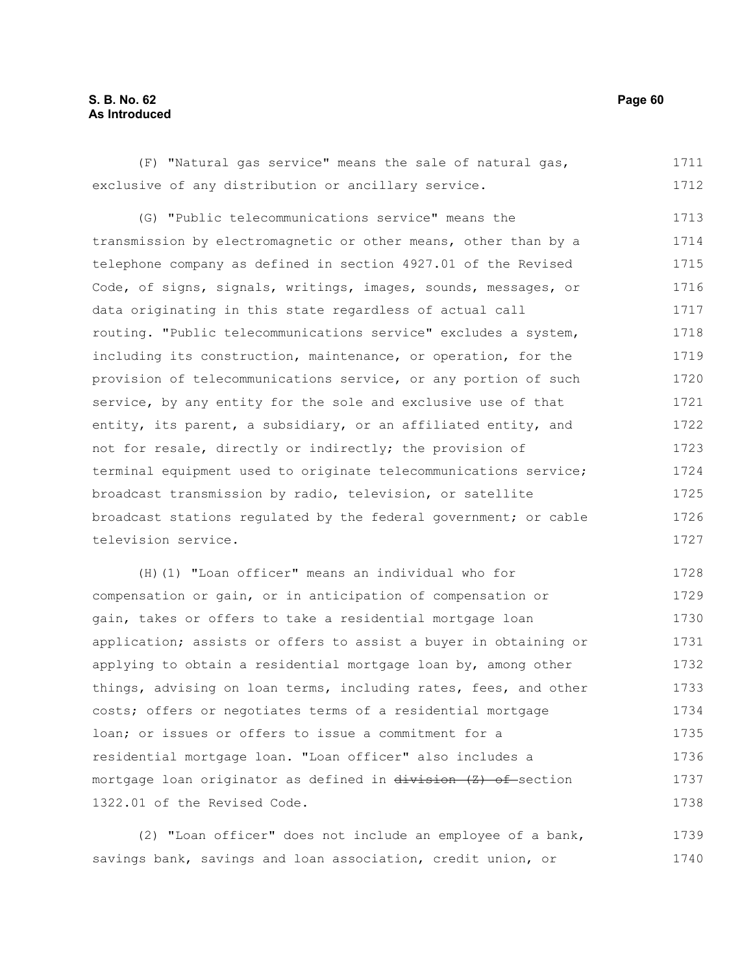# **S. B. No. 62 Page 60 As Introduced**

(F) "Natural gas service" means the sale of natural gas, exclusive of any distribution or ancillary service. 1711 1712

(G) "Public telecommunications service" means the transmission by electromagnetic or other means, other than by a telephone company as defined in section 4927.01 of the Revised Code, of signs, signals, writings, images, sounds, messages, or data originating in this state regardless of actual call routing. "Public telecommunications service" excludes a system, including its construction, maintenance, or operation, for the provision of telecommunications service, or any portion of such service, by any entity for the sole and exclusive use of that entity, its parent, a subsidiary, or an affiliated entity, and not for resale, directly or indirectly; the provision of terminal equipment used to originate telecommunications service; broadcast transmission by radio, television, or satellite broadcast stations regulated by the federal government; or cable television service. 1713 1714 1715 1716 1717 1718 1719 1720 1721 1722 1723 1724 1725 1726 1727

(H)(1) "Loan officer" means an individual who for compensation or gain, or in anticipation of compensation or gain, takes or offers to take a residential mortgage loan application; assists or offers to assist a buyer in obtaining or applying to obtain a residential mortgage loan by, among other things, advising on loan terms, including rates, fees, and other costs; offers or negotiates terms of a residential mortgage loan; or issues or offers to issue a commitment for a residential mortgage loan. "Loan officer" also includes a mortgage loan originator as defined in division (Z) of section 1322.01 of the Revised Code. 1728 1729 1730 1731 1732 1733 1734 1735 1736 1737 1738

(2) "Loan officer" does not include an employee of a bank, savings bank, savings and loan association, credit union, or 1739 1740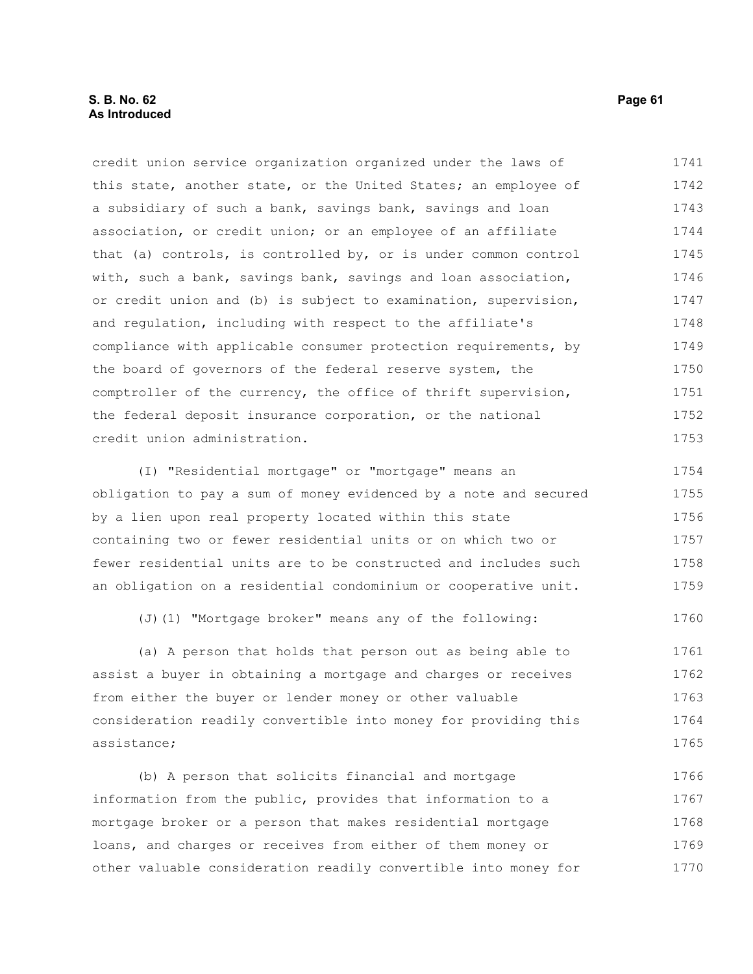# **S. B. No. 62 Page 61 As Introduced**

credit union service organization organized under the laws of this state, another state, or the United States; an employee of a subsidiary of such a bank, savings bank, savings and loan association, or credit union; or an employee of an affiliate that (a) controls, is controlled by, or is under common control with, such a bank, savings bank, savings and loan association, or credit union and (b) is subject to examination, supervision, and regulation, including with respect to the affiliate's compliance with applicable consumer protection requirements, by the board of governors of the federal reserve system, the comptroller of the currency, the office of thrift supervision, the federal deposit insurance corporation, or the national credit union administration. 1741 1742 1743 1744 1745 1746 1747 1748 1749 1750 1751 1752 1753

(I) "Residential mortgage" or "mortgage" means an obligation to pay a sum of money evidenced by a note and secured by a lien upon real property located within this state containing two or fewer residential units or on which two or fewer residential units are to be constructed and includes such an obligation on a residential condominium or cooperative unit. 1754 1755 1756 1757 1758 1759

(J)(1) "Mortgage broker" means any of the following:

(a) A person that holds that person out as being able to assist a buyer in obtaining a mortgage and charges or receives from either the buyer or lender money or other valuable consideration readily convertible into money for providing this assistance; 1761 1762 1763 1764 1765

(b) A person that solicits financial and mortgage information from the public, provides that information to a mortgage broker or a person that makes residential mortgage loans, and charges or receives from either of them money or other valuable consideration readily convertible into money for 1766 1767 1768 1769 1770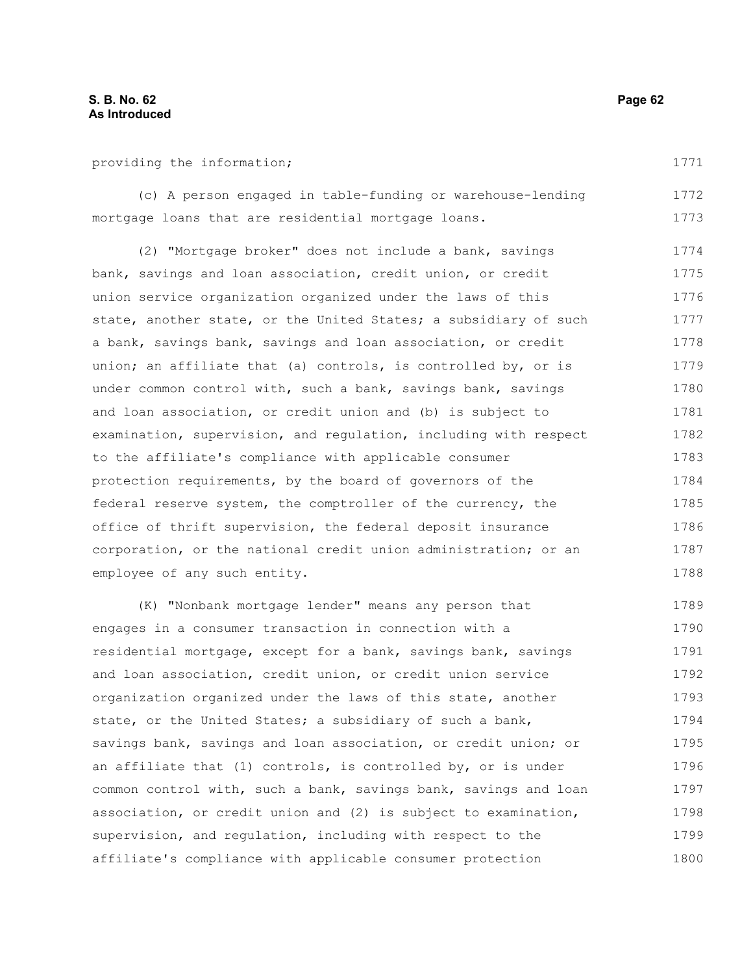providing the information;

(c) A person engaged in table-funding or warehouse-lending mortgage loans that are residential mortgage loans. 1772 1773

(2) "Mortgage broker" does not include a bank, savings bank, savings and loan association, credit union, or credit union service organization organized under the laws of this state, another state, or the United States; a subsidiary of such a bank, savings bank, savings and loan association, or credit union; an affiliate that (a) controls, is controlled by, or is under common control with, such a bank, savings bank, savings and loan association, or credit union and (b) is subject to examination, supervision, and regulation, including with respect to the affiliate's compliance with applicable consumer protection requirements, by the board of governors of the federal reserve system, the comptroller of the currency, the office of thrift supervision, the federal deposit insurance corporation, or the national credit union administration; or an employee of any such entity. 1774 1775 1776 1777 1778 1779 1780 1781 1782 1783 1784 1785 1786 1787 1788

(K) "Nonbank mortgage lender" means any person that engages in a consumer transaction in connection with a residential mortgage, except for a bank, savings bank, savings and loan association, credit union, or credit union service organization organized under the laws of this state, another state, or the United States; a subsidiary of such a bank, savings bank, savings and loan association, or credit union; or an affiliate that (1) controls, is controlled by, or is under common control with, such a bank, savings bank, savings and loan association, or credit union and (2) is subject to examination, supervision, and regulation, including with respect to the affiliate's compliance with applicable consumer protection 1789 1790 1791 1792 1793 1794 1795 1796 1797 1798 1799 1800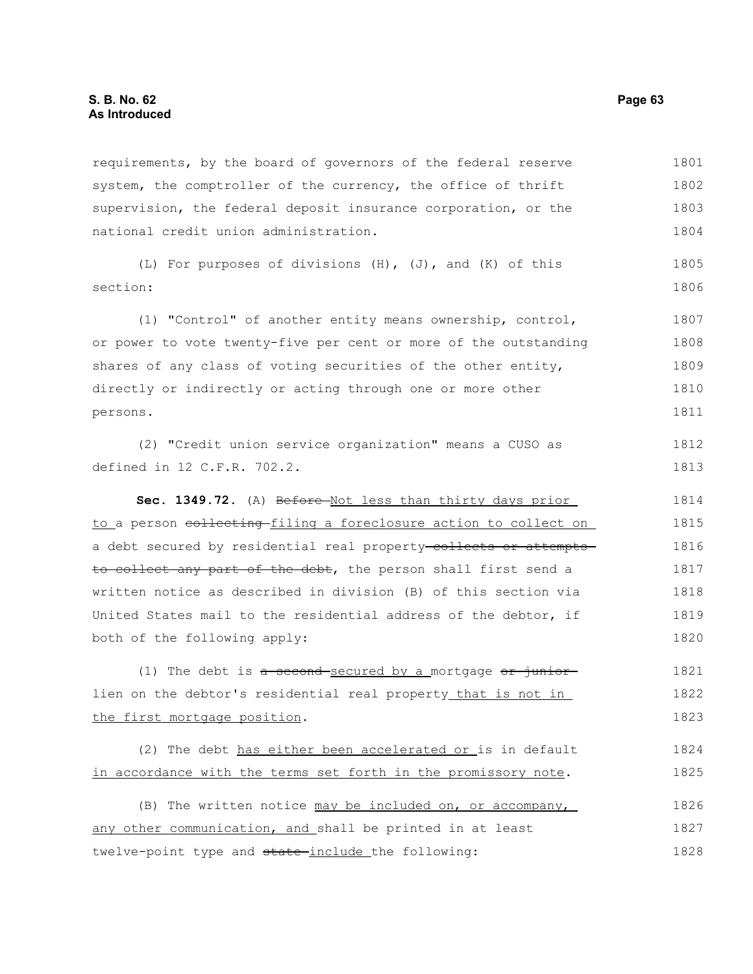requirements, by the board of governors of the federal reserve system, the comptroller of the currency, the office of thrift supervision, the federal deposit insurance corporation, or the national credit union administration. 1801 1802 1803 1804

(L) For purposes of divisions (H), (J), and (K) of this section: 1805 1806

(1) "Control" of another entity means ownership, control, or power to vote twenty-five per cent or more of the outstanding shares of any class of voting securities of the other entity, directly or indirectly or acting through one or more other persons. 1807 1808 1809 1810 1811

(2) "Credit union service organization" means a CUSO as defined in 12 C.F.R. 702.2. 1812 1813

Sec. 1349.72. (A) Before Not less than thirty days prior to a person collecting filing a foreclosure action to collect on a debt secured by residential real property-collects or attemptsto collect any part of the debt, the person shall first send a written notice as described in division (B) of this section via United States mail to the residential address of the debtor, if both of the following apply: 1814 1815 1816 1817 1818 1819 1820

(1) The debt is  $a$  second secured by a mortgage  $or$  juniorlien on the debtor's residential real property that is not in the first mortgage position. 1821 1822 1823

(2) The debt has either been accelerated or is in default in accordance with the terms set forth in the promissory note. 1824 1825

(B) The written notice may be included on, or accompany, any other communication, and shall be printed in at least twelve-point type and state-include the following: 1826 1827 1828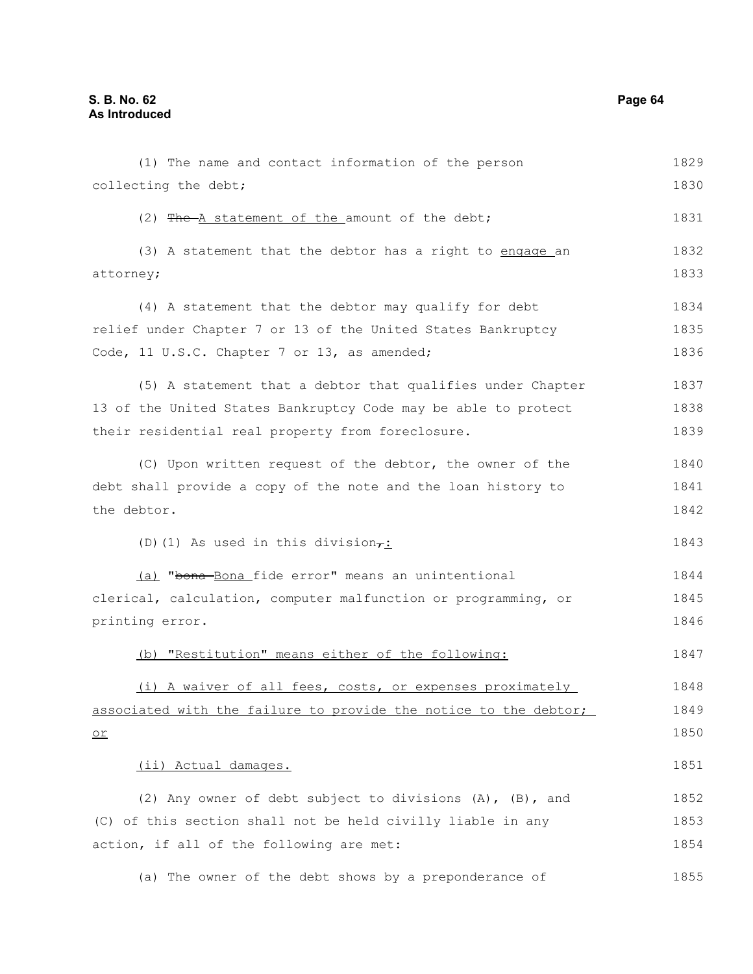(1) The name and contact information of the person collecting the debt; (2) The A statement of the amount of the debt; (3) A statement that the debtor has a right to engage an attorney; (4) A statement that the debtor may qualify for debt relief under Chapter 7 or 13 of the United States Bankruptcy Code, 11 U.S.C. Chapter 7 or 13, as amended; (5) A statement that a debtor that qualifies under Chapter 13 of the United States Bankruptcy Code may be able to protect their residential real property from foreclosure. (C) Upon written request of the debtor, the owner of the debt shall provide a copy of the note and the loan history to the debtor. (D)(1) As used in this division $\tau$ : (a) "bona-Bona fide error" means an unintentional clerical, calculation, computer malfunction or programming, or printing error. (b) "Restitution" means either of the following: (i) A waiver of all fees, costs, or expenses proximately associated with the failure to provide the notice to the debtor; or (ii) Actual damages. (2) Any owner of debt subject to divisions (A), (B), and (C) of this section shall not be held civilly liable in any action, if all of the following are met: (a) The owner of the debt shows by a preponderance of 1829 1830 1831 1832 1833 1834 1835 1836 1837 1838 1839 1840 1841 1842 1843 1844 1845 1846 1847 1848 1849 1850 1851 1852 1853 1854 1855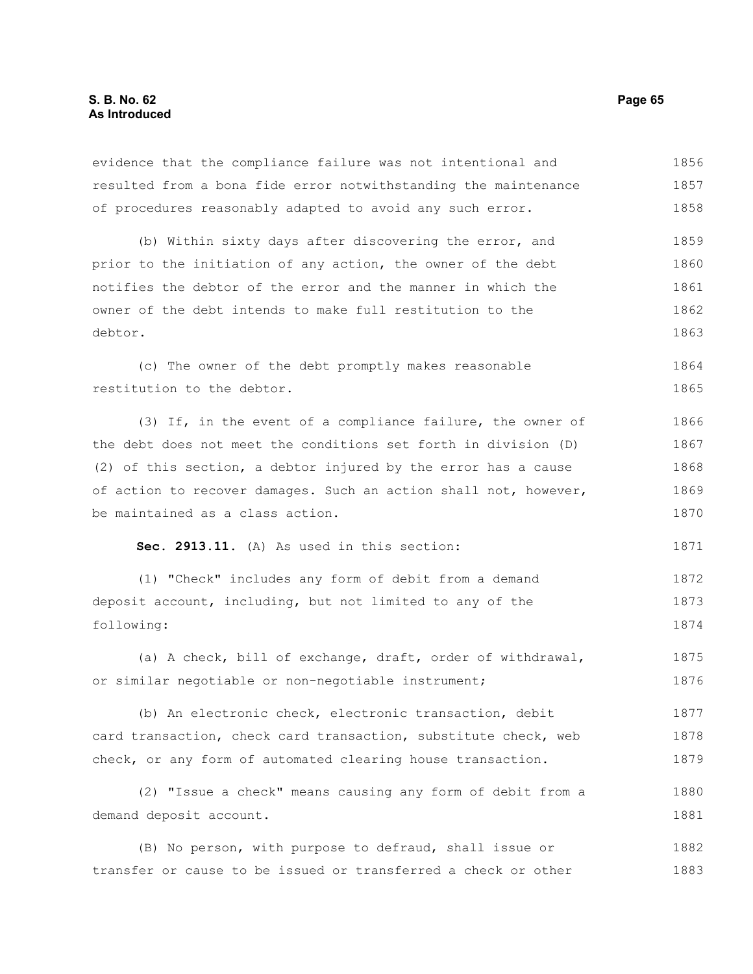evidence that the compliance failure was not intentional and resulted from a bona fide error notwithstanding the maintenance of procedures reasonably adapted to avoid any such error. 1856 1857 1858

(b) Within sixty days after discovering the error, and prior to the initiation of any action, the owner of the debt notifies the debtor of the error and the manner in which the owner of the debt intends to make full restitution to the debtor. 1859 1860 1861 1862 1863

(c) The owner of the debt promptly makes reasonable restitution to the debtor. 1864 1865

(3) If, in the event of a compliance failure, the owner of the debt does not meet the conditions set forth in division (D) (2) of this section, a debtor injured by the error has a cause of action to recover damages. Such an action shall not, however, be maintained as a class action. 1866 1867 1868 1869 1870

**Sec. 2913.11.** (A) As used in this section:

(1) "Check" includes any form of debit from a demand deposit account, including, but not limited to any of the following: 1872 1873 1874

(a) A check, bill of exchange, draft, order of withdrawal, or similar negotiable or non-negotiable instrument; 1875 1876

(b) An electronic check, electronic transaction, debit card transaction, check card transaction, substitute check, web check, or any form of automated clearing house transaction. 1877 1878 1879

(2) "Issue a check" means causing any form of debit from a demand deposit account. 1880 1881

(B) No person, with purpose to defraud, shall issue or transfer or cause to be issued or transferred a check or other 1882 1883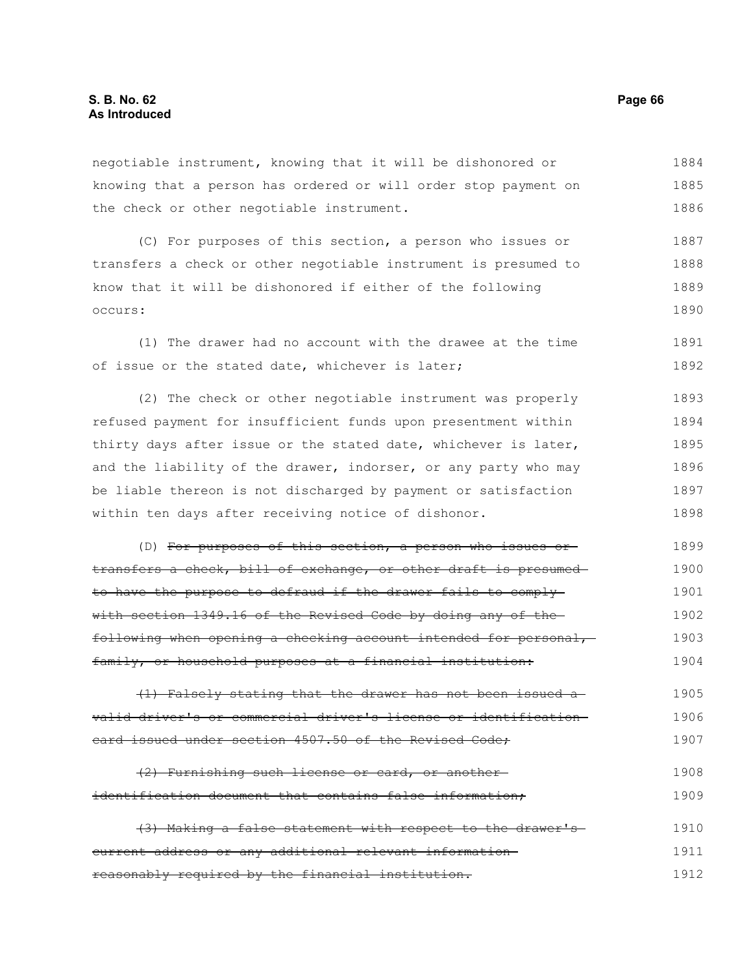negotiable instrument, knowing that it will be dishonored or knowing that a person has ordered or will order stop payment on the check or other negotiable instrument. 1884 1885 1886

(C) For purposes of this section, a person who issues or transfers a check or other negotiable instrument is presumed to know that it will be dishonored if either of the following occurs: 1887 1888 1889 1890

(1) The drawer had no account with the drawee at the time of issue or the stated date, whichever is later; 1891 1892

(2) The check or other negotiable instrument was properly refused payment for insufficient funds upon presentment within thirty days after issue or the stated date, whichever is later, and the liability of the drawer, indorser, or any party who may be liable thereon is not discharged by payment or satisfaction within ten days after receiving notice of dishonor. 1893 1894 1895 1896 1897 1898

(D) For purposes of this section, a person who issues or transfers a check, bill of exchange, or other draft is presumed to have the purpose to defraud if the drawer fails to comply with section 1349.16 of the Revised Code by doing any of the following when opening a checking account intended for personal, family, or household purposes at a financial institution: 1899 1900 1901 1902 1903 1904

(1) Falsely stating that the drawer has not been issued a valid driver's or commercial driver's license or identification card issued under section 4507.50 of the Revised Code; 1905 1906 1907

(2) Furnishing such license or card, or another identification document that contains false information; 1908 1909

(3) Making a false statement with respect to the drawer's current address or any additional relevant information reasonably required by the financial institution. 1910 1911 1912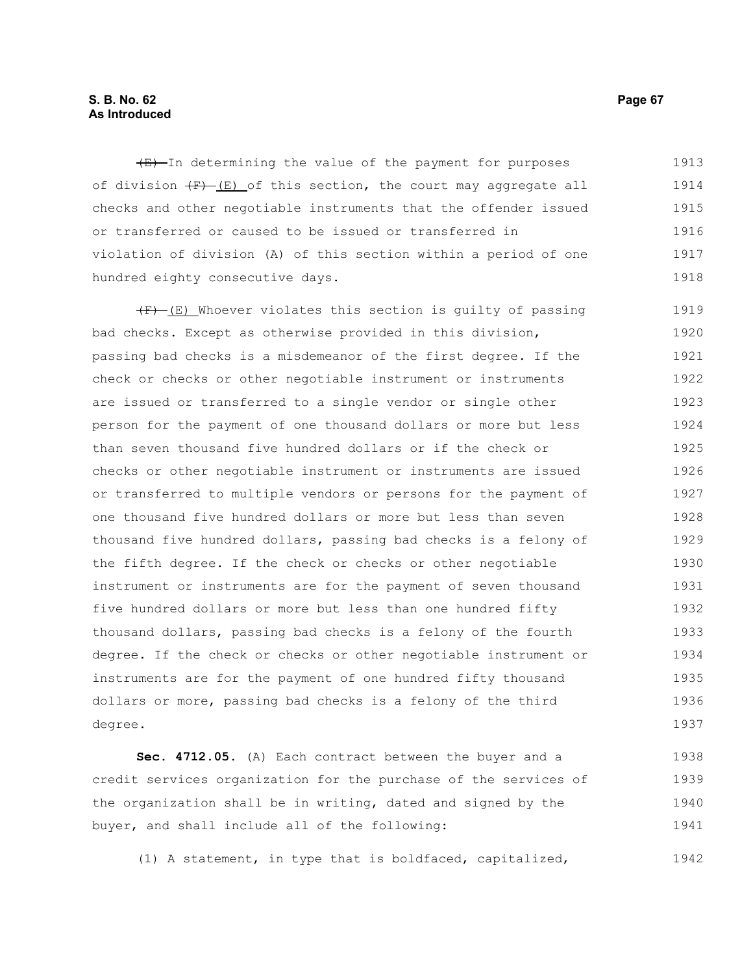#### **S. B. No. 62 Page 67 As Introduced**

 $(E)$ -In determining the value of the payment for purposes of division  $(F)$  (E) of this section, the court may aggregate all checks and other negotiable instruments that the offender issued or transferred or caused to be issued or transferred in violation of division (A) of this section within a period of one hundred eighty consecutive days. 1913 1914 1915 1916 1917 1918

 $(F)$  (E) Whoever violates this section is quilty of passing bad checks. Except as otherwise provided in this division, passing bad checks is a misdemeanor of the first degree. If the check or checks or other negotiable instrument or instruments are issued or transferred to a single vendor or single other person for the payment of one thousand dollars or more but less than seven thousand five hundred dollars or if the check or checks or other negotiable instrument or instruments are issued or transferred to multiple vendors or persons for the payment of one thousand five hundred dollars or more but less than seven thousand five hundred dollars, passing bad checks is a felony of the fifth degree. If the check or checks or other negotiable instrument or instruments are for the payment of seven thousand five hundred dollars or more but less than one hundred fifty thousand dollars, passing bad checks is a felony of the fourth degree. If the check or checks or other negotiable instrument or instruments are for the payment of one hundred fifty thousand dollars or more, passing bad checks is a felony of the third degree. 1919 1920 1921 1922 1923 1924 1925 1926 1927 1928 1929 1930 1931 1932 1933 1934 1935 1936 1937

**Sec. 4712.05.** (A) Each contract between the buyer and a credit services organization for the purchase of the services of the organization shall be in writing, dated and signed by the buyer, and shall include all of the following: 1938 1939 1940 1941

(1) A statement, in type that is boldfaced, capitalized,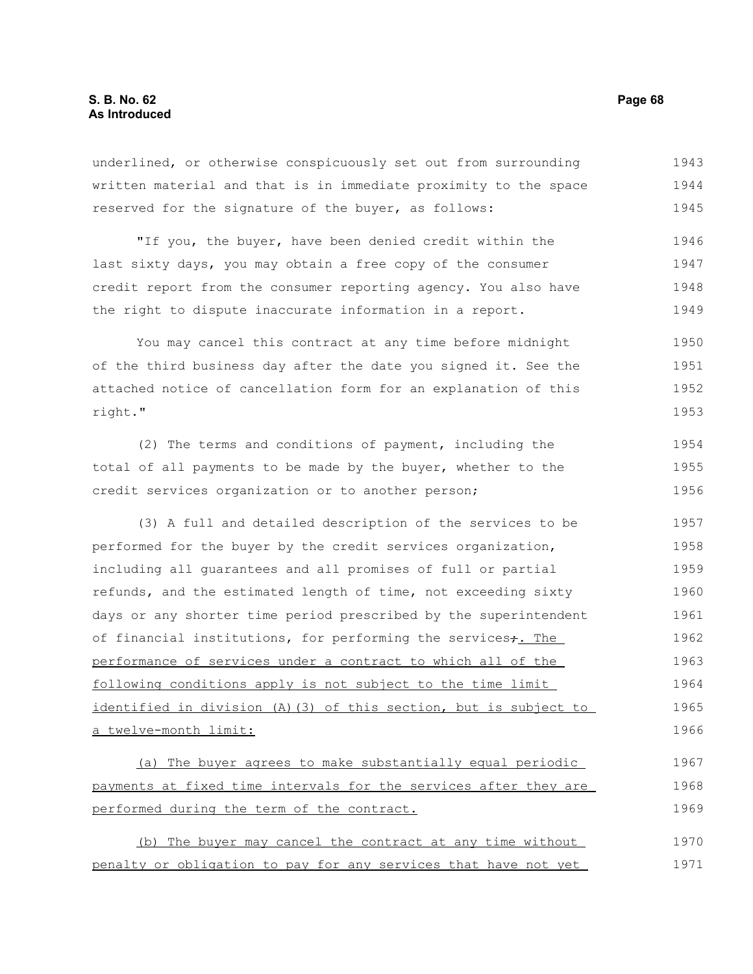# **S. B. No. 62 Page 68 As Introduced**

underlined, or otherwise conspicuously set out from surrounding written material and that is in immediate proximity to the space reserved for the signature of the buyer, as follows: 1943 1944 1945

"If you, the buyer, have been denied credit within the last sixty days, you may obtain a free copy of the consumer credit report from the consumer reporting agency. You also have the right to dispute inaccurate information in a report. 1946 1947 1948 1949

You may cancel this contract at any time before midnight of the third business day after the date you signed it. See the attached notice of cancellation form for an explanation of this right." 1950 1951 1952 1953

(2) The terms and conditions of payment, including the total of all payments to be made by the buyer, whether to the credit services organization or to another person; 1954 1955 1956

(3) A full and detailed description of the services to be performed for the buyer by the credit services organization, including all guarantees and all promises of full or partial refunds, and the estimated length of time, not exceeding sixty days or any shorter time period prescribed by the superintendent of financial institutions, for performing the services+. The performance of services under a contract to which all of the following conditions apply is not subject to the time limit identified in division (A)(3) of this section, but is subject to a twelve-month limit: 1957 1958 1959 1960 1961 1962 1963 1964 1965 1966

(a) The buyer agrees to make substantially equal periodic payments at fixed time intervals for the services after they are performed during the term of the contract. 1967 1968 1969

(b) The buyer may cancel the contract at any time without penalty or obligation to pay for any services that have not yet 1970 1971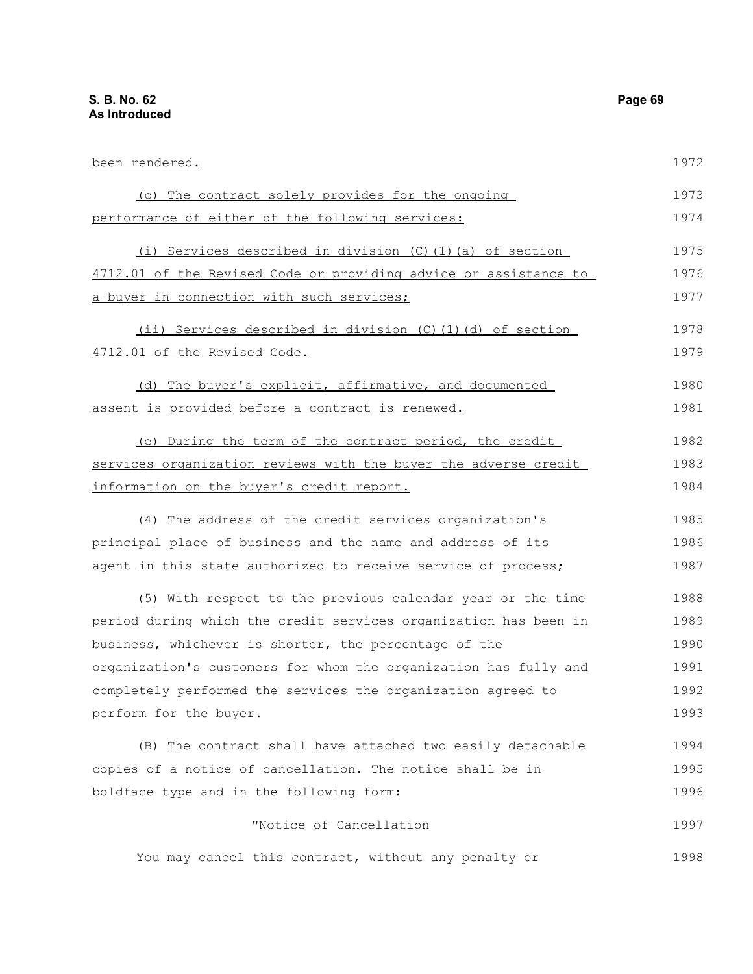been rendered. (c) The contract solely provides for the ongoing performance of either of the following services: (i) Services described in division (C)(1)(a) of section 4712.01 of the Revised Code or providing advice or assistance to a buyer in connection with such services; (ii) Services described in division (C)(1)(d) of section 4712.01 of the Revised Code. (d) The buyer's explicit, affirmative, and documented assent is provided before a contract is renewed. (e) During the term of the contract period, the credit services organization reviews with the buyer the adverse credit information on the buyer's credit report. (4) The address of the credit services organization's principal place of business and the name and address of its agent in this state authorized to receive service of process; (5) With respect to the previous calendar year or the time period during which the credit services organization has been in business, whichever is shorter, the percentage of the organization's customers for whom the organization has fully and completely performed the services the organization agreed to perform for the buyer. (B) The contract shall have attached two easily detachable copies of a notice of cancellation. The notice shall be in boldface type and in the following form: "Notice of Cancellation You may cancel this contract, without any penalty or 1972 1973 1974 1975 1976 1977 1978 1979 1980 1981 1982 1983 1984 1985 1986 1987 1988 1989 1990 1991 1992 1993 1994 1995 1996 1997 1998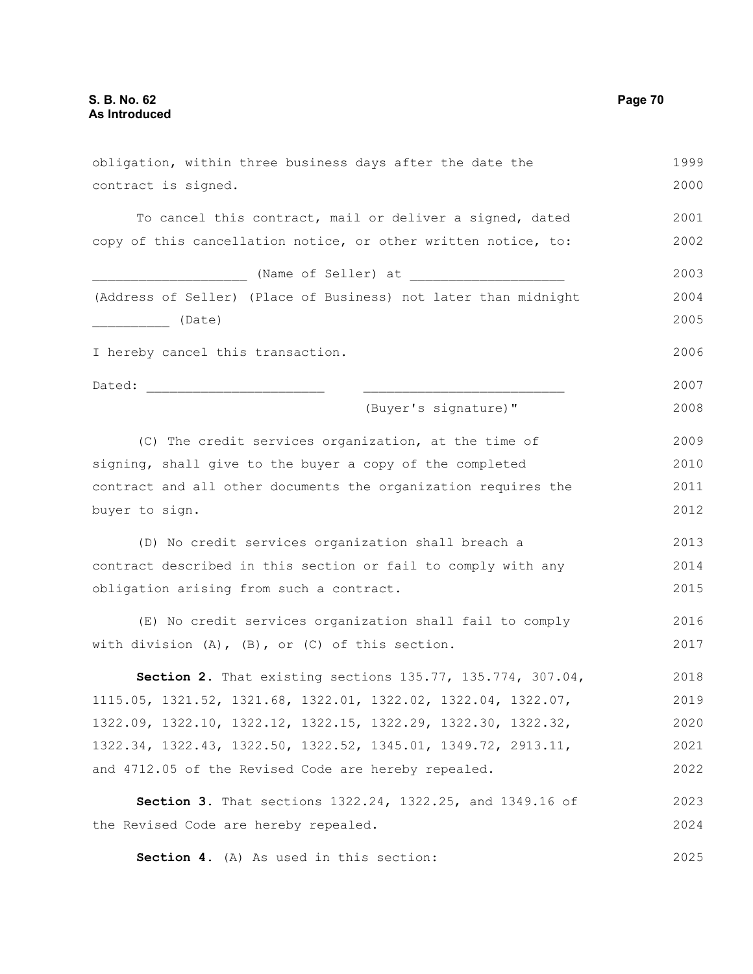| obligation, within three business days after the date the                                                                                                                                                                      | 1999 |
|--------------------------------------------------------------------------------------------------------------------------------------------------------------------------------------------------------------------------------|------|
| contract is signed.                                                                                                                                                                                                            | 2000 |
| To cancel this contract, mail or deliver a signed, dated                                                                                                                                                                       | 2001 |
| copy of this cancellation notice, or other written notice, to:                                                                                                                                                                 | 2002 |
| (Name of Seller) at                                                                                                                                                                                                            | 2003 |
| (Address of Seller) (Place of Business) not later than midnight                                                                                                                                                                | 2004 |
| (Date)                                                                                                                                                                                                                         | 2005 |
| I hereby cancel this transaction.                                                                                                                                                                                              | 2006 |
| Dated: the contract of the contract of the contract of the contract of the contract of the contract of the contract of the contract of the contract of the contract of the contract of the contract of the contract of the con | 2007 |
| (Buyer's signature)"                                                                                                                                                                                                           | 2008 |
| (C) The credit services organization, at the time of                                                                                                                                                                           | 2009 |
| signing, shall give to the buyer a copy of the completed                                                                                                                                                                       | 2010 |
| contract and all other documents the organization requires the                                                                                                                                                                 | 2011 |
| buyer to sign.                                                                                                                                                                                                                 | 2012 |
| (D) No credit services organization shall breach a                                                                                                                                                                             | 2013 |
| contract described in this section or fail to comply with any                                                                                                                                                                  | 2014 |
| obligation arising from such a contract.                                                                                                                                                                                       | 2015 |
| (E) No credit services organization shall fail to comply                                                                                                                                                                       | 2016 |
| with division $(A)$ , $(B)$ , or $(C)$ of this section.                                                                                                                                                                        | 2017 |
| Section 2. That existing sections 135.77, 135.774, 307.04,                                                                                                                                                                     | 2018 |
| 1115.05, 1321.52, 1321.68, 1322.01, 1322.02, 1322.04, 1322.07,                                                                                                                                                                 | 2019 |
| 1322.09, 1322.10, 1322.12, 1322.15, 1322.29, 1322.30, 1322.32,                                                                                                                                                                 | 2020 |
| 1322.34, 1322.43, 1322.50, 1322.52, 1345.01, 1349.72, 2913.11,                                                                                                                                                                 | 2021 |
| and 4712.05 of the Revised Code are hereby repealed.                                                                                                                                                                           | 2022 |
| Section 3. That sections 1322.24, 1322.25, and 1349.16 of                                                                                                                                                                      | 2023 |
| the Revised Code are hereby repealed.                                                                                                                                                                                          | 2024 |
| Section 4. (A) As used in this section:                                                                                                                                                                                        | 2025 |

**Section 4.** (A) As used in this section: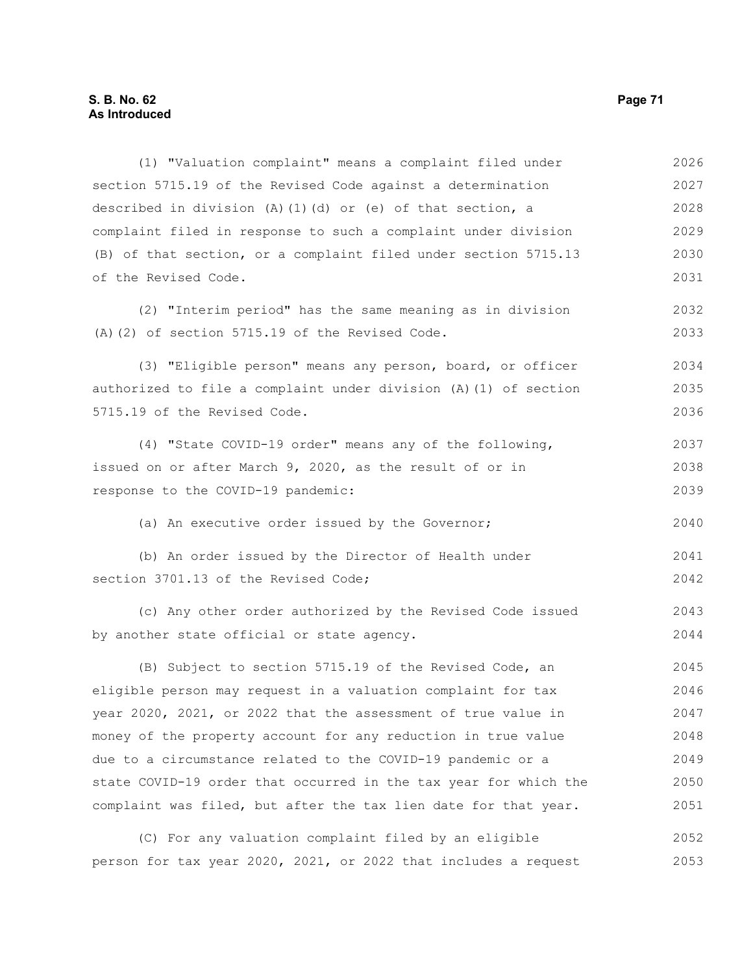# **S. B. No. 62 Page 71 As Introduced**

(1) "Valuation complaint" means a complaint filed under section 5715.19 of the Revised Code against a determination described in division  $(A)$   $(1)$   $(d)$  or  $(e)$  of that section, a complaint filed in response to such a complaint under division (B) of that section, or a complaint filed under section 5715.13 of the Revised Code. 2026 2027 2028 2029 2030 2031

(2) "Interim period" has the same meaning as in division (A)(2) of section 5715.19 of the Revised Code.

(3) "Eligible person" means any person, board, or officer authorized to file a complaint under division (A)(1) of section 5715.19 of the Revised Code. 2034 2035 2036

(4) "State COVID-19 order" means any of the following, issued on or after March 9, 2020, as the result of or in response to the COVID-19 pandemic: 2037 2038 2039

(a) An executive order issued by the Governor;

(b) An order issued by the Director of Health under section 3701.13 of the Revised Code; 2041 2042

(c) Any other order authorized by the Revised Code issued by another state official or state agency. 2043 2044

(B) Subject to section 5715.19 of the Revised Code, an eligible person may request in a valuation complaint for tax year 2020, 2021, or 2022 that the assessment of true value in money of the property account for any reduction in true value due to a circumstance related to the COVID-19 pandemic or a state COVID-19 order that occurred in the tax year for which the complaint was filed, but after the tax lien date for that year. 2045 2046 2047 2048 2049 2050 2051

(C) For any valuation complaint filed by an eligible person for tax year 2020, 2021, or 2022 that includes a request 2052 2053

2032 2033